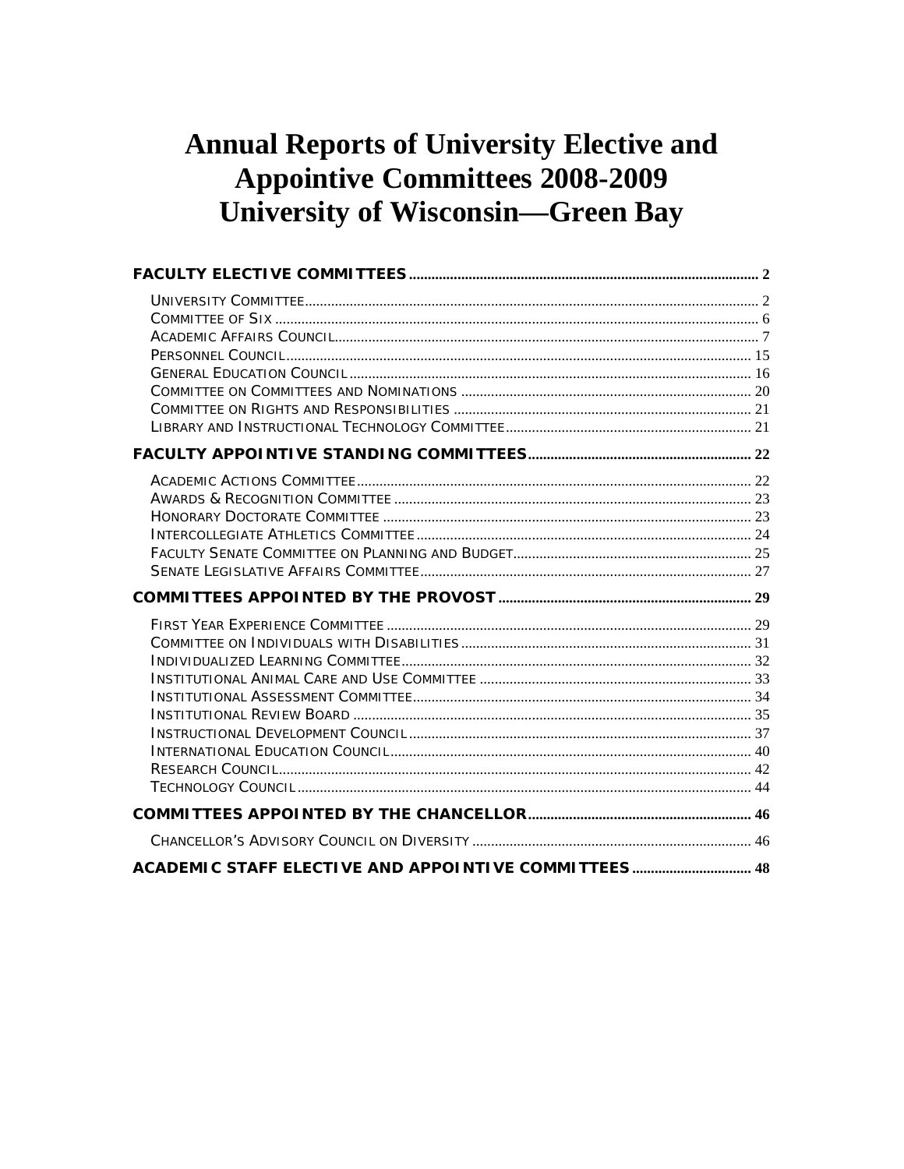# **Annual Reports of University Elective and Appointive Committees 2008-2009 University of Wisconsin-Green Bay**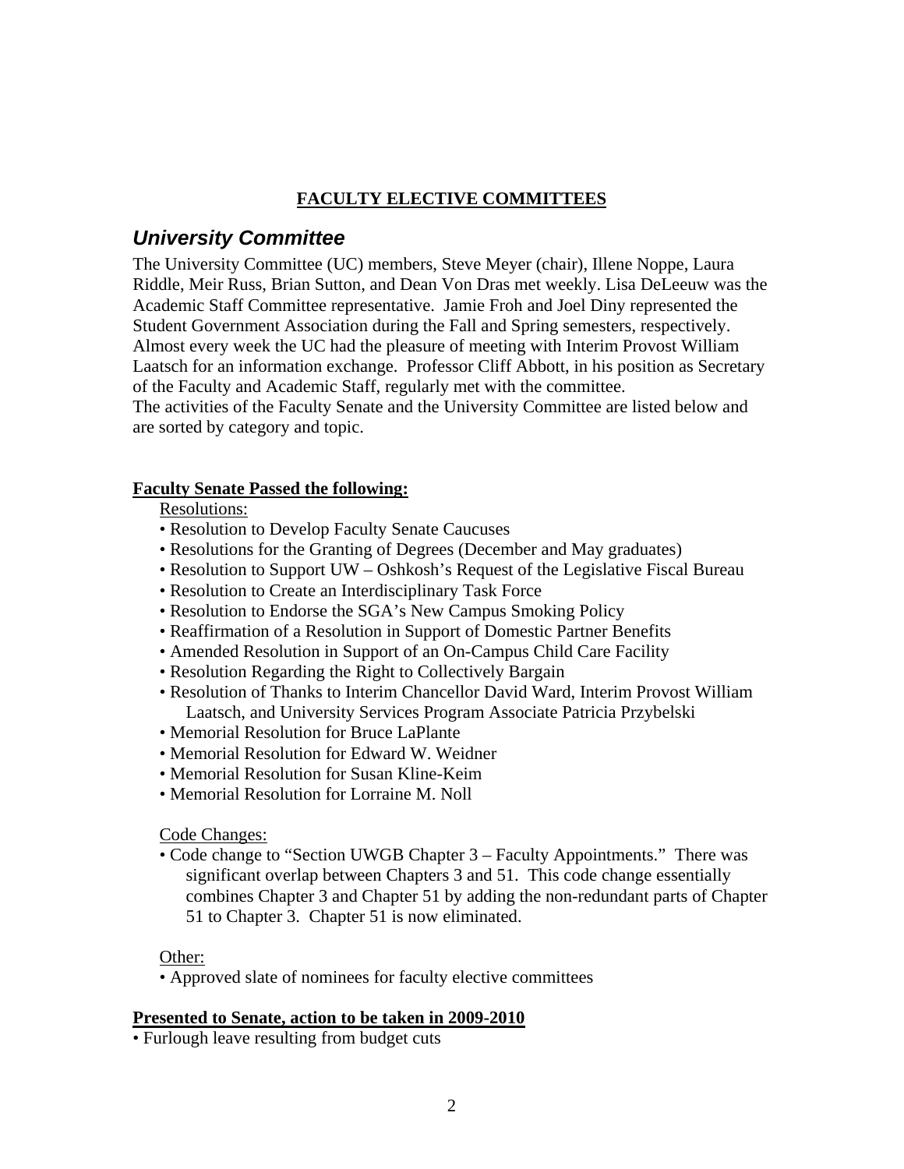### **FACULTY ELECTIVE COMMITTEES**

## <span id="page-1-0"></span>*University Committee*

The University Committee (UC) members, Steve Meyer (chair), Illene Noppe, Laura Riddle, Meir Russ, Brian Sutton, and Dean Von Dras met weekly. Lisa DeLeeuw was the Academic Staff Committee representative. Jamie Froh and Joel Diny represented the Student Government Association during the Fall and Spring semesters, respectively. Almost every week the UC had the pleasure of meeting with Interim Provost William Laatsch for an information exchange. Professor Cliff Abbott, in his position as Secretary of the Faculty and Academic Staff, regularly met with the committee. The activities of the Faculty Senate and the University Committee are listed below and are sorted by category and topic.

### **Faculty Senate Passed the following:**

### Resolutions:

- Resolution to Develop Faculty Senate Caucuses
- Resolutions for the Granting of Degrees (December and May graduates)
- Resolution to Support UW Oshkosh's Request of the Legislative Fiscal Bureau
- Resolution to Create an Interdisciplinary Task Force
- Resolution to Endorse the SGA's New Campus Smoking Policy
- Reaffirmation of a Resolution in Support of Domestic Partner Benefits
- Amended Resolution in Support of an On-Campus Child Care Facility
- Resolution Regarding the Right to Collectively Bargain
- Resolution of Thanks to Interim Chancellor David Ward, Interim Provost William Laatsch, and University Services Program Associate Patricia Przybelski
- Memorial Resolution for Bruce LaPlante
- Memorial Resolution for Edward W. Weidner
- Memorial Resolution for Susan Kline-Keim
- Memorial Resolution for Lorraine M. Noll

Code Changes:

• Code change to "Section UWGB Chapter 3 – Faculty Appointments." There was significant overlap between Chapters 3 and 51. This code change essentially combines Chapter 3 and Chapter 51 by adding the non-redundant parts of Chapter 51 to Chapter 3. Chapter 51 is now eliminated.

Other:

• Approved slate of nominees for faculty elective committees

### **Presented to Senate, action to be taken in 2009-2010**

• Furlough leave resulting from budget cuts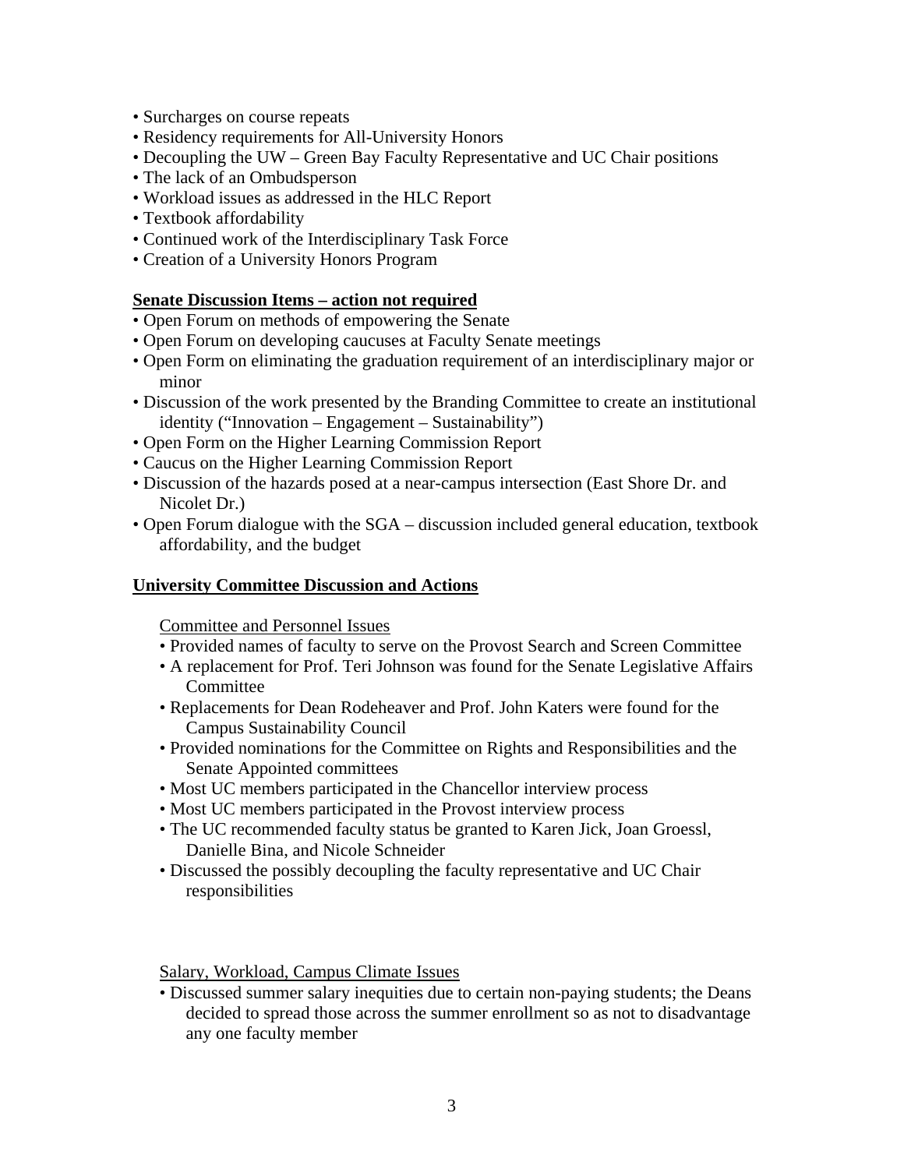- Surcharges on course repeats
- Residency requirements for All-University Honors
- Decoupling the UW Green Bay Faculty Representative and UC Chair positions
- The lack of an Ombudsperson
- Workload issues as addressed in the HLC Report
- Textbook affordability
- Continued work of the Interdisciplinary Task Force
- Creation of a University Honors Program

### **Senate Discussion Items – action not required**

- Open Forum on methods of empowering the Senate
- Open Forum on developing caucuses at Faculty Senate meetings
- Open Form on eliminating the graduation requirement of an interdisciplinary major or minor
- Discussion of the work presented by the Branding Committee to create an institutional identity ("Innovation – Engagement – Sustainability")
- Open Form on the Higher Learning Commission Report
- Caucus on the Higher Learning Commission Report
- Discussion of the hazards posed at a near-campus intersection (East Shore Dr. and Nicolet Dr.)
- Open Forum dialogue with the SGA discussion included general education, textbook affordability, and the budget

### **University Committee Discussion and Actions**

Committee and Personnel Issues

- Provided names of faculty to serve on the Provost Search and Screen Committee
- A replacement for Prof. Teri Johnson was found for the Senate Legislative Affairs **Committee**
- Replacements for Dean Rodeheaver and Prof. John Katers were found for the Campus Sustainability Council
- Provided nominations for the Committee on Rights and Responsibilities and the Senate Appointed committees
- Most UC members participated in the Chancellor interview process
- Most UC members participated in the Provost interview process
- The UC recommended faculty status be granted to Karen Jick, Joan Groessl, Danielle Bina, and Nicole Schneider
- Discussed the possibly decoupling the faculty representative and UC Chair responsibilities

Salary, Workload, Campus Climate Issues

• Discussed summer salary inequities due to certain non-paying students; the Deans decided to spread those across the summer enrollment so as not to disadvantage any one faculty member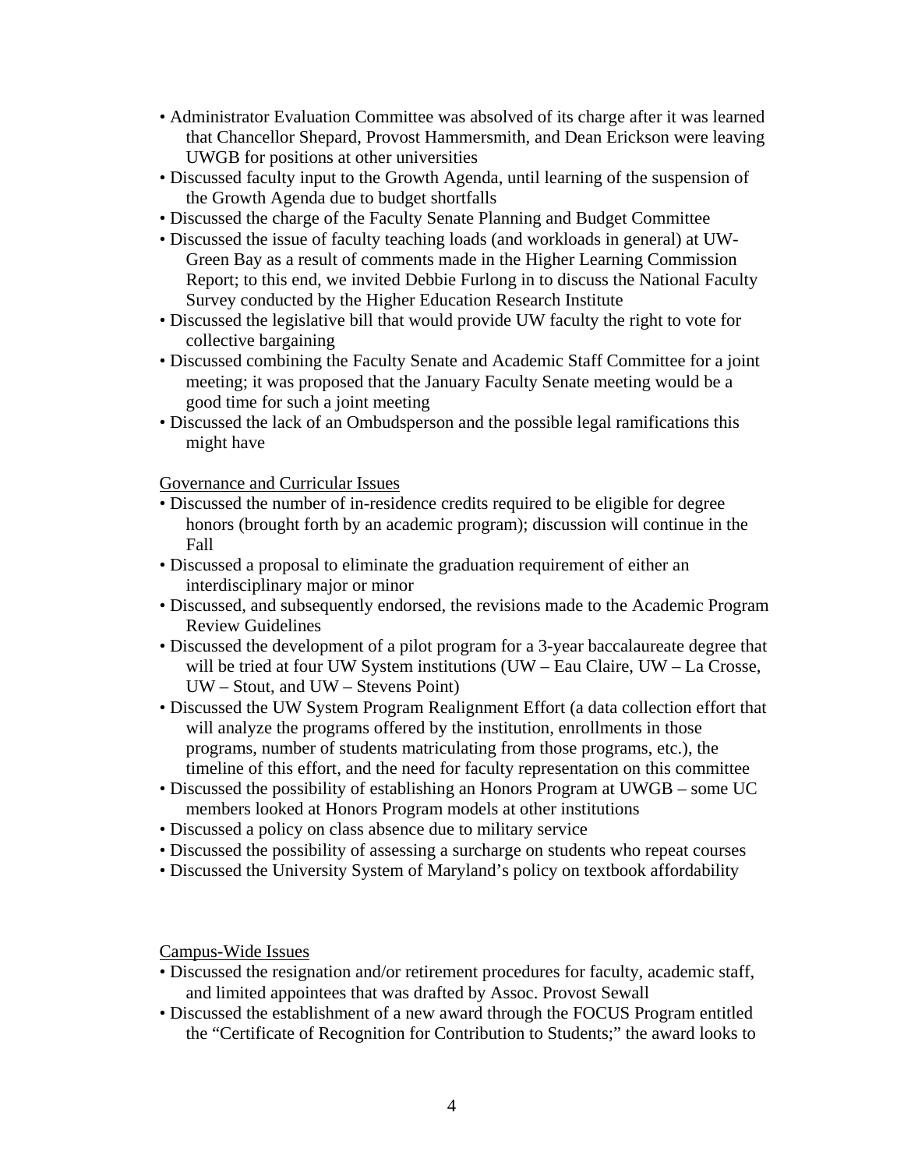- Administrator Evaluation Committee was absolved of its charge after it was learned that Chancellor Shepard, Provost Hammersmith, and Dean Erickson were leaving UWGB for positions at other universities
- Discussed faculty input to the Growth Agenda, until learning of the suspension of the Growth Agenda due to budget shortfalls
- Discussed the charge of the Faculty Senate Planning and Budget Committee
- Discussed the issue of faculty teaching loads (and workloads in general) at UW-Green Bay as a result of comments made in the Higher Learning Commission Report; to this end, we invited Debbie Furlong in to discuss the National Faculty Survey conducted by the Higher Education Research Institute
- Discussed the legislative bill that would provide UW faculty the right to vote for collective bargaining
- Discussed combining the Faculty Senate and Academic Staff Committee for a joint meeting; it was proposed that the January Faculty Senate meeting would be a good time for such a joint meeting
- Discussed the lack of an Ombudsperson and the possible legal ramifications this might have

Governance and Curricular Issues

- Discussed the number of in-residence credits required to be eligible for degree honors (brought forth by an academic program); discussion will continue in the Fall
- Discussed a proposal to eliminate the graduation requirement of either an interdisciplinary major or minor
- Discussed, and subsequently endorsed, the revisions made to the Academic Program Review Guidelines
- Discussed the development of a pilot program for a 3-year baccalaureate degree that will be tried at four UW System institutions (UW – Eau Claire, UW – La Crosse, UW – Stout, and UW – Stevens Point)
- Discussed the UW System Program Realignment Effort (a data collection effort that will analyze the programs offered by the institution, enrollments in those programs, number of students matriculating from those programs, etc.), the timeline of this effort, and the need for faculty representation on this committee
- Discussed the possibility of establishing an Honors Program at UWGB some UC members looked at Honors Program models at other institutions
- Discussed a policy on class absence due to military service
- Discussed the possibility of assessing a surcharge on students who repeat courses
- Discussed the University System of Maryland's policy on textbook affordability

Campus-Wide Issues

- Discussed the resignation and/or retirement procedures for faculty, academic staff, and limited appointees that was drafted by Assoc. Provost Sewall
- Discussed the establishment of a new award through the FOCUS Program entitled the "Certificate of Recognition for Contribution to Students;" the award looks to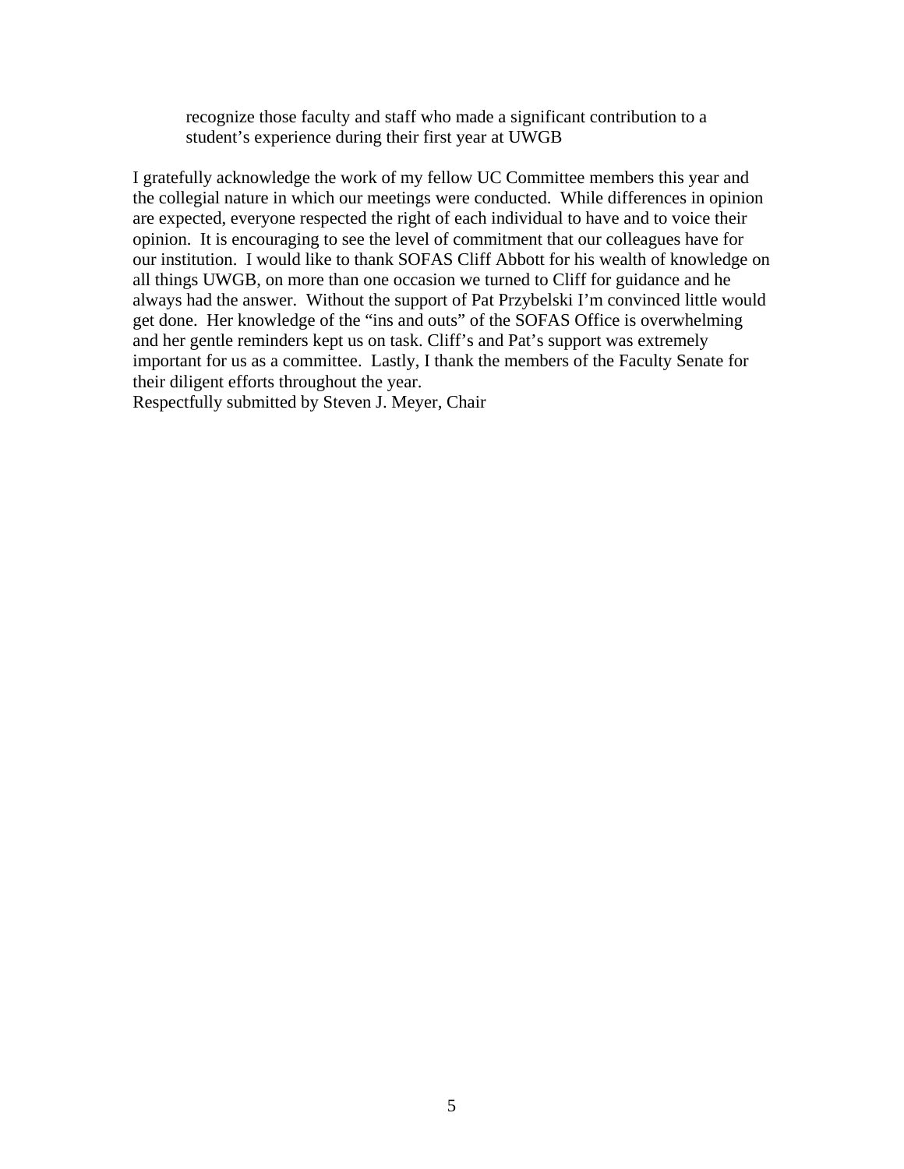recognize those faculty and staff who made a significant contribution to a student's experience during their first year at UWGB

I gratefully acknowledge the work of my fellow UC Committee members this year and the collegial nature in which our meetings were conducted. While differences in opinion are expected, everyone respected the right of each individual to have and to voice their opinion. It is encouraging to see the level of commitment that our colleagues have for our institution. I would like to thank SOFAS Cliff Abbott for his wealth of knowledge on all things UWGB, on more than one occasion we turned to Cliff for guidance and he always had the answer. Without the support of Pat Przybelski I'm convinced little would get done. Her knowledge of the "ins and outs" of the SOFAS Office is overwhelming and her gentle reminders kept us on task. Cliff's and Pat's support was extremely important for us as a committee. Lastly, I thank the members of the Faculty Senate for their diligent efforts throughout the year.

Respectfully submitted by Steven J. Meyer, Chair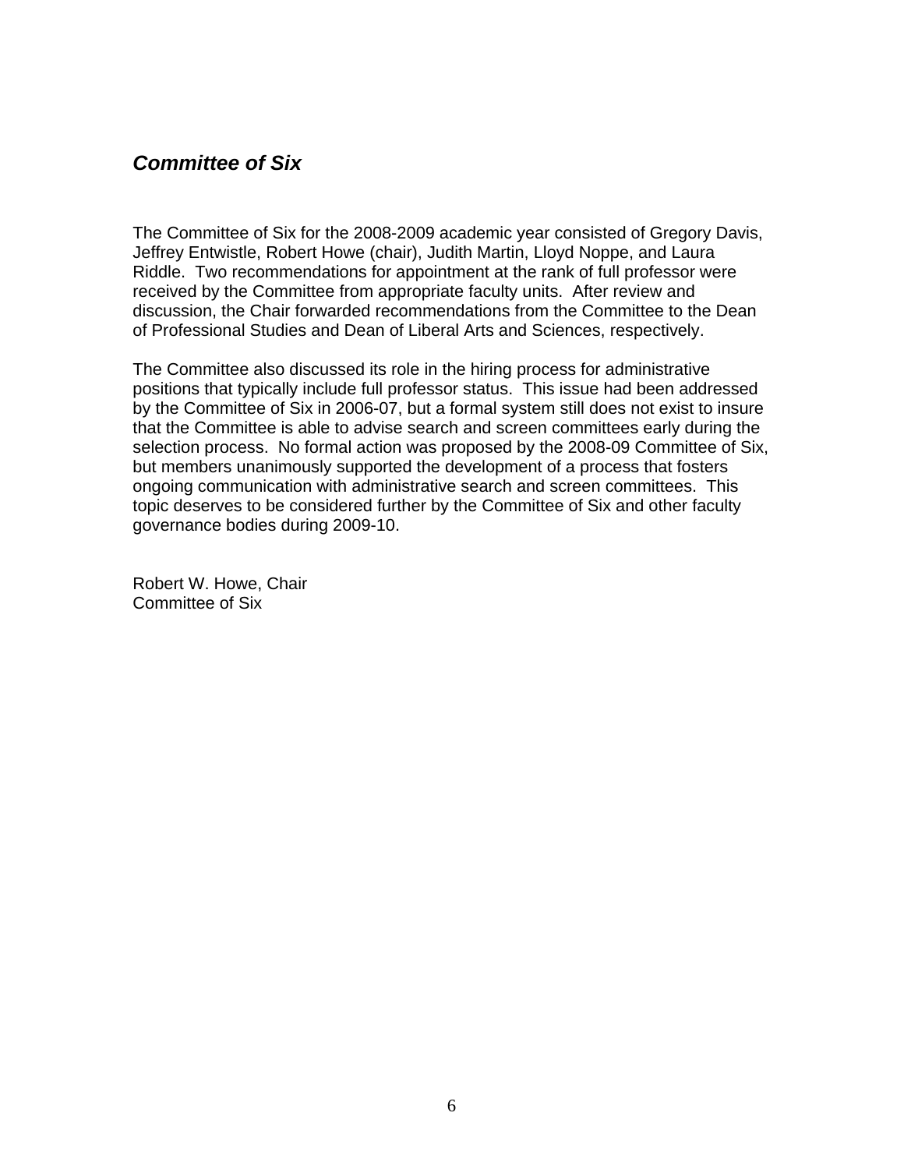### <span id="page-5-0"></span>*Committee of Six*

The Committee of Six for the 2008-2009 academic year consisted of Gregory Davis, Jeffrey Entwistle, Robert Howe (chair), Judith Martin, Lloyd Noppe, and Laura Riddle. Two recommendations for appointment at the rank of full professor were received by the Committee from appropriate faculty units. After review and discussion, the Chair forwarded recommendations from the Committee to the Dean of Professional Studies and Dean of Liberal Arts and Sciences, respectively.

The Committee also discussed its role in the hiring process for administrative positions that typically include full professor status. This issue had been addressed by the Committee of Six in 2006-07, but a formal system still does not exist to insure that the Committee is able to advise search and screen committees early during the selection process. No formal action was proposed by the 2008-09 Committee of Six, but members unanimously supported the development of a process that fosters ongoing communication with administrative search and screen committees. This topic deserves to be considered further by the Committee of Six and other faculty governance bodies during 2009-10.

Robert W. Howe, Chair Committee of Six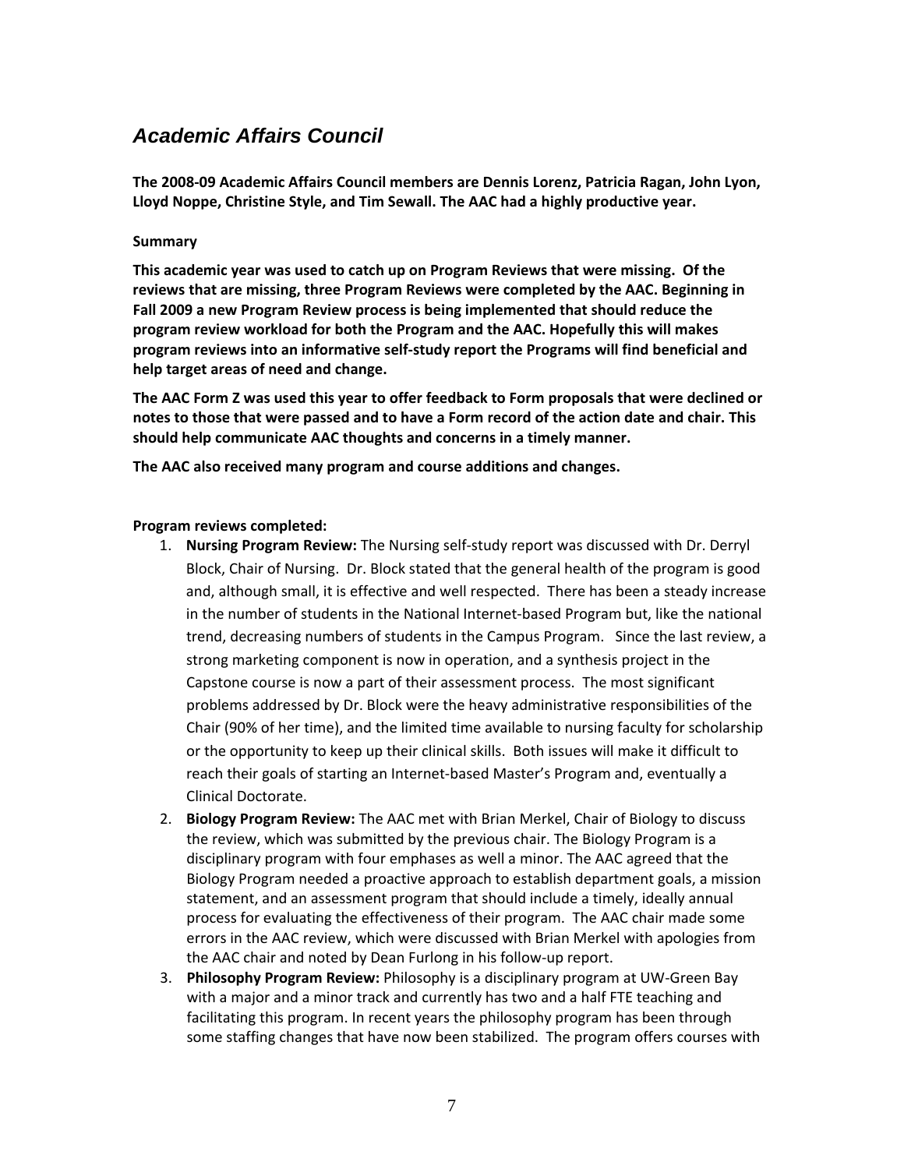## <span id="page-6-0"></span>*Academic Affairs Council*

**The 2008‐09 Academic Affairs Council members are Dennis Lorenz, Patricia Ragan, John Lyon, Lloyd Noppe, Christine Style, and Tim Sewall. The AAC had a highly productive year.** 

#### **Summary**

**This academic year was used to catch up on Program Reviews that were missing. Of the reviews that are missing, three Program Reviews were completed by the AAC. Beginning in Fall 2009 a new Program Review process is being implemented that should reduce the program review workload for both the Program and the AAC. Hopefully this will makes program reviews into an informative self‐study report the Programs will find beneficial and help target areas of need and change.** 

**The AAC Form Z was used this year to offer feedback to Form proposals that were declined or** notes to those that were passed and to have a Form record of the action date and chair. This **should help communicate AAC thoughts and concerns in a timely manner.**

**The AAC also received many program and course additions and changes.**

#### **Program reviews completed:**

- 1. **Nursing Program Review:** The Nursing self‐study report was discussed with Dr. Derryl Block, Chair of Nursing. Dr. Block stated that the general health of the program is good and, although small, it is effective and well respected. There has been a steady increase in the number of students in the National Internet‐based Program but, like the national trend, decreasing numbers of students in the Campus Program. Since the last review, a strong marketing component is now in operation, and a synthesis project in the Capstone course is now a part of their assessment process. The most significant problems addressed by Dr. Block were the heavy administrative responsibilities of the Chair (90% of her time), and the limited time available to nursing faculty for scholarship or the opportunity to keep up their clinical skills. Both issues will make it difficult to reach their goals of starting an Internet‐based Master's Program and, eventually a Clinical Doctorate.
- 2. **Biology Program Review:** The AAC met with Brian Merkel, Chair of Biology to discuss the review, which was submitted by the previous chair. The Biology Program is a disciplinary program with four emphases as well a minor. The AAC agreed that the Biology Program needed a proactive approach to establish department goals, a mission statement, and an assessment program that should include a timely, ideally annual process for evaluating the effectiveness of their program. The AAC chair made some errors in the AAC review, which were discussed with Brian Merkel with apologies from the AAC chair and noted by Dean Furlong in his follow‐up report.
- 3. **Philosophy Program Review:** Philosophy is a disciplinary program at UW‐Green Bay with a major and a minor track and currently has two and a half FTE teaching and facilitating this program. In recent years the philosophy program has been through some staffing changes that have now been stabilized. The program offers courses with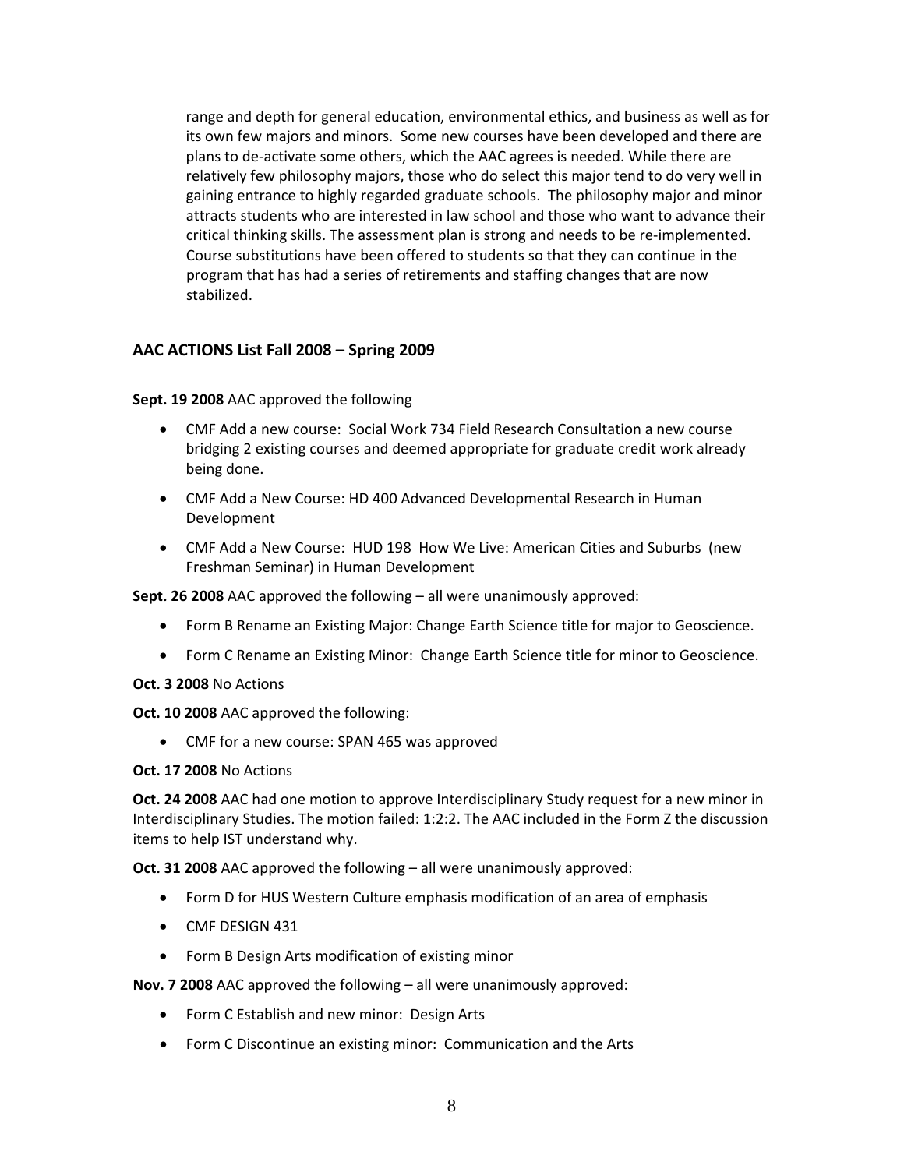range and depth for general education, environmental ethics, and business as well as for its own few majors and minors. Some new courses have been developed and there are plans to de‐activate some others, which the AAC agrees is needed. While there are relatively few philosophy majors, those who do select this major tend to do very well in gaining entrance to highly regarded graduate schools. The philosophy major and minor attracts students who are interested in law school and those who want to advance their critical thinking skills. The assessment plan is strong and needs to be re‐implemented. Course substitutions have been offered to students so that they can continue in the program that has had a series of retirements and staffing changes that are now stabilized.

### **AAC ACTIONS List Fall 2008 – Spring 2009**

**Sept. 19 2008** AAC approved the following

- CMF Add a new course: Social Work 734 Field Research Consultation a new course bridging 2 existing courses and deemed appropriate for graduate credit work already being done.
- CMF Add a New Course: HD 400 Advanced Developmental Research in Human Development
- CMF Add a New Course: HUD 198 How We Live: American Cities and Suburbs (new Freshman Seminar) in Human Development

**Sept. 26 2008** AAC approved the following – all were unanimously approved:

- Form B Rename an Existing Major: Change Earth Science title for major to Geoscience.
- Form C Rename an Existing Minor: Change Earth Science title for minor to Geoscience.
- **Oct. 3 2008** No Actions

**Oct. 10 2008** AAC approved the following:

• CMF for a new course: SPAN 465 was approved

**Oct. 17 2008** No Actions

**Oct. 24 2008** AAC had one motion to approve Interdisciplinary Study request for a new minor in Interdisciplinary Studies. The motion failed: 1:2:2. The AAC included in the Form Z the discussion items to help IST understand why.

**Oct. 31 2008** AAC approved the following – all were unanimously approved:

- Form D for HUS Western Culture emphasis modification of an area of emphasis
- CMF DESIGN 431
- Form B Design Arts modification of existing minor

**Nov. 7 2008** AAC approved the following – all were unanimously approved:

- Form C Establish and new minor: Design Arts
- Form C Discontinue an existing minor: Communication and the Arts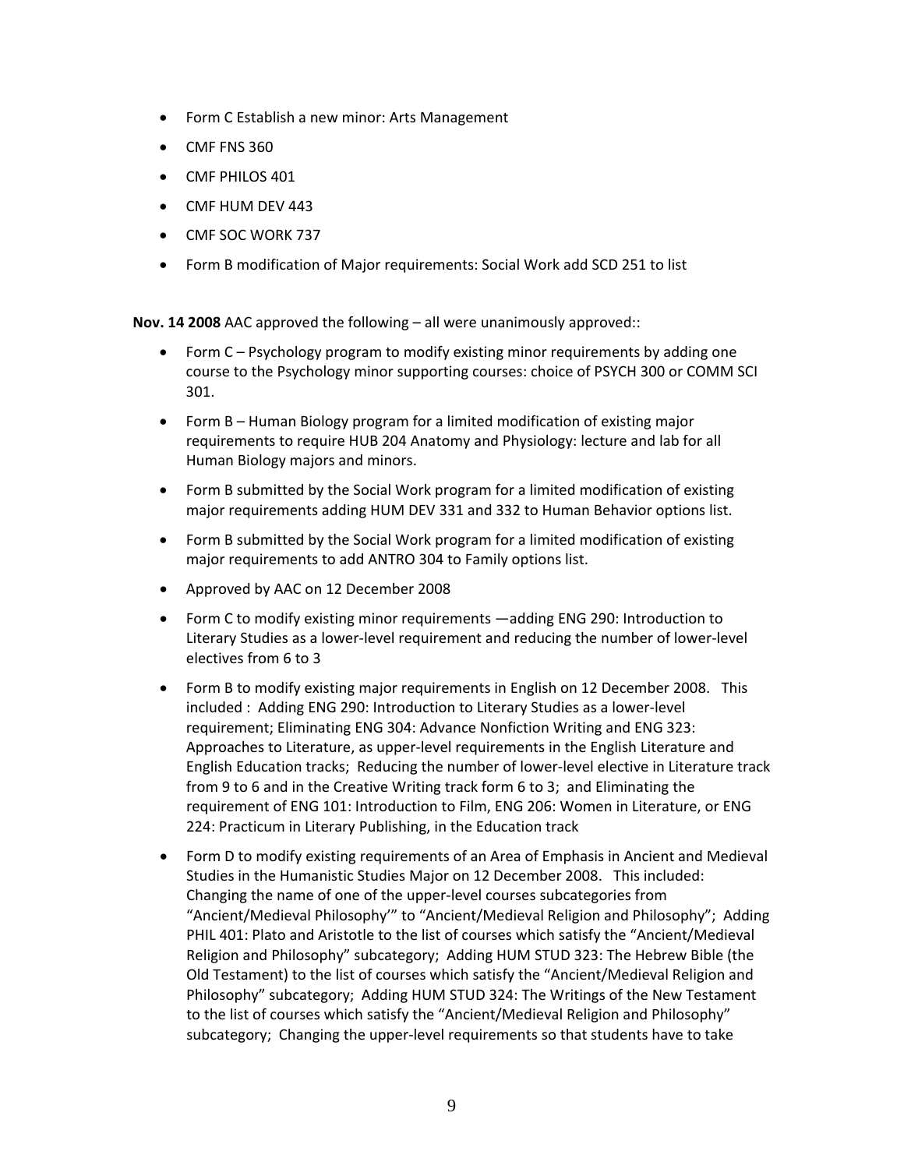- Form C Establish a new minor: Arts Management
- CMF FNS 360
- CMF PHILOS 401
- CMF HUM DEV 443
- CMF SOC WORK 737
- Form B modification of Major requirements: Social Work add SCD 251 to list

**Nov. 14 2008** AAC approved the following – all were unanimously approved::

- Form C Psychology program to modify existing minor requirements by adding one course to the Psychology minor supporting courses: choice of PSYCH 300 or COMM SCI 301.
- Form B Human Biology program for a limited modification of existing major requirements to require HUB 204 Anatomy and Physiology: lecture and lab for all Human Biology majors and minors.
- Form B submitted by the Social Work program for a limited modification of existing major requirements adding HUM DEV 331 and 332 to Human Behavior options list.
- Form B submitted by the Social Work program for a limited modification of existing major requirements to add ANTRO 304 to Family options list.
- Approved by AAC on 12 December 2008
- Form C to modify existing minor requirements —adding ENG 290: Introduction to Literary Studies as a lower‐level requirement and reducing the number of lower‐level electives from 6 to 3
- Form B to modify existing major requirements in English on 12 December 2008. This included : Adding ENG 290: Introduction to Literary Studies as a lower‐level requirement; Eliminating ENG 304: Advance Nonfiction Writing and ENG 323: Approaches to Literature, as upper‐level requirements in the English Literature and English Education tracks; Reducing the number of lower‐level elective in Literature track from 9 to 6 and in the Creative Writing track form 6 to 3; and Eliminating the requirement of ENG 101: Introduction to Film, ENG 206: Women in Literature, or ENG 224: Practicum in Literary Publishing, in the Education track
- Form D to modify existing requirements of an Area of Emphasis in Ancient and Medieval Studies in the Humanistic Studies Major on 12 December 2008. This included: Changing the name of one of the upper‐level courses subcategories from "Ancient/Medieval Philosophy'" to "Ancient/Medieval Religion and Philosophy"; Adding PHIL 401: Plato and Aristotle to the list of courses which satisfy the "Ancient/Medieval Religion and Philosophy" subcategory; Adding HUM STUD 323: The Hebrew Bible (the Old Testament) to the list of courses which satisfy the "Ancient/Medieval Religion and Philosophy" subcategory; Adding HUM STUD 324: The Writings of the New Testament to the list of courses which satisfy the "Ancient/Medieval Religion and Philosophy" subcategory; Changing the upper‐level requirements so that students have to take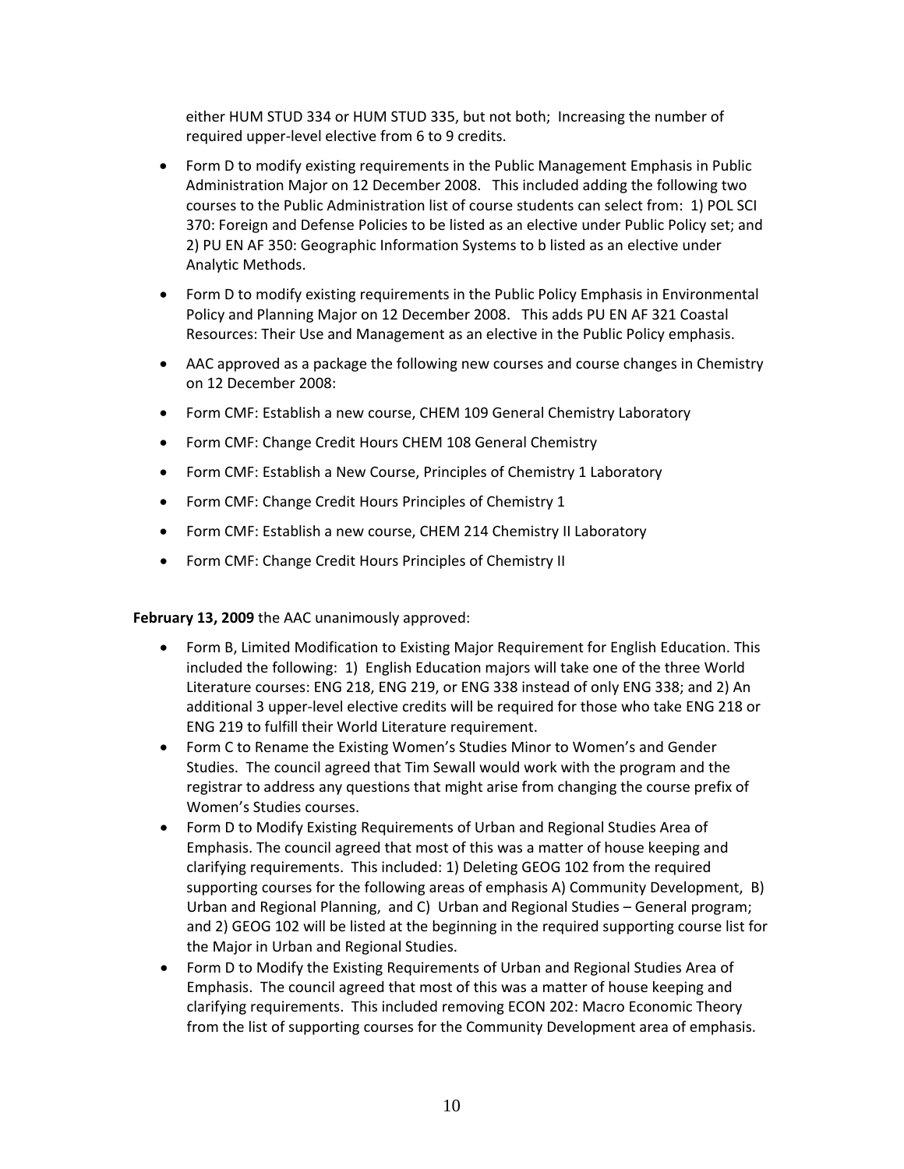either HUM STUD 334 or HUM STUD 335, but not both; Increasing the number of required upper‐level elective from 6 to 9 credits.

- Form D to modify existing requirements in the Public Management Emphasis in Public Administration Major on 12 December 2008. This included adding the following two courses to the Public Administration list of course students can select from: 1) POL SCI 370: Foreign and Defense Policies to be listed as an elective under Public Policy set; and 2) PU EN AF 350: Geographic Information Systems to b listed as an elective under Analytic Methods.
- Form D to modify existing requirements in the Public Policy Emphasis in Environmental Policy and Planning Major on 12 December 2008. This adds PU EN AF 321 Coastal Resources: Their Use and Management as an elective in the Public Policy emphasis.
- AAC approved as a package the following new courses and course changes in Chemistry on 12 December 2008:
- Form CMF: Establish a new course, CHEM 109 General Chemistry Laboratory
- Form CMF: Change Credit Hours CHEM 108 General Chemistry
- Form CMF: Establish a New Course, Principles of Chemistry 1 Laboratory
- Form CMF: Change Credit Hours Principles of Chemistry 1
- Form CMF: Establish a new course, CHEM 214 Chemistry II Laboratory
- Form CMF: Change Credit Hours Principles of Chemistry II

**February 13, 2009** the AAC unanimously approved:

- Form B, Limited Modification to Existing Major Requirement for English Education. This included the following: 1) English Education majors will take one of the three World Literature courses: ENG 218, ENG 219, or ENG 338 instead of only ENG 338; and 2) An additional 3 upper‐level elective credits will be required for those who take ENG 218 or ENG 219 to fulfill their World Literature requirement.
- Form C to Rename the Existing Women's Studies Minor to Women's and Gender Studies. The council agreed that Tim Sewall would work with the program and the registrar to address any questions that might arise from changing the course prefix of Women's Studies courses.
- Form D to Modify Existing Requirements of Urban and Regional Studies Area of Emphasis. The council agreed that most of this was a matter of house keeping and clarifying requirements. This included: 1) Deleting GEOG 102 from the required supporting courses for the following areas of emphasis A) Community Development, B) Urban and Regional Planning, and C) Urban and Regional Studies – General program; and 2) GEOG 102 will be listed at the beginning in the required supporting course list for the Major in Urban and Regional Studies.
- Form D to Modify the Existing Requirements of Urban and Regional Studies Area of Emphasis. The council agreed that most of this was a matter of house keeping and clarifying requirements. This included removing ECON 202: Macro Economic Theory from the list of supporting courses for the Community Development area of emphasis.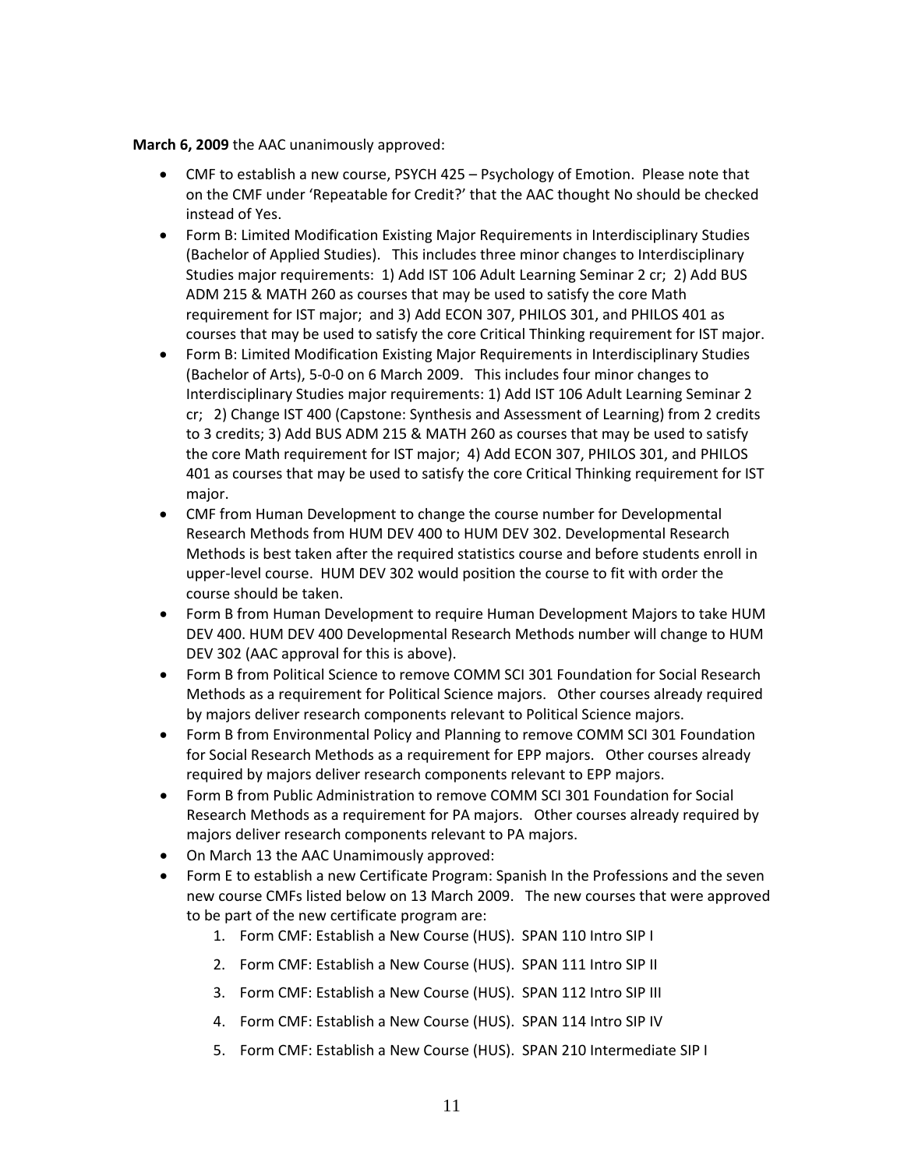#### **March 6, 2009** the AAC unanimously approved:

- CMF to establish a new course, PSYCH 425 Psychology of Emotion. Please note that on the CMF under 'Repeatable for Credit?' that the AAC thought No should be checked instead of Yes.
- Form B: Limited Modification Existing Major Requirements in Interdisciplinary Studies (Bachelor of Applied Studies). This includes three minor changes to Interdisciplinary Studies major requirements: 1) Add IST 106 Adult Learning Seminar 2 cr; 2) Add BUS ADM 215 & MATH 260 as courses that may be used to satisfy the core Math requirement for IST major; and 3) Add ECON 307, PHILOS 301, and PHILOS 401 as courses that may be used to satisfy the core Critical Thinking requirement for IST major.
- Form B: Limited Modification Existing Major Requirements in Interdisciplinary Studies (Bachelor of Arts), 5‐0‐0 on 6 March 2009. This includes four minor changes to Interdisciplinary Studies major requirements: 1) Add IST 106 Adult Learning Seminar 2 cr; 2) Change IST 400 (Capstone: Synthesis and Assessment of Learning) from 2 credits to 3 credits; 3) Add BUS ADM 215 & MATH 260 as courses that may be used to satisfy the core Math requirement for IST major; 4) Add ECON 307, PHILOS 301, and PHILOS 401 as courses that may be used to satisfy the core Critical Thinking requirement for IST major.
- CMF from Human Development to change the course number for Developmental Research Methods from HUM DEV 400 to HUM DEV 302. Developmental Research Methods is best taken after the required statistics course and before students enroll in upper‐level course. HUM DEV 302 would position the course to fit with order the course should be taken.
- Form B from Human Development to require Human Development Majors to take HUM DEV 400. HUM DEV 400 Developmental Research Methods number will change to HUM DEV 302 (AAC approval for this is above).
- Form B from Political Science to remove COMM SCI 301 Foundation for Social Research Methods as a requirement for Political Science majors. Other courses already required by majors deliver research components relevant to Political Science majors.
- Form B from Environmental Policy and Planning to remove COMM SCI 301 Foundation for Social Research Methods as a requirement for EPP majors. Other courses already required by majors deliver research components relevant to EPP majors.
- Form B from Public Administration to remove COMM SCI 301 Foundation for Social Research Methods as a requirement for PA majors. Other courses already required by majors deliver research components relevant to PA majors.
- On March 13 the AAC Unamimously approved:
- Form E to establish a new Certificate Program: Spanish In the Professions and the seven new course CMFs listed below on 13 March 2009. The new courses that were approved to be part of the new certificate program are:
	- 1. Form CMF: Establish a New Course (HUS). SPAN 110 Intro SIP I
	- 2. Form CMF: Establish a New Course (HUS). SPAN 111 Intro SIP II
	- 3. Form CMF: Establish a New Course (HUS). SPAN 112 Intro SIP III
	- 4. Form CMF: Establish a New Course (HUS). SPAN 114 Intro SIP IV
	- 5. Form CMF: Establish a New Course (HUS). SPAN 210 Intermediate SIP I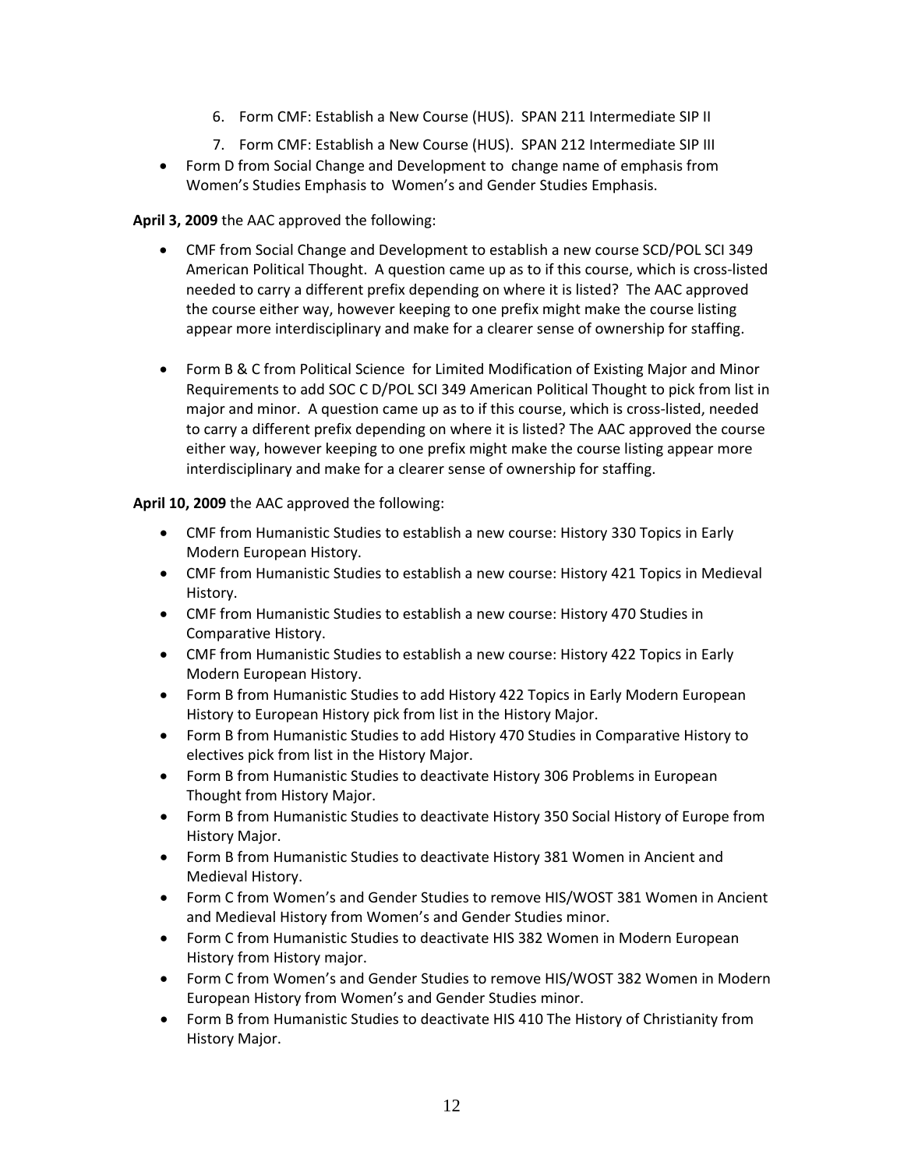- 6. Form CMF: Establish a New Course (HUS). SPAN 211 Intermediate SIP II
- 7. Form CMF: Establish a New Course (HUS). SPAN 212 Intermediate SIP III
- Form D from Social Change and Development to change name of emphasis from Women's Studies Emphasis to Women's and Gender Studies Emphasis.

### **April 3, 2009** the AAC approved the following:

- CMF from Social Change and Development to establish a new course SCD/POL SCI 349 American Political Thought. A question came up as to if this course, which is cross‐listed needed to carry a different prefix depending on where it is listed? The AAC approved the course either way, however keeping to one prefix might make the course listing appear more interdisciplinary and make for a clearer sense of ownership for staffing.
- Form B & C from Political Science for Limited Modification of Existing Major and Minor Requirements to add SOC C D/POL SCI 349 American Political Thought to pick from list in major and minor. A question came up as to if this course, which is cross‐listed, needed to carry a different prefix depending on where it is listed? The AAC approved the course either way, however keeping to one prefix might make the course listing appear more interdisciplinary and make for a clearer sense of ownership for staffing.

**April 10, 2009** the AAC approved the following:

- CMF from Humanistic Studies to establish a new course: History 330 Topics in Early Modern European History.
- CMF from Humanistic Studies to establish a new course: History 421 Topics in Medieval History.
- CMF from Humanistic Studies to establish a new course: History 470 Studies in Comparative History.
- CMF from Humanistic Studies to establish a new course: History 422 Topics in Early Modern European History.
- Form B from Humanistic Studies to add History 422 Topics in Early Modern European History to European History pick from list in the History Major.
- Form B from Humanistic Studies to add History 470 Studies in Comparative History to electives pick from list in the History Major.
- Form B from Humanistic Studies to deactivate History 306 Problems in European Thought from History Major.
- Form B from Humanistic Studies to deactivate History 350 Social History of Europe from History Major.
- Form B from Humanistic Studies to deactivate History 381 Women in Ancient and Medieval History.
- Form C from Women's and Gender Studies to remove HIS/WOST 381 Women in Ancient and Medieval History from Women's and Gender Studies minor.
- Form C from Humanistic Studies to deactivate HIS 382 Women in Modern European History from History major.
- Form C from Women's and Gender Studies to remove HIS/WOST 382 Women in Modern European History from Women's and Gender Studies minor.
- Form B from Humanistic Studies to deactivate HIS 410 The History of Christianity from History Major.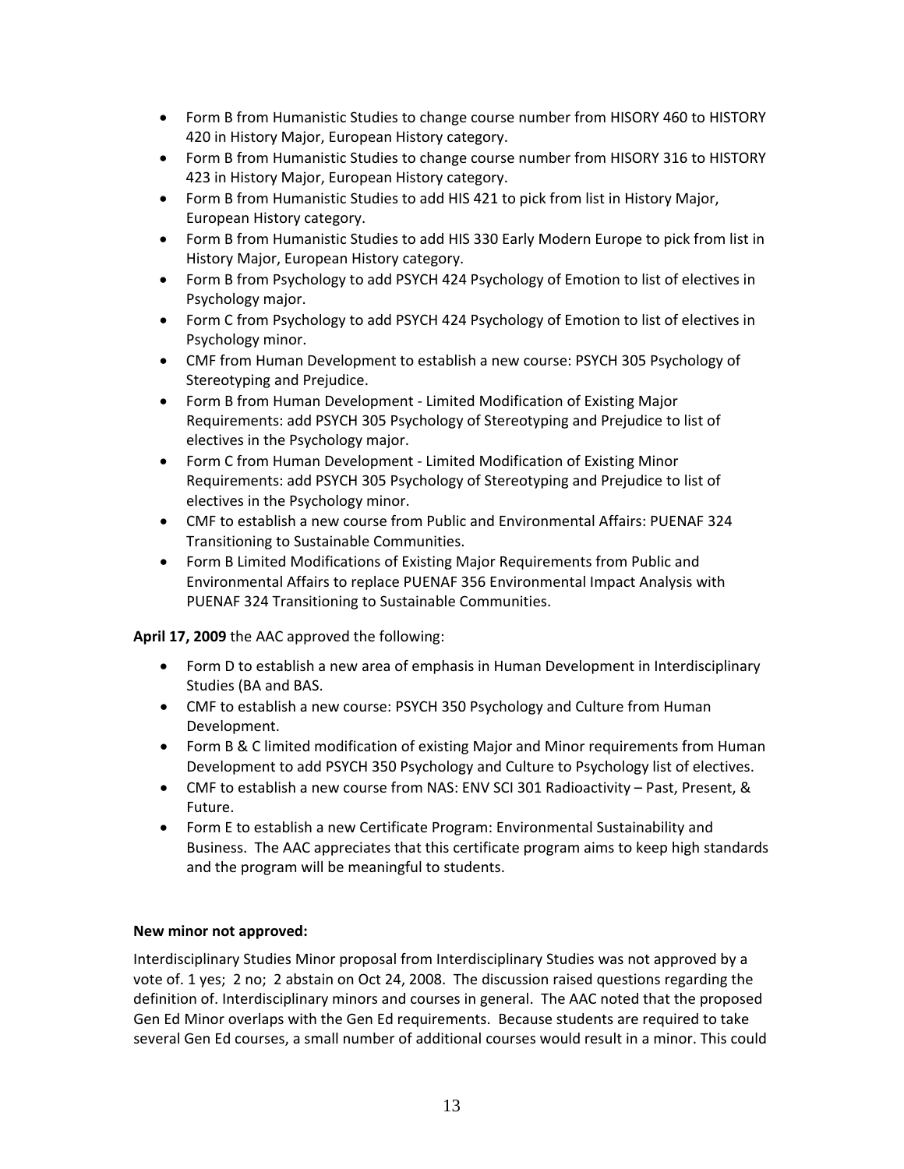- Form B from Humanistic Studies to change course number from HISORY 460 to HISTORY 420 in History Major, European History category.
- Form B from Humanistic Studies to change course number from HISORY 316 to HISTORY 423 in History Major, European History category.
- Form B from Humanistic Studies to add HIS 421 to pick from list in History Major, European History category.
- Form B from Humanistic Studies to add HIS 330 Early Modern Europe to pick from list in History Major, European History category.
- Form B from Psychology to add PSYCH 424 Psychology of Emotion to list of electives in Psychology major.
- Form C from Psychology to add PSYCH 424 Psychology of Emotion to list of electives in Psychology minor.
- CMF from Human Development to establish a new course: PSYCH 305 Psychology of Stereotyping and Prejudice.
- Form B from Human Development Limited Modification of Existing Major Requirements: add PSYCH 305 Psychology of Stereotyping and Prejudice to list of electives in the Psychology major.
- Form C from Human Development ‐ Limited Modification of Existing Minor Requirements: add PSYCH 305 Psychology of Stereotyping and Prejudice to list of electives in the Psychology minor.
- CMF to establish a new course from Public and Environmental Affairs: PUENAF 324 Transitioning to Sustainable Communities.
- Form B Limited Modifications of Existing Major Requirements from Public and Environmental Affairs to replace PUENAF 356 Environmental Impact Analysis with PUENAF 324 Transitioning to Sustainable Communities.

**April 17, 2009** the AAC approved the following:

- Form D to establish a new area of emphasis in Human Development in Interdisciplinary Studies (BA and BAS.
- CMF to establish a new course: PSYCH 350 Psychology and Culture from Human Development.
- Form B & C limited modification of existing Major and Minor requirements from Human Development to add PSYCH 350 Psychology and Culture to Psychology list of electives.
- CMF to establish a new course from NAS: ENV SCI 301 Radioactivity Past, Present, & Future.
- Form E to establish a new Certificate Program: Environmental Sustainability and Business. The AAC appreciates that this certificate program aims to keep high standards and the program will be meaningful to students.

### **New minor not approved:**

Interdisciplinary Studies Minor proposal from Interdisciplinary Studies was not approved by a vote of. 1 yes; 2 no; 2 abstain on Oct 24, 2008. The discussion raised questions regarding the definition of. Interdisciplinary minors and courses in general. The AAC noted that the proposed Gen Ed Minor overlaps with the Gen Ed requirements. Because students are required to take several Gen Ed courses, a small number of additional courses would result in a minor. This could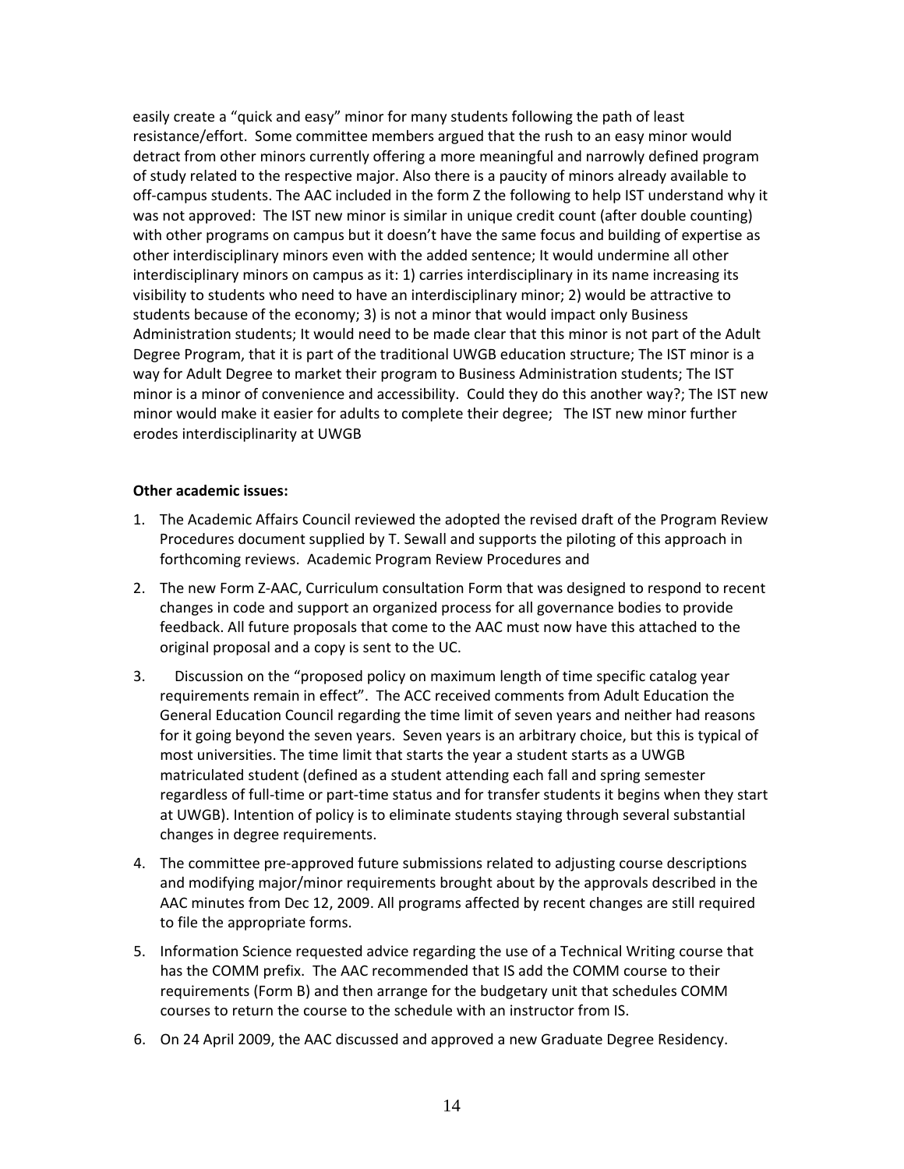easily create a "quick and easy" minor for many students following the path of least resistance/effort. Some committee members argued that the rush to an easy minor would detract from other minors currently offering a more meaningful and narrowly defined program of study related to the respective major. Also there is a paucity of minors already available to off-campus students. The AAC included in the form Z the following to help IST understand why it was not approved: The IST new minor is similar in unique credit count (after double counting) with other programs on campus but it doesn't have the same focus and building of expertise as other interdisciplinary minors even with the added sentence; It would undermine all other interdisciplinary minors on campus as it: 1) carries interdisciplinary in its name increasing its visibility to students who need to have an interdisciplinary minor; 2) would be attractive to students because of the economy; 3) is not a minor that would impact only Business Administration students; It would need to be made clear that this minor is not part of the Adult Degree Program, that it is part of the traditional UWGB education structure; The IST minor is a way for Adult Degree to market their program to Business Administration students; The IST minor is a minor of convenience and accessibility. Could they do this another way?; The IST new minor would make it easier for adults to complete their degree; The IST new minor further erodes interdisciplinarity at UWGB

#### **Other academic issues:**

- 1. The Academic Affairs Council reviewed the adopted the revised draft of the Program Review Procedures document supplied by T. Sewall and supports the piloting of this approach in forthcoming reviews. Academic Program Review Procedures and
- 2. The new Form Z‐AAC, Curriculum consultation Form that was designed to respond to recent changes in code and support an organized process for all governance bodies to provide feedback. All future proposals that come to the AAC must now have this attached to the original proposal and a copy is sent to the UC.
- 3. Discussion on the "proposed policy on maximum length of time specific catalog year requirements remain in effect". The ACC received comments from Adult Education the General Education Council regarding the time limit of seven years and neither had reasons for it going beyond the seven years. Seven years is an arbitrary choice, but this is typical of most universities. The time limit that starts the year a student starts as a UWGB matriculated student (defined as a student attending each fall and spring semester regardless of full-time or part-time status and for transfer students it begins when they start at UWGB). Intention of policy is to eliminate students staying through several substantial changes in degree requirements.
- 4. The committee pre-approved future submissions related to adjusting course descriptions and modifying major/minor requirements brought about by the approvals described in the AAC minutes from Dec 12, 2009. All programs affected by recent changes are still required to file the appropriate forms.
- 5. Information Science requested advice regarding the use of a Technical Writing course that has the COMM prefix. The AAC recommended that IS add the COMM course to their requirements (Form B) and then arrange for the budgetary unit that schedules COMM courses to return the course to the schedule with an instructor from IS.
- 6. On 24 April 2009, the AAC discussed and approved a new Graduate Degree Residency.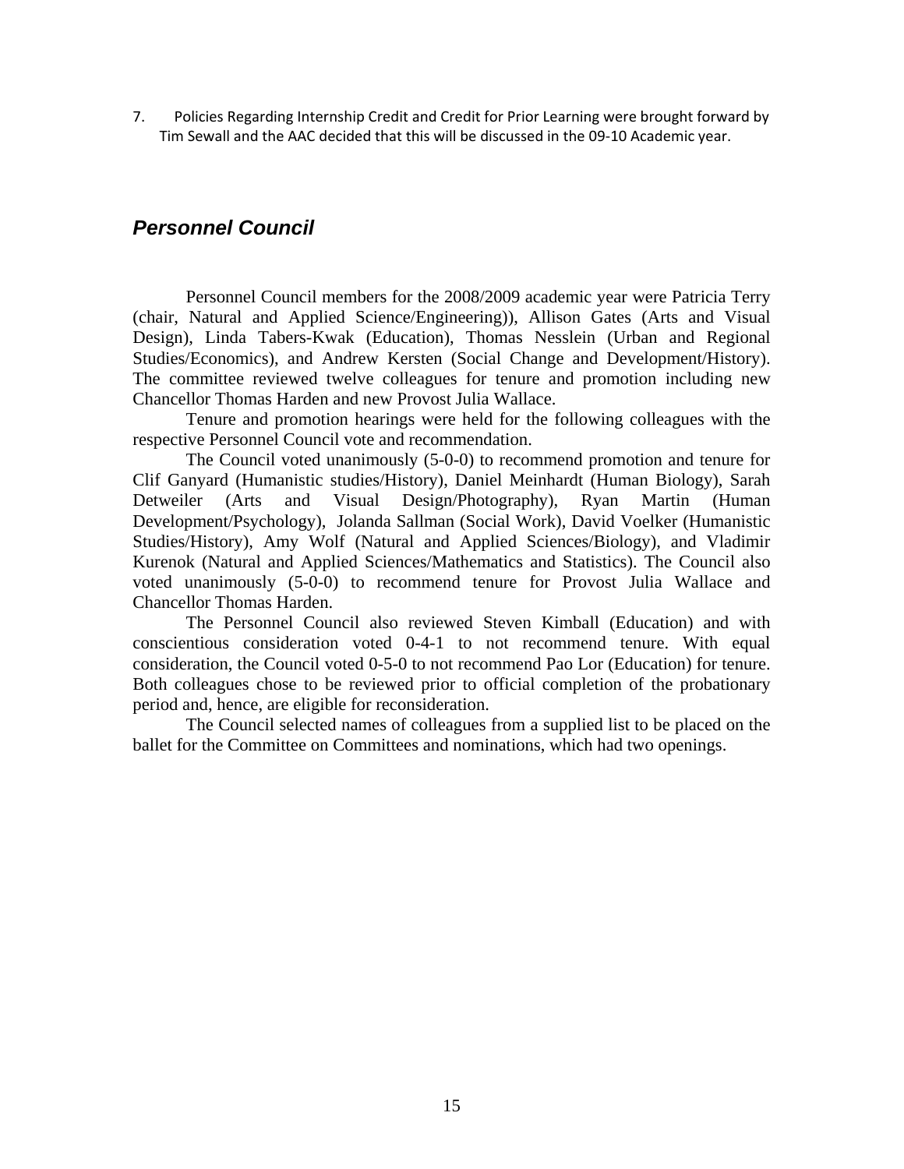<span id="page-14-0"></span>7. Policies Regarding Internship Credit and Credit for Prior Learning were brought forward by Tim Sewall and the AAC decided that this will be discussed in the 09‐10 Academic year.

### *Personnel Council*

Personnel Council members for the 2008/2009 academic year were Patricia Terry (chair, Natural and Applied Science/Engineering)), Allison Gates (Arts and Visual Design), Linda Tabers-Kwak (Education), Thomas Nesslein (Urban and Regional Studies/Economics), and Andrew Kersten (Social Change and Development/History). The committee reviewed twelve colleagues for tenure and promotion including new Chancellor Thomas Harden and new Provost Julia Wallace.

Tenure and promotion hearings were held for the following colleagues with the respective Personnel Council vote and recommendation.

The Council voted unanimously (5-0-0) to recommend promotion and tenure for Clif Ganyard (Humanistic studies/History), Daniel Meinhardt (Human Biology), Sarah Detweiler (Arts and Visual Design/Photography), Ryan Martin (Human Development/Psychology), Jolanda Sallman (Social Work), David Voelker (Humanistic Studies/History), Amy Wolf (Natural and Applied Sciences/Biology), and Vladimir Kurenok (Natural and Applied Sciences/Mathematics and Statistics). The Council also voted unanimously (5-0-0) to recommend tenure for Provost Julia Wallace and Chancellor Thomas Harden.

The Personnel Council also reviewed Steven Kimball (Education) and with conscientious consideration voted 0-4-1 to not recommend tenure. With equal consideration, the Council voted 0-5-0 to not recommend Pao Lor (Education) for tenure. Both colleagues chose to be reviewed prior to official completion of the probationary period and, hence, are eligible for reconsideration.

The Council selected names of colleagues from a supplied list to be placed on the ballet for the Committee on Committees and nominations, which had two openings.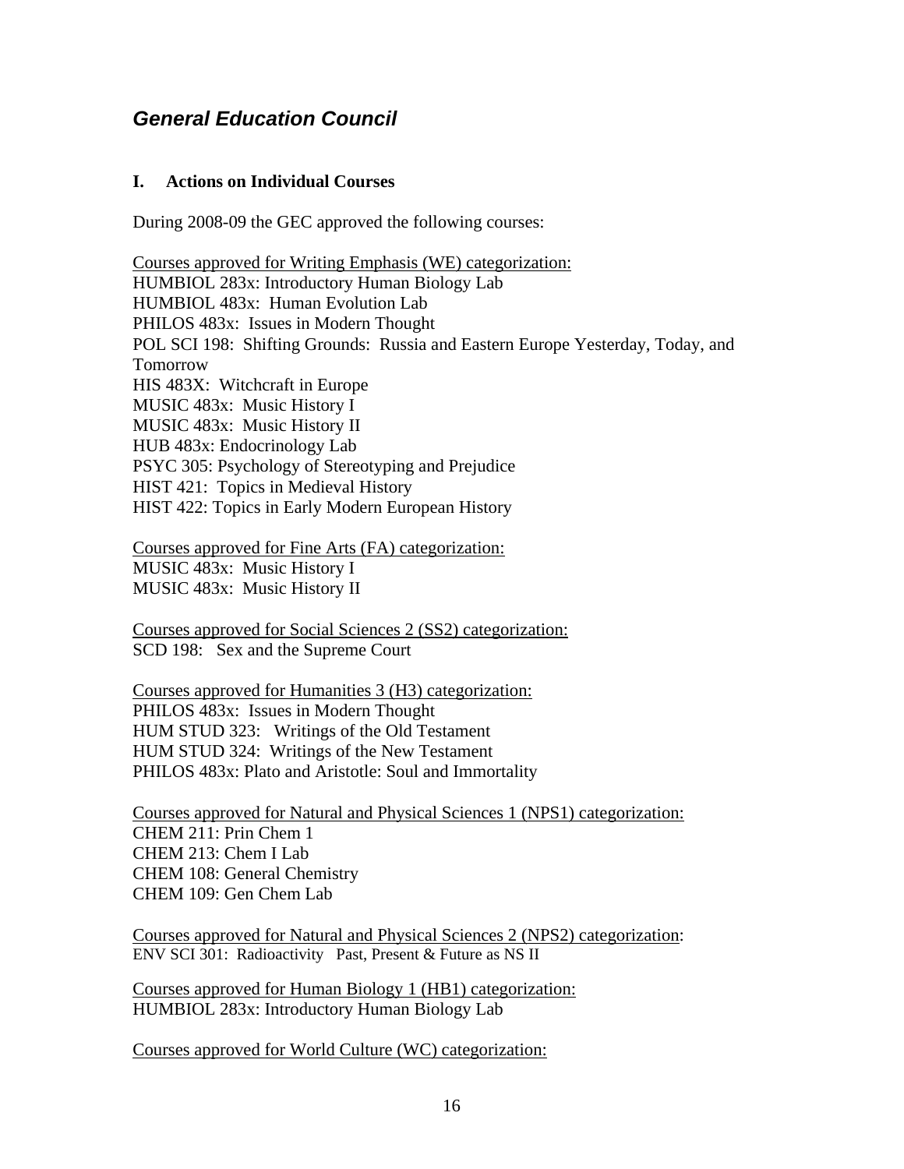## <span id="page-15-0"></span>*General Education Council*

### **I. Actions on Individual Courses**

During 2008-09 the GEC approved the following courses:

Courses approved for Writing Emphasis (WE) categorization: HUMBIOL 283x: Introductory Human Biology Lab HUMBIOL 483x: Human Evolution Lab PHILOS 483x: Issues in Modern Thought POL SCI 198: Shifting Grounds: Russia and Eastern Europe Yesterday, Today, and Tomorrow HIS 483X: Witchcraft in Europe MUSIC 483x: Music History I MUSIC 483x: Music History II HUB 483x: Endocrinology Lab PSYC 305: Psychology of Stereotyping and Prejudice HIST 421: Topics in Medieval History HIST 422: Topics in Early Modern European History

Courses approved for Fine Arts (FA) categorization: MUSIC 483x: Music History I MUSIC 483x: Music History II

Courses approved for Social Sciences 2 (SS2) categorization: SCD 198: Sex and the Supreme Court

Courses approved for Humanities 3 (H3) categorization: PHILOS 483x: Issues in Modern Thought HUM STUD 323: Writings of the Old Testament HUM STUD 324: Writings of the New Testament PHILOS 483x: Plato and Aristotle: Soul and Immortality

Courses approved for Natural and Physical Sciences 1 (NPS1) categorization: CHEM 211: Prin Chem 1 CHEM 213: Chem I Lab CHEM 108: General Chemistry CHEM 109: Gen Chem Lab

Courses approved for Natural and Physical Sciences 2 (NPS2) categorization: ENV SCI 301: Radioactivity Past, Present & Future as NS II

Courses approved for Human Biology 1 (HB1) categorization: HUMBIOL 283x: Introductory Human Biology Lab

Courses approved for World Culture (WC) categorization: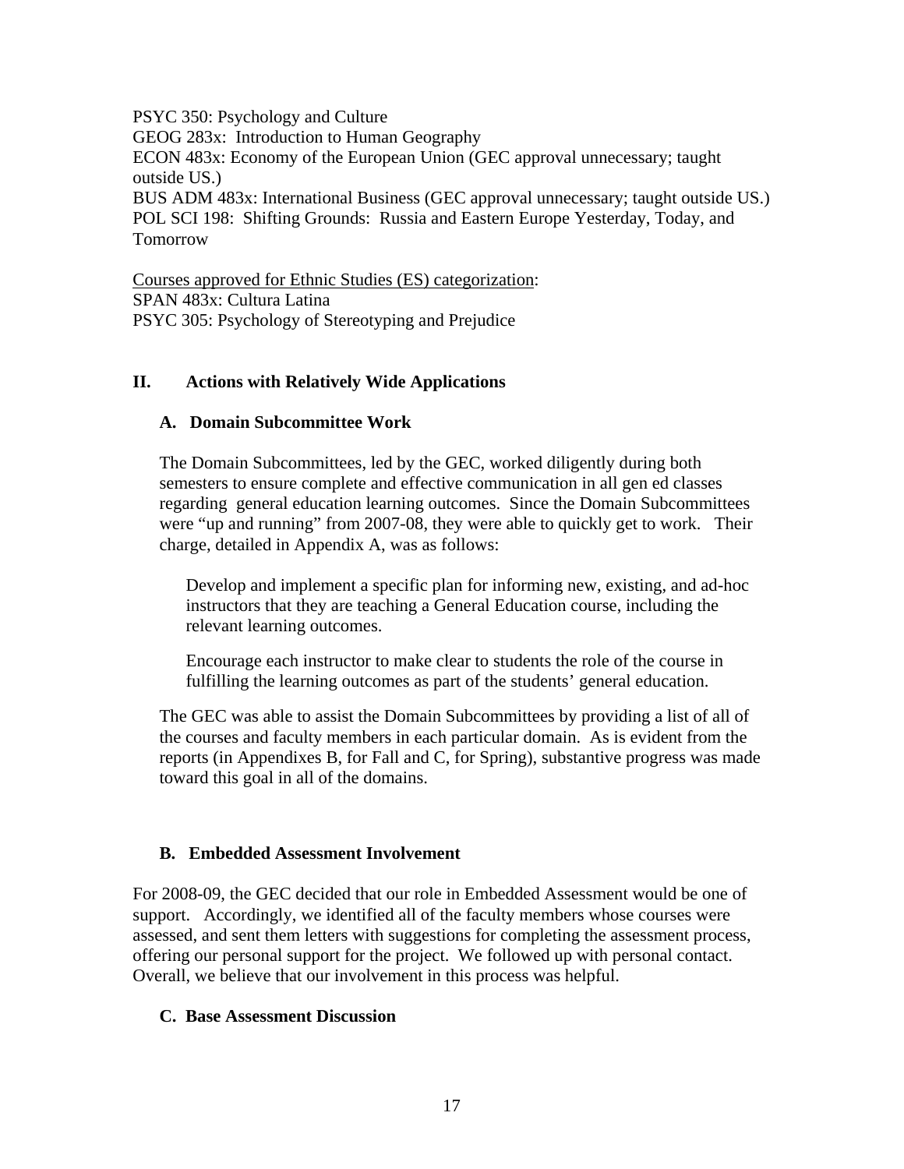PSYC 350: Psychology and Culture GEOG 283x: Introduction to Human Geography ECON 483x: Economy of the European Union (GEC approval unnecessary; taught outside US.) BUS ADM 483x: International Business (GEC approval unnecessary; taught outside US.) POL SCI 198: Shifting Grounds: Russia and Eastern Europe Yesterday, Today, and

Tomorrow

Courses approved for Ethnic Studies (ES) categorization: SPAN 483x: Cultura Latina PSYC 305: Psychology of Stereotyping and Prejudice

### **II. Actions with Relatively Wide Applications**

### **A. Domain Subcommittee Work**

The Domain Subcommittees, led by the GEC, worked diligently during both semesters to ensure complete and effective communication in all gen ed classes regarding general education learning outcomes. Since the Domain Subcommittees were "up and running" from 2007-08, they were able to quickly get to work. Their charge, detailed in Appendix A, was as follows:

Develop and implement a specific plan for informing new, existing, and ad-hoc instructors that they are teaching a General Education course, including the relevant learning outcomes.

Encourage each instructor to make clear to students the role of the course in fulfilling the learning outcomes as part of the students' general education.

The GEC was able to assist the Domain Subcommittees by providing a list of all of the courses and faculty members in each particular domain. As is evident from the reports (in Appendixes B, for Fall and C, for Spring), substantive progress was made toward this goal in all of the domains.

### **B. Embedded Assessment Involvement**

For 2008-09, the GEC decided that our role in Embedded Assessment would be one of support. Accordingly, we identified all of the faculty members whose courses were assessed, and sent them letters with suggestions for completing the assessment process, offering our personal support for the project. We followed up with personal contact. Overall, we believe that our involvement in this process was helpful.

### **C. Base Assessment Discussion**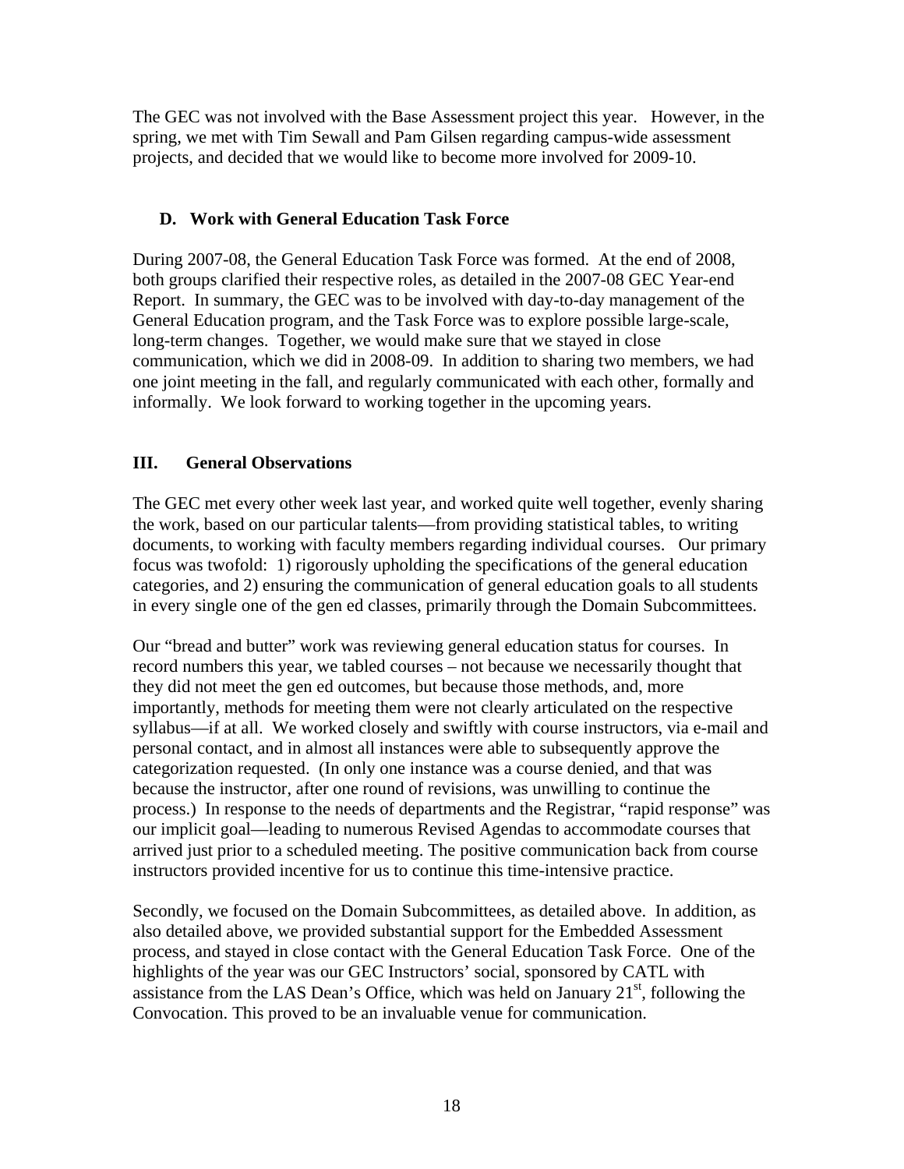The GEC was not involved with the Base Assessment project this year. However, in the spring, we met with Tim Sewall and Pam Gilsen regarding campus-wide assessment projects, and decided that we would like to become more involved for 2009-10.

### **D. Work with General Education Task Force**

During 2007-08, the General Education Task Force was formed. At the end of 2008, both groups clarified their respective roles, as detailed in the 2007-08 GEC Year-end Report. In summary, the GEC was to be involved with day-to-day management of the General Education program, and the Task Force was to explore possible large-scale, long-term changes. Together, we would make sure that we stayed in close communication, which we did in 2008-09. In addition to sharing two members, we had one joint meeting in the fall, and regularly communicated with each other, formally and informally. We look forward to working together in the upcoming years.

### **III. General Observations**

The GEC met every other week last year, and worked quite well together, evenly sharing the work, based on our particular talents—from providing statistical tables, to writing documents, to working with faculty members regarding individual courses. Our primary focus was twofold: 1) rigorously upholding the specifications of the general education categories, and 2) ensuring the communication of general education goals to all students in every single one of the gen ed classes, primarily through the Domain Subcommittees.

Our "bread and butter" work was reviewing general education status for courses. In record numbers this year, we tabled courses – not because we necessarily thought that they did not meet the gen ed outcomes, but because those methods, and, more importantly, methods for meeting them were not clearly articulated on the respective syllabus—if at all. We worked closely and swiftly with course instructors, via e-mail and personal contact, and in almost all instances were able to subsequently approve the categorization requested. (In only one instance was a course denied, and that was because the instructor, after one round of revisions, was unwilling to continue the process.) In response to the needs of departments and the Registrar, "rapid response" was our implicit goal—leading to numerous Revised Agendas to accommodate courses that arrived just prior to a scheduled meeting. The positive communication back from course instructors provided incentive for us to continue this time-intensive practice.

Secondly, we focused on the Domain Subcommittees, as detailed above. In addition, as also detailed above, we provided substantial support for the Embedded Assessment process, and stayed in close contact with the General Education Task Force. One of the highlights of the year was our GEC Instructors' social, sponsored by CATL with assistance from the LAS Dean's Office, which was held on January  $21<sup>st</sup>$ , following the Convocation. This proved to be an invaluable venue for communication.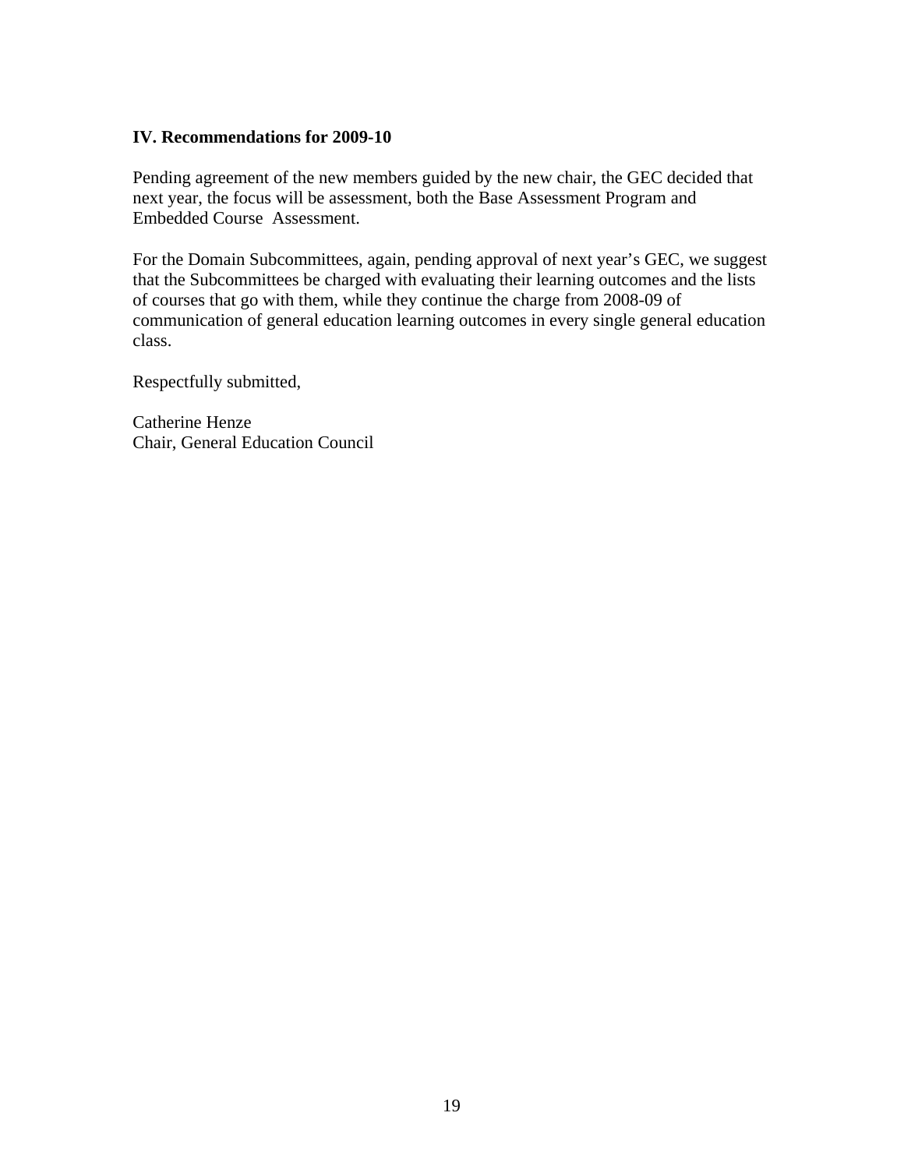### **IV. Recommendations for 2009-10**

Pending agreement of the new members guided by the new chair, the GEC decided that next year, the focus will be assessment, both the Base Assessment Program and Embedded Course Assessment.

For the Domain Subcommittees, again, pending approval of next year's GEC, we suggest that the Subcommittees be charged with evaluating their learning outcomes and the lists of courses that go with them, while they continue the charge from 2008-09 of communication of general education learning outcomes in every single general education class.

Respectfully submitted,

Catherine Henze Chair, General Education Council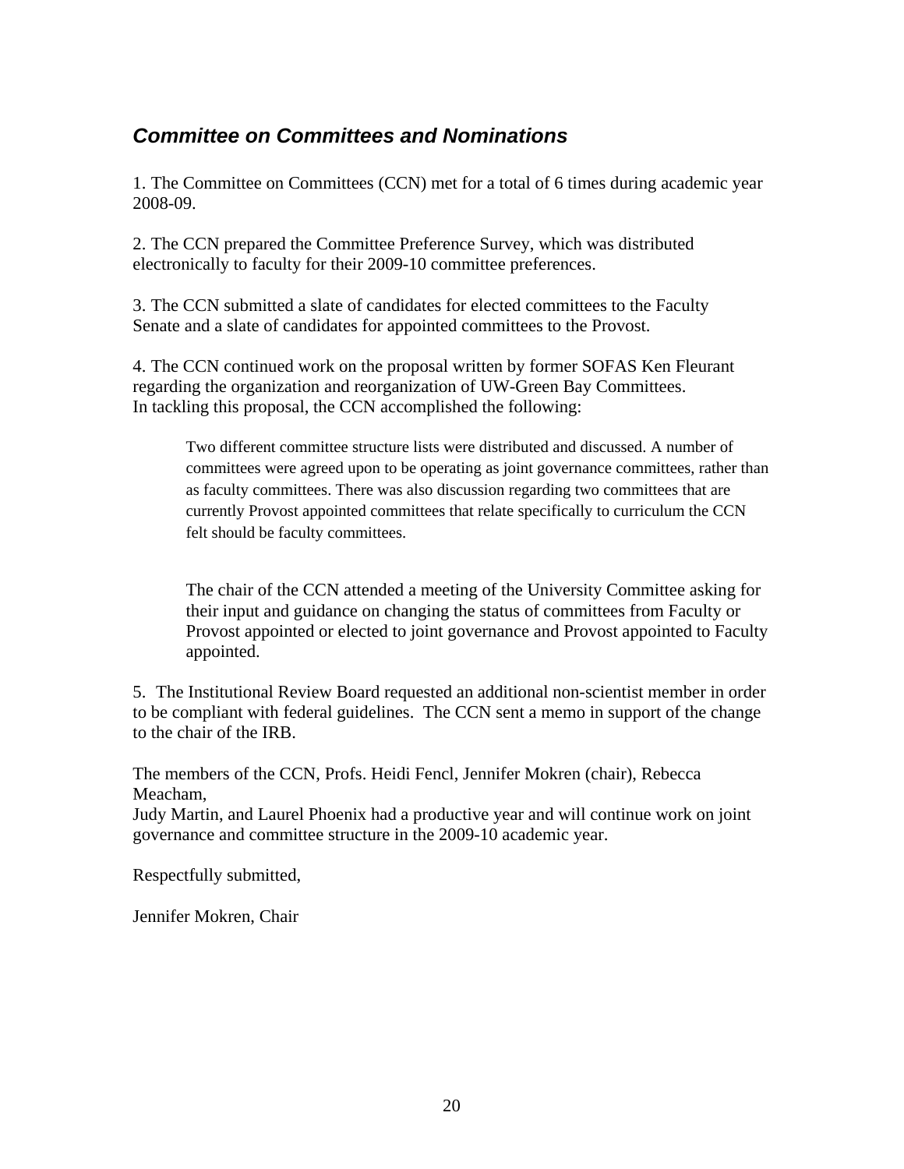## <span id="page-19-0"></span>*Committee on Committees and Nominations*

1. The Committee on Committees (CCN) met for a total of 6 times during academic year 2008-09.

2. The CCN prepared the Committee Preference Survey, which was distributed electronically to faculty for their 2009-10 committee preferences.

3. The CCN submitted a slate of candidates for elected committees to the Faculty Senate and a slate of candidates for appointed committees to the Provost.

4. The CCN continued work on the proposal written by former SOFAS Ken Fleurant regarding the organization and reorganization of UW-Green Bay Committees. In tackling this proposal, the CCN accomplished the following:

Two different committee structure lists were distributed and discussed. A number of committees were agreed upon to be operating as joint governance committees, rather than as faculty committees. There was also discussion regarding two committees that are currently Provost appointed committees that relate specifically to curriculum the CCN felt should be faculty committees.

The chair of the CCN attended a meeting of the University Committee asking for their input and guidance on changing the status of committees from Faculty or Provost appointed or elected to joint governance and Provost appointed to Faculty appointed.

5. The Institutional Review Board requested an additional non-scientist member in order to be compliant with federal guidelines. The CCN sent a memo in support of the change to the chair of the IRB.

The members of the CCN, Profs. Heidi Fencl, Jennifer Mokren (chair), Rebecca Meacham,

Judy Martin, and Laurel Phoenix had a productive year and will continue work on joint governance and committee structure in the 2009-10 academic year.

Respectfully submitted,

Jennifer Mokren, Chair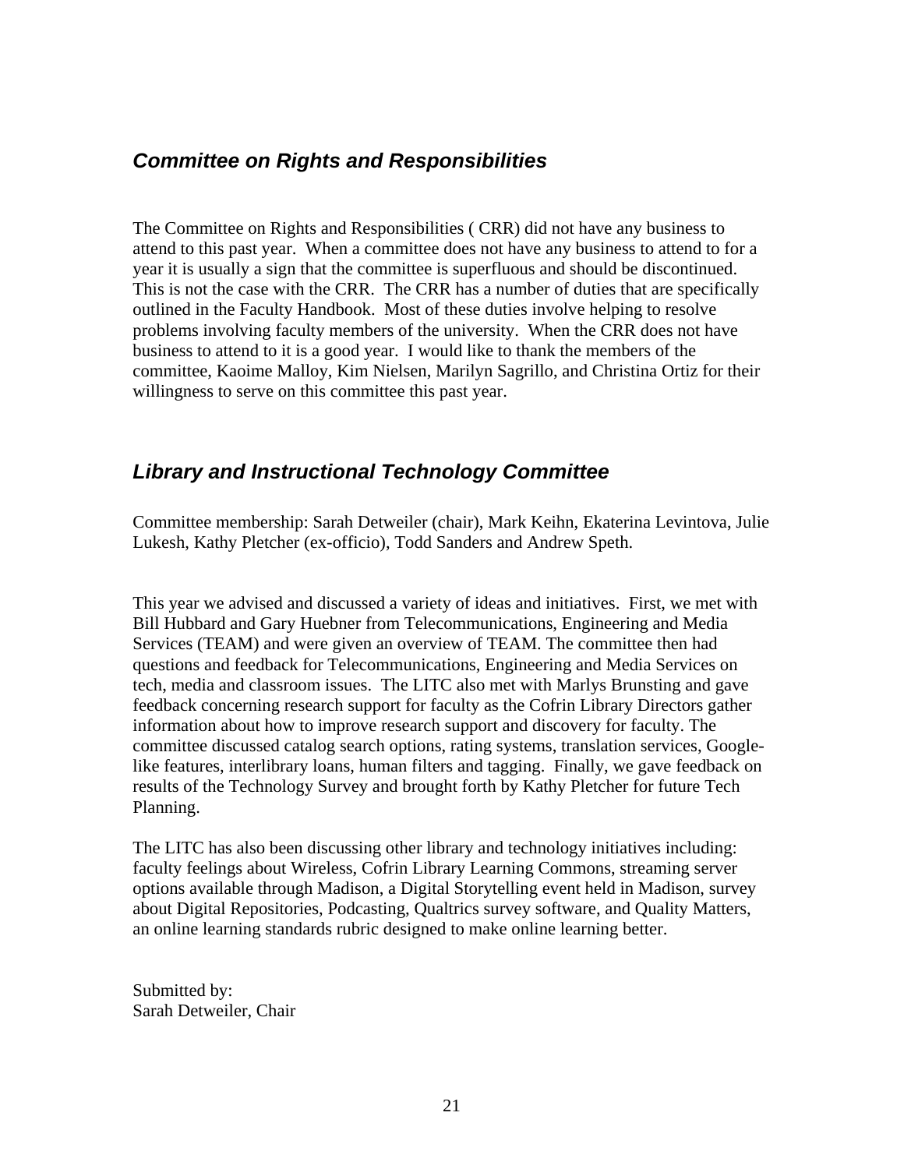### <span id="page-20-0"></span>*Committee on Rights and Responsibilities*

The Committee on Rights and Responsibilities ( CRR) did not have any business to attend to this past year. When a committee does not have any business to attend to for a year it is usually a sign that the committee is superfluous and should be discontinued. This is not the case with the CRR. The CRR has a number of duties that are specifically outlined in the Faculty Handbook. Most of these duties involve helping to resolve problems involving faculty members of the university. When the CRR does not have business to attend to it is a good year. I would like to thank the members of the committee, Kaoime Malloy, Kim Nielsen, Marilyn Sagrillo, and Christina Ortiz for their willingness to serve on this committee this past year.

### *Library and Instructional Technology Committee*

Committee membership: Sarah Detweiler (chair), Mark Keihn, Ekaterina Levintova, Julie Lukesh, Kathy Pletcher (ex-officio), Todd Sanders and Andrew Speth.

This year we advised and discussed a variety of ideas and initiatives. First, we met with Bill Hubbard and Gary Huebner from Telecommunications, Engineering and Media Services (TEAM) and were given an overview of TEAM. The committee then had questions and feedback for Telecommunications, Engineering and Media Services on tech, media and classroom issues. The LITC also met with Marlys Brunsting and gave feedback concerning research support for faculty as the Cofrin Library Directors gather information about how to improve research support and discovery for faculty. The committee discussed catalog search options, rating systems, translation services, Googlelike features, interlibrary loans, human filters and tagging. Finally, we gave feedback on results of the Technology Survey and brought forth by Kathy Pletcher for future Tech Planning.

The LITC has also been discussing other library and technology initiatives including: faculty feelings about Wireless, Cofrin Library Learning Commons, streaming server options available through Madison, a Digital Storytelling event held in Madison, survey about Digital Repositories, Podcasting, Qualtrics survey software, and Quality Matters, an online learning standards rubric designed to make online learning better.

Submitted by: Sarah Detweiler, Chair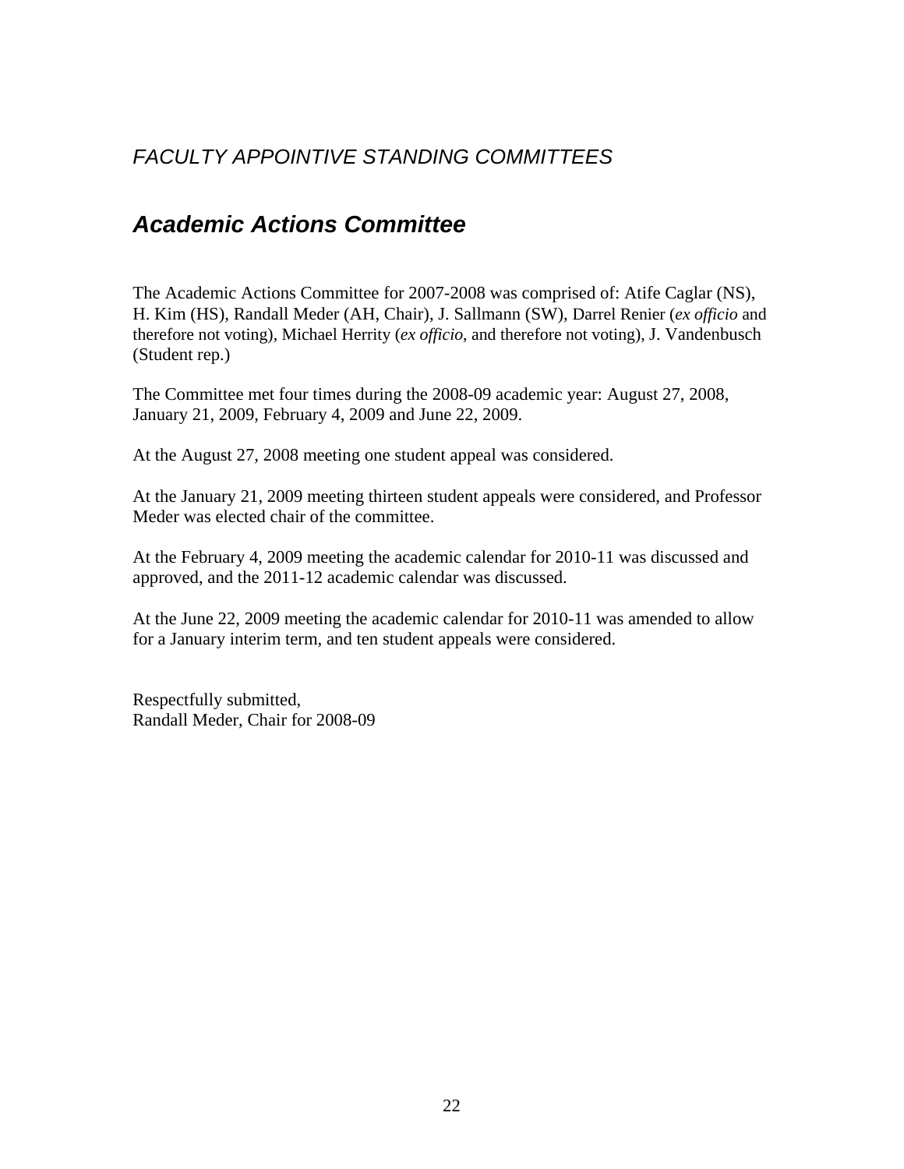## <span id="page-21-0"></span>*FACULTY APPOINTIVE STANDING COMMITTEES*

## *Academic Actions Committee*

The Academic Actions Committee for 2007-2008 was comprised of: Atife Caglar (NS), H. Kim (HS), Randall Meder (AH, Chair), J. Sallmann (SW), Darrel Renier (*ex officio* and therefore not voting), Michael Herrity (*ex officio*, and therefore not voting), J. Vandenbusch (Student rep.)

The Committee met four times during the 2008-09 academic year: August 27, 2008, January 21, 2009, February 4, 2009 and June 22, 2009.

At the August 27, 2008 meeting one student appeal was considered.

At the January 21, 2009 meeting thirteen student appeals were considered, and Professor Meder was elected chair of the committee.

At the February 4, 2009 meeting the academic calendar for 2010-11 was discussed and approved, and the 2011-12 academic calendar was discussed.

At the June 22, 2009 meeting the academic calendar for 2010-11 was amended to allow for a January interim term, and ten student appeals were considered.

Respectfully submitted, Randall Meder, Chair for 2008-09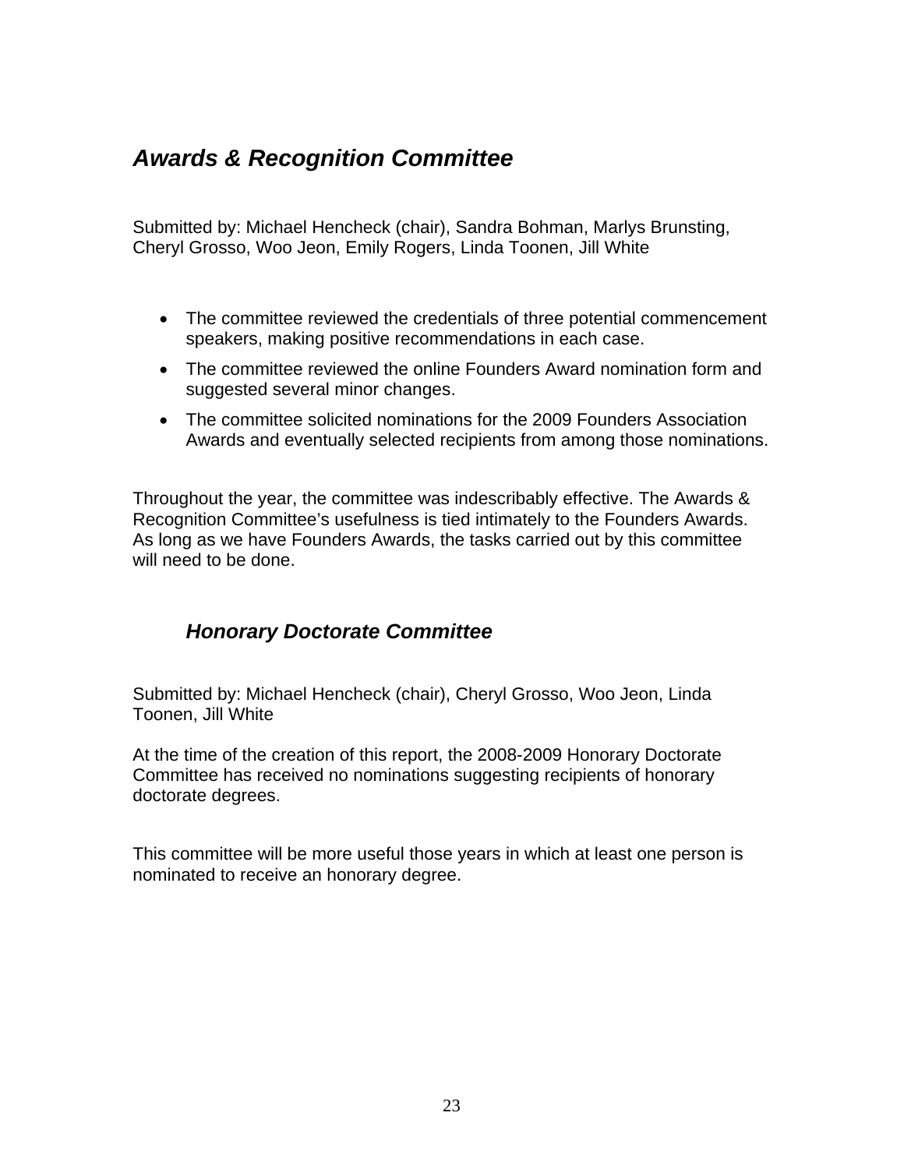## <span id="page-22-0"></span>*Awards & Recognition Committee*

Submitted by: Michael Hencheck (chair), Sandra Bohman, Marlys Brunsting, Cheryl Grosso, Woo Jeon, Emily Rogers, Linda Toonen, Jill White

- The committee reviewed the credentials of three potential commencement speakers, making positive recommendations in each case.
- The committee reviewed the online Founders Award nomination form and suggested several minor changes.
- The committee solicited nominations for the 2009 Founders Association Awards and eventually selected recipients from among those nominations.

Throughout the year, the committee was indescribably effective. The Awards & Recognition Committee's usefulness is tied intimately to the Founders Awards. As long as we have Founders Awards, the tasks carried out by this committee will need to be done.

## *Honorary Doctorate Committee*

Submitted by: Michael Hencheck (chair), Cheryl Grosso, Woo Jeon, Linda Toonen, Jill White

At the time of the creation of this report, the 2008-2009 Honorary Doctorate Committee has received no nominations suggesting recipients of honorary doctorate degrees.

This committee will be more useful those years in which at least one person is nominated to receive an honorary degree.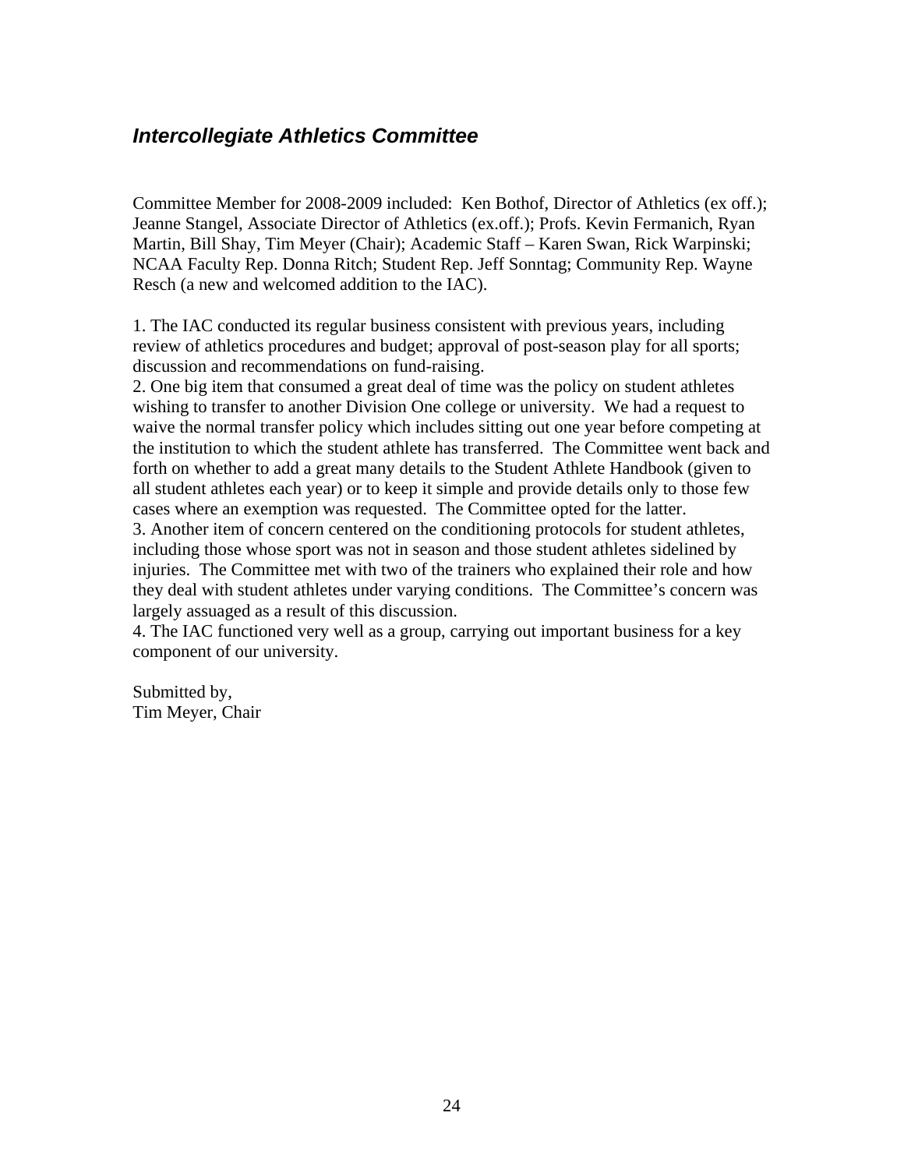## <span id="page-23-0"></span>*Intercollegiate Athletics Committee*

Committee Member for 2008-2009 included: Ken Bothof, Director of Athletics (ex off.); Jeanne Stangel, Associate Director of Athletics (ex.off.); Profs. Kevin Fermanich, Ryan Martin, Bill Shay, Tim Meyer (Chair); Academic Staff – Karen Swan, Rick Warpinski; NCAA Faculty Rep. Donna Ritch; Student Rep. Jeff Sonntag; Community Rep. Wayne Resch (a new and welcomed addition to the IAC).

1. The IAC conducted its regular business consistent with previous years, including review of athletics procedures and budget; approval of post-season play for all sports; discussion and recommendations on fund-raising.

2. One big item that consumed a great deal of time was the policy on student athletes wishing to transfer to another Division One college or university. We had a request to waive the normal transfer policy which includes sitting out one year before competing at the institution to which the student athlete has transferred. The Committee went back and forth on whether to add a great many details to the Student Athlete Handbook (given to all student athletes each year) or to keep it simple and provide details only to those few cases where an exemption was requested. The Committee opted for the latter.

3. Another item of concern centered on the conditioning protocols for student athletes, including those whose sport was not in season and those student athletes sidelined by injuries. The Committee met with two of the trainers who explained their role and how they deal with student athletes under varying conditions. The Committee's concern was largely assuaged as a result of this discussion.

4. The IAC functioned very well as a group, carrying out important business for a key component of our university.

Submitted by, Tim Meyer, Chair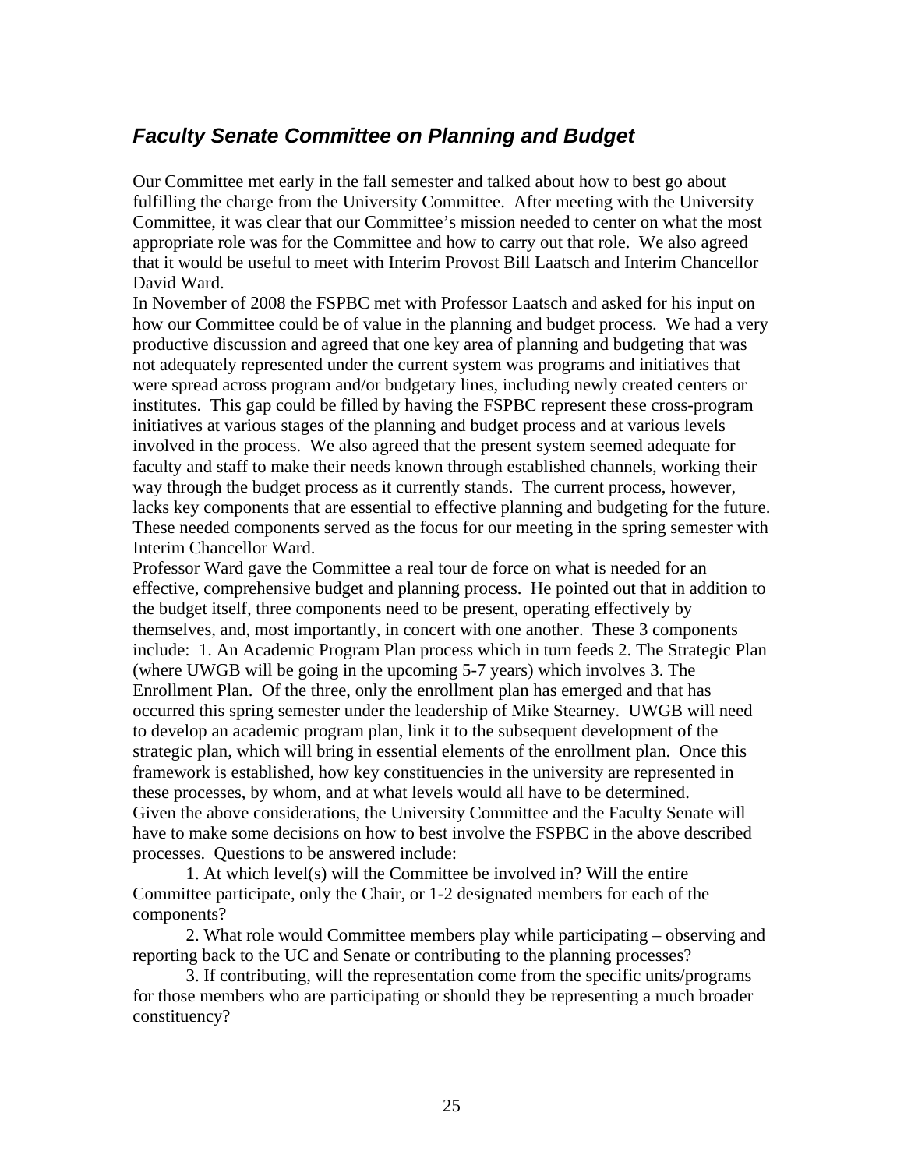## <span id="page-24-0"></span>*Faculty Senate Committee on Planning and Budget*

Our Committee met early in the fall semester and talked about how to best go about fulfilling the charge from the University Committee. After meeting with the University Committee, it was clear that our Committee's mission needed to center on what the most appropriate role was for the Committee and how to carry out that role. We also agreed that it would be useful to meet with Interim Provost Bill Laatsch and Interim Chancellor David Ward.

In November of 2008 the FSPBC met with Professor Laatsch and asked for his input on how our Committee could be of value in the planning and budget process. We had a very productive discussion and agreed that one key area of planning and budgeting that was not adequately represented under the current system was programs and initiatives that were spread across program and/or budgetary lines, including newly created centers or institutes. This gap could be filled by having the FSPBC represent these cross-program initiatives at various stages of the planning and budget process and at various levels involved in the process. We also agreed that the present system seemed adequate for faculty and staff to make their needs known through established channels, working their way through the budget process as it currently stands. The current process, however, lacks key components that are essential to effective planning and budgeting for the future. These needed components served as the focus for our meeting in the spring semester with Interim Chancellor Ward.

Professor Ward gave the Committee a real tour de force on what is needed for an effective, comprehensive budget and planning process. He pointed out that in addition to the budget itself, three components need to be present, operating effectively by themselves, and, most importantly, in concert with one another. These 3 components include: 1. An Academic Program Plan process which in turn feeds 2. The Strategic Plan (where UWGB will be going in the upcoming 5-7 years) which involves 3. The Enrollment Plan. Of the three, only the enrollment plan has emerged and that has occurred this spring semester under the leadership of Mike Stearney. UWGB will need to develop an academic program plan, link it to the subsequent development of the strategic plan, which will bring in essential elements of the enrollment plan. Once this framework is established, how key constituencies in the university are represented in these processes, by whom, and at what levels would all have to be determined. Given the above considerations, the University Committee and the Faculty Senate will have to make some decisions on how to best involve the FSPBC in the above described processes. Questions to be answered include:

 1. At which level(s) will the Committee be involved in? Will the entire Committee participate, only the Chair, or 1-2 designated members for each of the components?

 2. What role would Committee members play while participating – observing and reporting back to the UC and Senate or contributing to the planning processes?

 3. If contributing, will the representation come from the specific units/programs for those members who are participating or should they be representing a much broader constituency?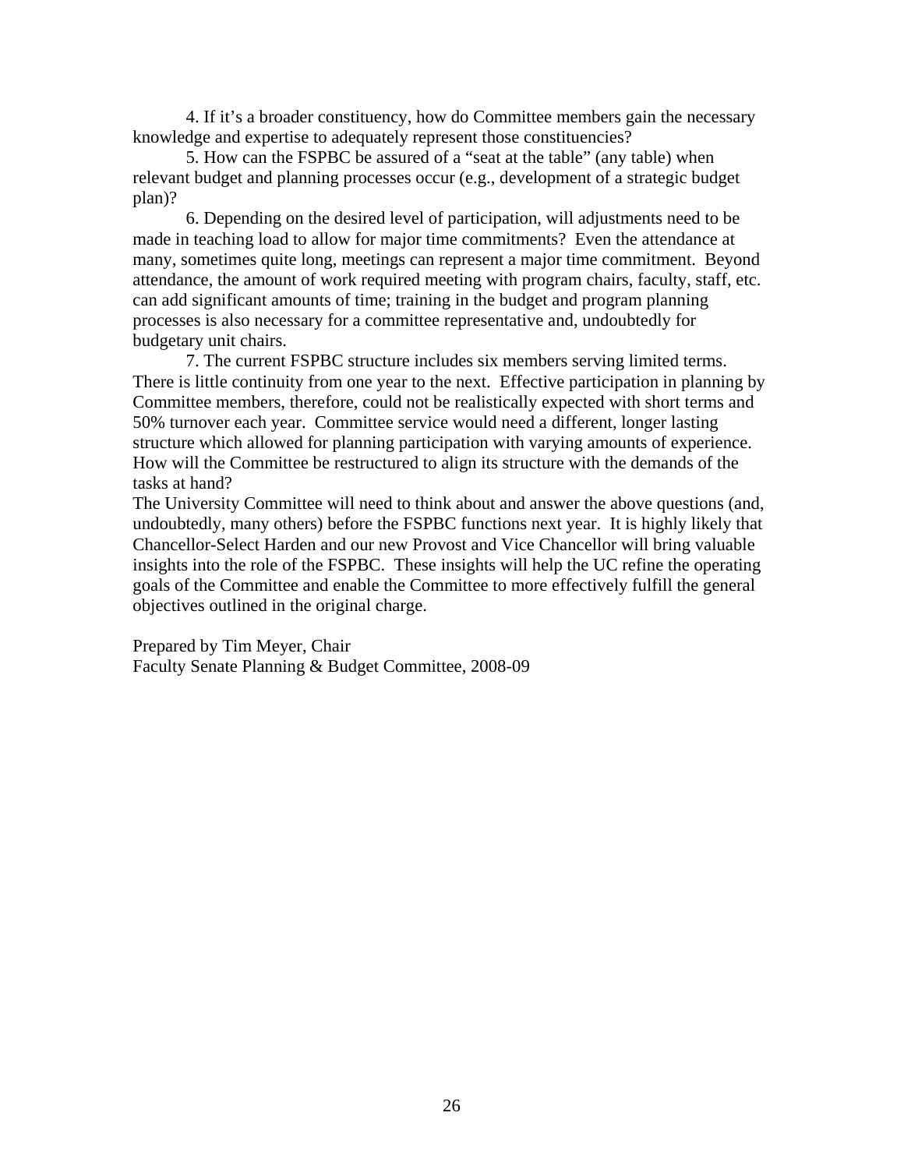4. If it's a broader constituency, how do Committee members gain the necessary knowledge and expertise to adequately represent those constituencies?

 5. How can the FSPBC be assured of a "seat at the table" (any table) when relevant budget and planning processes occur (e.g., development of a strategic budget plan)?

 6. Depending on the desired level of participation, will adjustments need to be made in teaching load to allow for major time commitments? Even the attendance at many, sometimes quite long, meetings can represent a major time commitment. Beyond attendance, the amount of work required meeting with program chairs, faculty, staff, etc. can add significant amounts of time; training in the budget and program planning processes is also necessary for a committee representative and, undoubtedly for budgetary unit chairs.

 7. The current FSPBC structure includes six members serving limited terms. There is little continuity from one year to the next. Effective participation in planning by Committee members, therefore, could not be realistically expected with short terms and 50% turnover each year. Committee service would need a different, longer lasting structure which allowed for planning participation with varying amounts of experience. How will the Committee be restructured to align its structure with the demands of the tasks at hand?

The University Committee will need to think about and answer the above questions (and, undoubtedly, many others) before the FSPBC functions next year. It is highly likely that Chancellor-Select Harden and our new Provost and Vice Chancellor will bring valuable insights into the role of the FSPBC. These insights will help the UC refine the operating goals of the Committee and enable the Committee to more effectively fulfill the general objectives outlined in the original charge.

Prepared by Tim Meyer, Chair Faculty Senate Planning & Budget Committee, 2008-09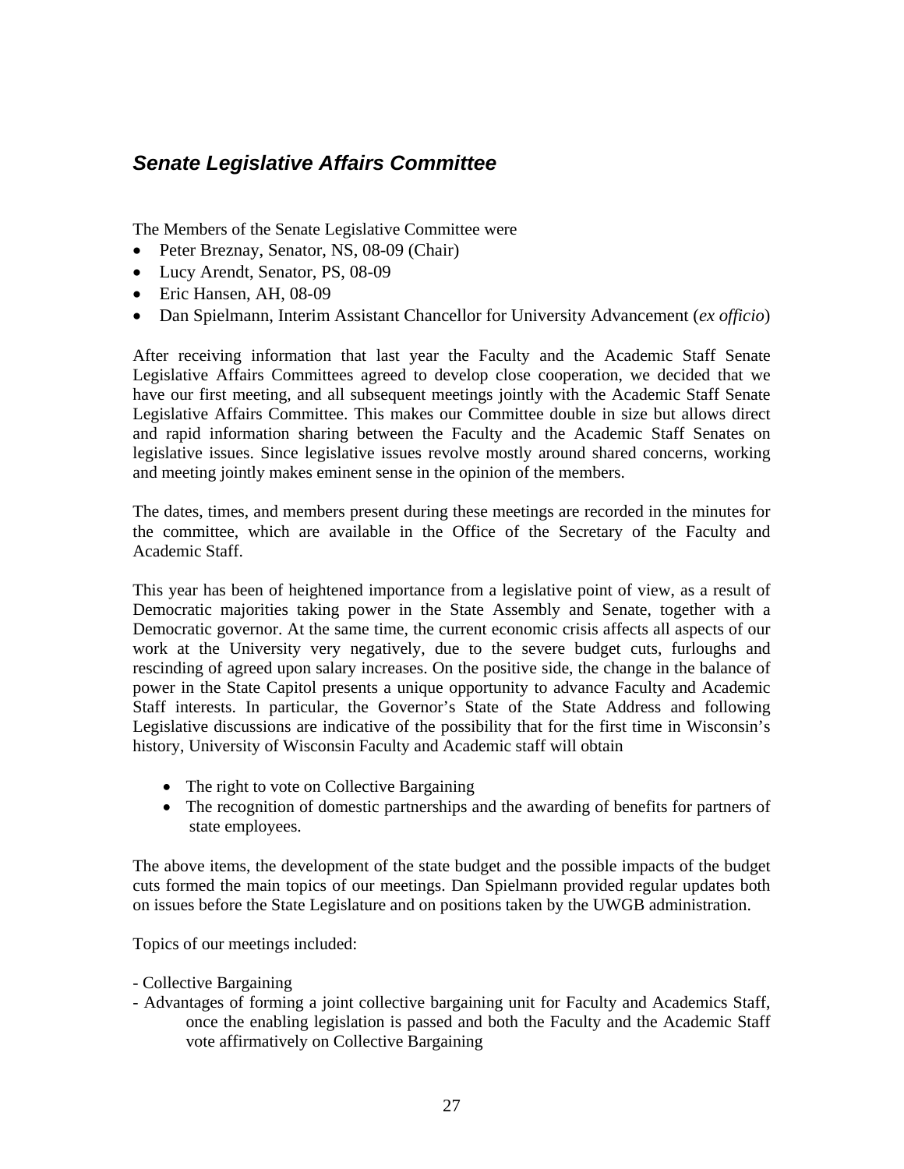## <span id="page-26-0"></span>*Senate Legislative Affairs Committee*

The Members of the Senate Legislative Committee were

- Peter Breznay, Senator, NS, 08-09 (Chair)
- Lucy Arendt, Senator, PS, 08-09
- Eric Hansen, AH, 08-09
- Dan Spielmann, Interim Assistant Chancellor for University Advancement (*ex officio*)

After receiving information that last year the Faculty and the Academic Staff Senate Legislative Affairs Committees agreed to develop close cooperation, we decided that we have our first meeting, and all subsequent meetings jointly with the Academic Staff Senate Legislative Affairs Committee. This makes our Committee double in size but allows direct and rapid information sharing between the Faculty and the Academic Staff Senates on legislative issues. Since legislative issues revolve mostly around shared concerns, working and meeting jointly makes eminent sense in the opinion of the members.

The dates, times, and members present during these meetings are recorded in the minutes for the committee, which are available in the Office of the Secretary of the Faculty and Academic Staff.

This year has been of heightened importance from a legislative point of view, as a result of Democratic majorities taking power in the State Assembly and Senate, together with a Democratic governor. At the same time, the current economic crisis affects all aspects of our work at the University very negatively, due to the severe budget cuts, furloughs and rescinding of agreed upon salary increases. On the positive side, the change in the balance of power in the State Capitol presents a unique opportunity to advance Faculty and Academic Staff interests. In particular, the Governor's State of the State Address and following Legislative discussions are indicative of the possibility that for the first time in Wisconsin's history, University of Wisconsin Faculty and Academic staff will obtain

- The right to vote on Collective Bargaining
- The recognition of domestic partnerships and the awarding of benefits for partners of state employees.

The above items, the development of the state budget and the possible impacts of the budget cuts formed the main topics of our meetings. Dan Spielmann provided regular updates both on issues before the State Legislature and on positions taken by the UWGB administration.

Topics of our meetings included:

- Collective Bargaining
- Advantages of forming a joint collective bargaining unit for Faculty and Academics Staff, once the enabling legislation is passed and both the Faculty and the Academic Staff vote affirmatively on Collective Bargaining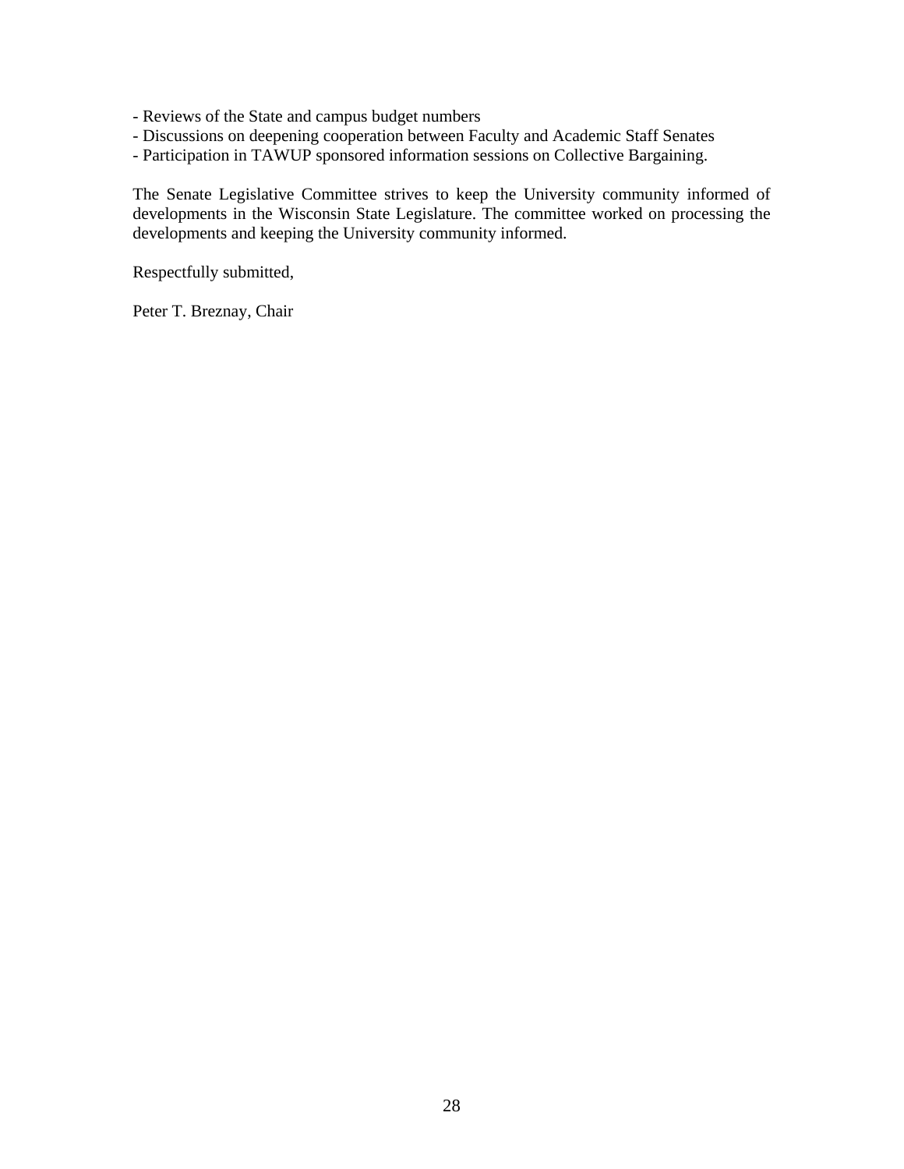- Reviews of the State and campus budget numbers
- Discussions on deepening cooperation between Faculty and Academic Staff Senates
- Participation in TAWUP sponsored information sessions on Collective Bargaining.

The Senate Legislative Committee strives to keep the University community informed of developments in the Wisconsin State Legislature. The committee worked on processing the developments and keeping the University community informed.

Respectfully submitted,

Peter T. Breznay, Chair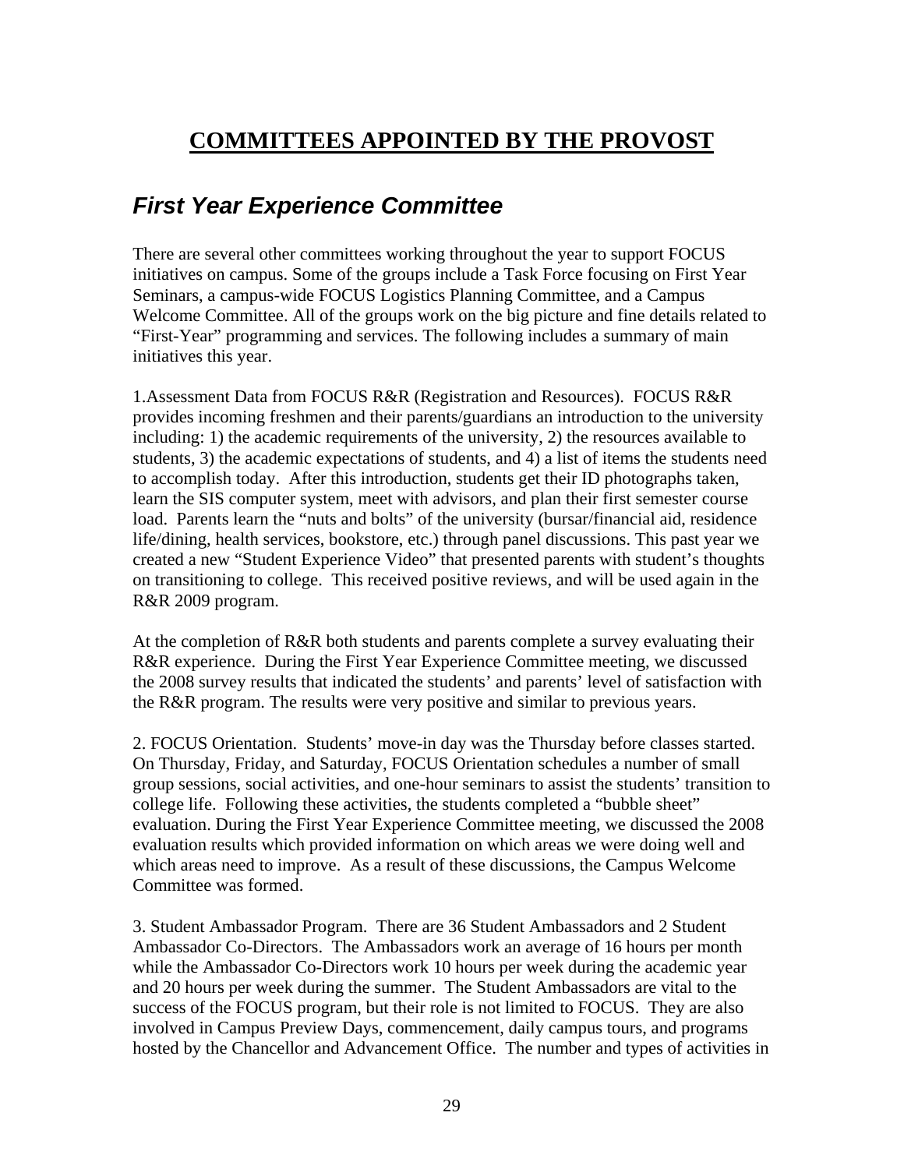## <span id="page-28-0"></span>**COMMITTEES APPOINTED BY THE PROVOST**

## *First Year Experience Committee*

There are several other committees working throughout the year to support FOCUS initiatives on campus. Some of the groups include a Task Force focusing on First Year Seminars, a campus-wide FOCUS Logistics Planning Committee, and a Campus Welcome Committee. All of the groups work on the big picture and fine details related to "First-Year" programming and services. The following includes a summary of main initiatives this year.

1.Assessment Data from FOCUS R&R (Registration and Resources). FOCUS R&R provides incoming freshmen and their parents/guardians an introduction to the university including: 1) the academic requirements of the university, 2) the resources available to students, 3) the academic expectations of students, and 4) a list of items the students need to accomplish today. After this introduction, students get their ID photographs taken, learn the SIS computer system, meet with advisors, and plan their first semester course load. Parents learn the "nuts and bolts" of the university (bursar/financial aid, residence life/dining, health services, bookstore, etc.) through panel discussions. This past year we created a new "Student Experience Video" that presented parents with student's thoughts on transitioning to college. This received positive reviews, and will be used again in the R&R 2009 program.

At the completion of R&R both students and parents complete a survey evaluating their R&R experience. During the First Year Experience Committee meeting, we discussed the 2008 survey results that indicated the students' and parents' level of satisfaction with the R&R program. The results were very positive and similar to previous years.

2. FOCUS Orientation. Students' move-in day was the Thursday before classes started. On Thursday, Friday, and Saturday, FOCUS Orientation schedules a number of small group sessions, social activities, and one-hour seminars to assist the students' transition to college life. Following these activities, the students completed a "bubble sheet" evaluation. During the First Year Experience Committee meeting, we discussed the 2008 evaluation results which provided information on which areas we were doing well and which areas need to improve. As a result of these discussions, the Campus Welcome Committee was formed.

3. Student Ambassador Program. There are 36 Student Ambassadors and 2 Student Ambassador Co-Directors. The Ambassadors work an average of 16 hours per month while the Ambassador Co-Directors work 10 hours per week during the academic year and 20 hours per week during the summer. The Student Ambassadors are vital to the success of the FOCUS program, but their role is not limited to FOCUS. They are also involved in Campus Preview Days, commencement, daily campus tours, and programs hosted by the Chancellor and Advancement Office. The number and types of activities in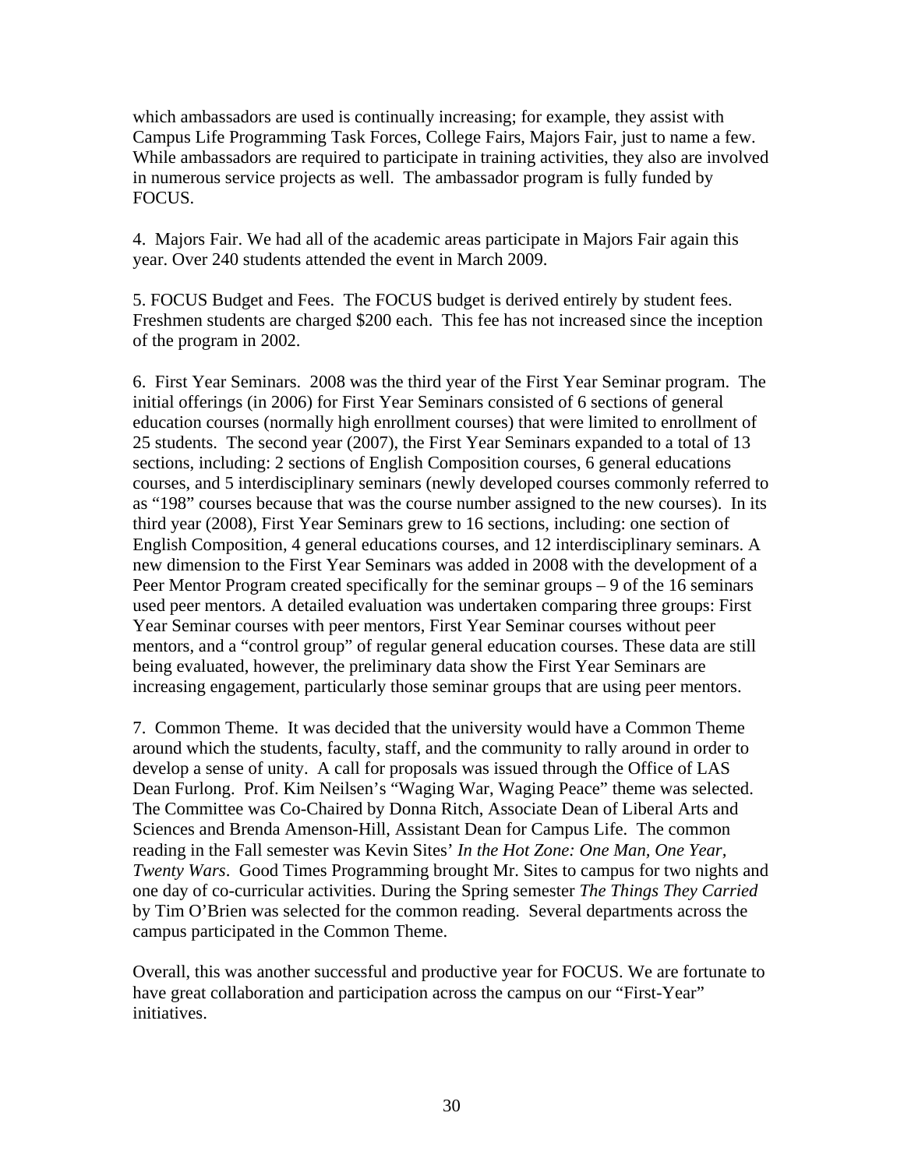which ambassadors are used is continually increasing; for example, they assist with Campus Life Programming Task Forces, College Fairs, Majors Fair, just to name a few. While ambassadors are required to participate in training activities, they also are involved in numerous service projects as well. The ambassador program is fully funded by FOCUS.

4. Majors Fair. We had all of the academic areas participate in Majors Fair again this year. Over 240 students attended the event in March 2009.

5. FOCUS Budget and Fees. The FOCUS budget is derived entirely by student fees. Freshmen students are charged \$200 each. This fee has not increased since the inception of the program in 2002.

6. First Year Seminars. 2008 was the third year of the First Year Seminar program. The initial offerings (in 2006) for First Year Seminars consisted of 6 sections of general education courses (normally high enrollment courses) that were limited to enrollment of 25 students. The second year (2007), the First Year Seminars expanded to a total of 13 sections, including: 2 sections of English Composition courses, 6 general educations courses, and 5 interdisciplinary seminars (newly developed courses commonly referred to as "198" courses because that was the course number assigned to the new courses). In its third year (2008), First Year Seminars grew to 16 sections, including: one section of English Composition, 4 general educations courses, and 12 interdisciplinary seminars. A new dimension to the First Year Seminars was added in 2008 with the development of a Peer Mentor Program created specifically for the seminar groups – 9 of the 16 seminars used peer mentors. A detailed evaluation was undertaken comparing three groups: First Year Seminar courses with peer mentors, First Year Seminar courses without peer mentors, and a "control group" of regular general education courses. These data are still being evaluated, however, the preliminary data show the First Year Seminars are increasing engagement, particularly those seminar groups that are using peer mentors.

7. Common Theme. It was decided that the university would have a Common Theme around which the students, faculty, staff, and the community to rally around in order to develop a sense of unity. A call for proposals was issued through the Office of LAS Dean Furlong. Prof. Kim Neilsen's "Waging War, Waging Peace" theme was selected. The Committee was Co-Chaired by Donna Ritch, Associate Dean of Liberal Arts and Sciences and Brenda Amenson-Hill, Assistant Dean for Campus Life. The common reading in the Fall semester was Kevin Sites' *In the Hot Zone: One Man, One Year, Twenty Wars*. Good Times Programming brought Mr. Sites to campus for two nights and one day of co-curricular activities. During the Spring semester *The Things They Carried* by Tim O'Brien was selected for the common reading. Several departments across the campus participated in the Common Theme.

Overall, this was another successful and productive year for FOCUS. We are fortunate to have great collaboration and participation across the campus on our "First-Year" initiatives.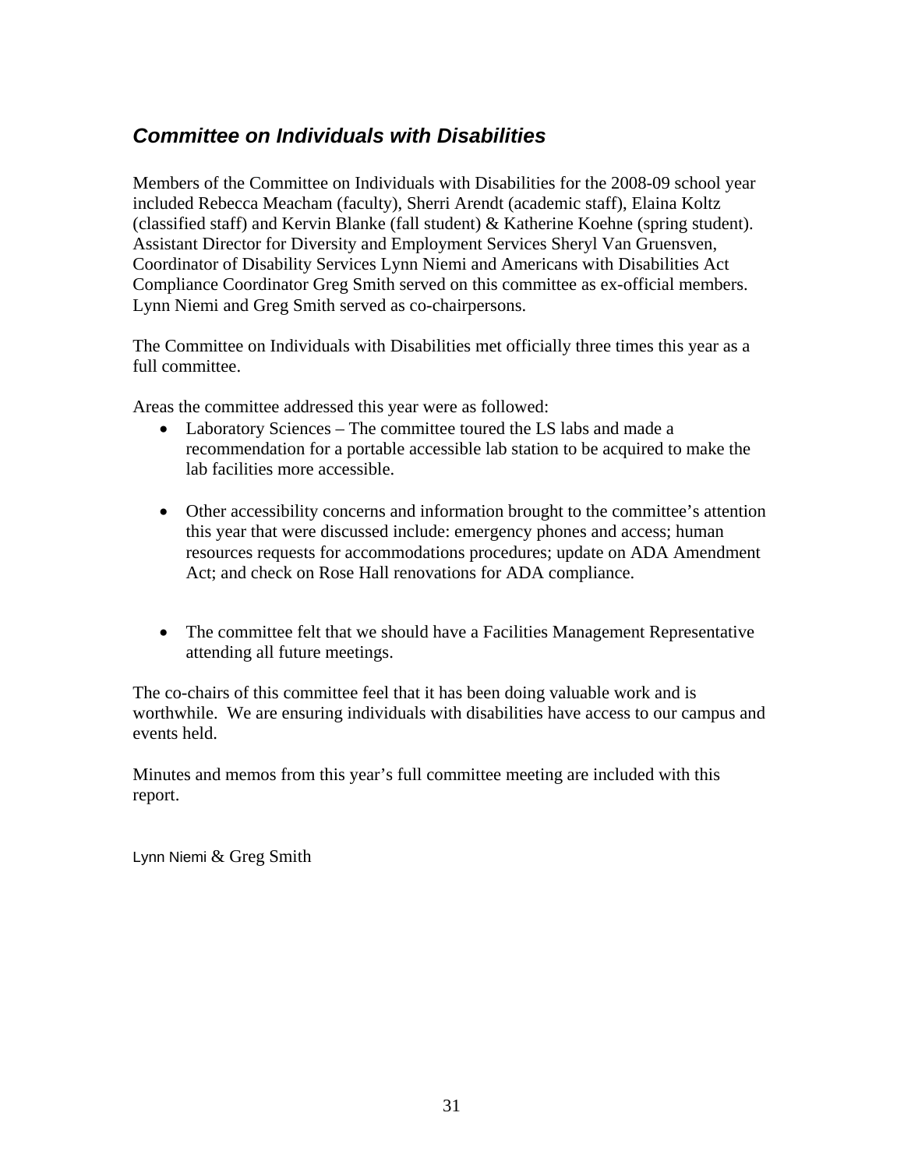## <span id="page-30-0"></span>*Committee on Individuals with Disabilities*

Members of the Committee on Individuals with Disabilities for the 2008-09 school year included Rebecca Meacham (faculty), Sherri Arendt (academic staff), Elaina Koltz (classified staff) and Kervin Blanke (fall student) & Katherine Koehne (spring student). Assistant Director for Diversity and Employment Services Sheryl Van Gruensven, Coordinator of Disability Services Lynn Niemi and Americans with Disabilities Act Compliance Coordinator Greg Smith served on this committee as ex-official members. Lynn Niemi and Greg Smith served as co-chairpersons.

The Committee on Individuals with Disabilities met officially three times this year as a full committee.

Areas the committee addressed this year were as followed:

- Laboratory Sciences The committee toured the LS labs and made a recommendation for a portable accessible lab station to be acquired to make the lab facilities more accessible.
- Other accessibility concerns and information brought to the committee's attention this year that were discussed include: emergency phones and access; human resources requests for accommodations procedures; update on ADA Amendment Act; and check on Rose Hall renovations for ADA compliance.
- The committee felt that we should have a Facilities Management Representative attending all future meetings.

The co-chairs of this committee feel that it has been doing valuable work and is worthwhile. We are ensuring individuals with disabilities have access to our campus and events held.

Minutes and memos from this year's full committee meeting are included with this report.

Lynn Niemi & Greg Smith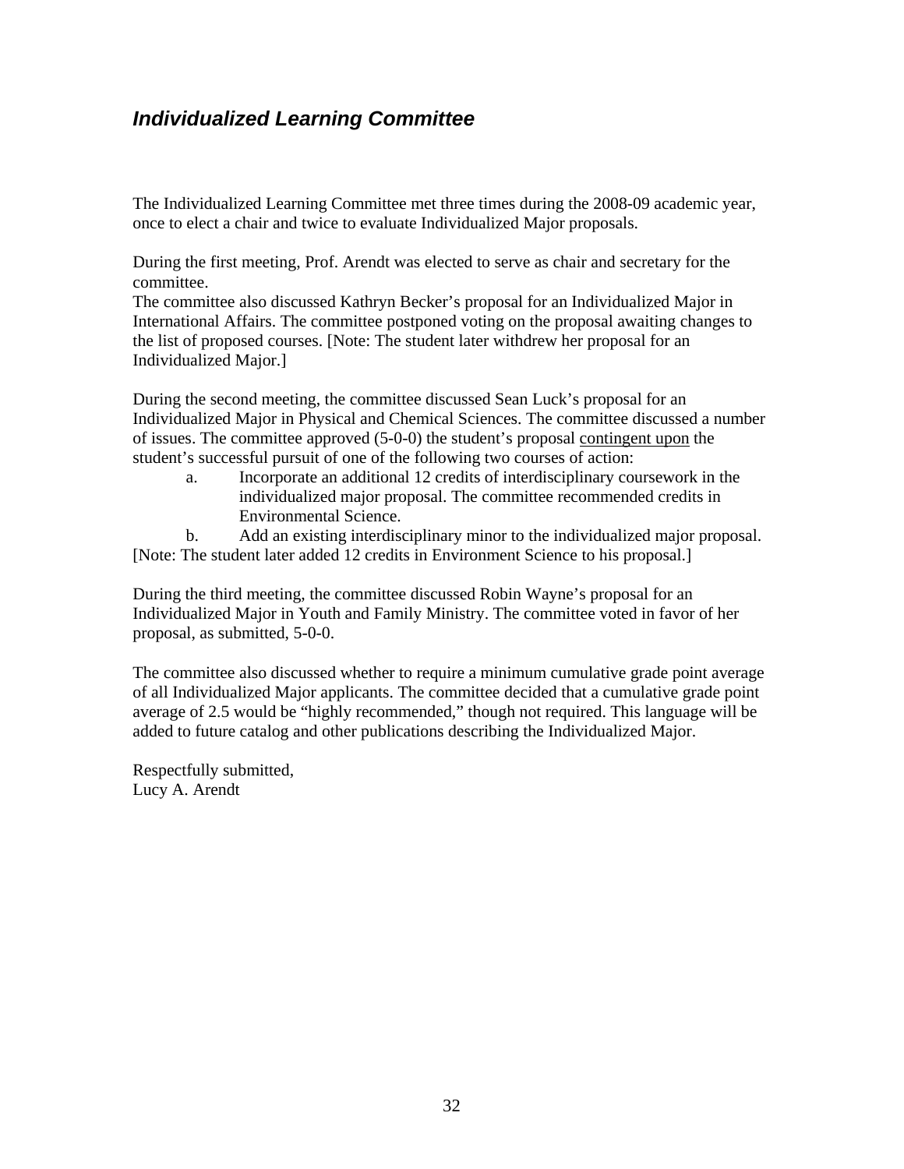## <span id="page-31-0"></span>*Individualized Learning Committee*

The Individualized Learning Committee met three times during the 2008-09 academic year, once to elect a chair and twice to evaluate Individualized Major proposals.

During the first meeting, Prof. Arendt was elected to serve as chair and secretary for the committee.

The committee also discussed Kathryn Becker's proposal for an Individualized Major in International Affairs. The committee postponed voting on the proposal awaiting changes to the list of proposed courses. [Note: The student later withdrew her proposal for an Individualized Major.]

During the second meeting, the committee discussed Sean Luck's proposal for an Individualized Major in Physical and Chemical Sciences. The committee discussed a number of issues. The committee approved (5-0-0) the student's proposal contingent upon the student's successful pursuit of one of the following two courses of action:

a. Incorporate an additional 12 credits of interdisciplinary coursework in the individualized major proposal. The committee recommended credits in Environmental Science.

b. Add an existing interdisciplinary minor to the individualized major proposal. [Note: The student later added 12 credits in Environment Science to his proposal.]

During the third meeting, the committee discussed Robin Wayne's proposal for an Individualized Major in Youth and Family Ministry. The committee voted in favor of her proposal, as submitted, 5-0-0.

The committee also discussed whether to require a minimum cumulative grade point average of all Individualized Major applicants. The committee decided that a cumulative grade point average of 2.5 would be "highly recommended," though not required. This language will be added to future catalog and other publications describing the Individualized Major.

Respectfully submitted, Lucy A. Arendt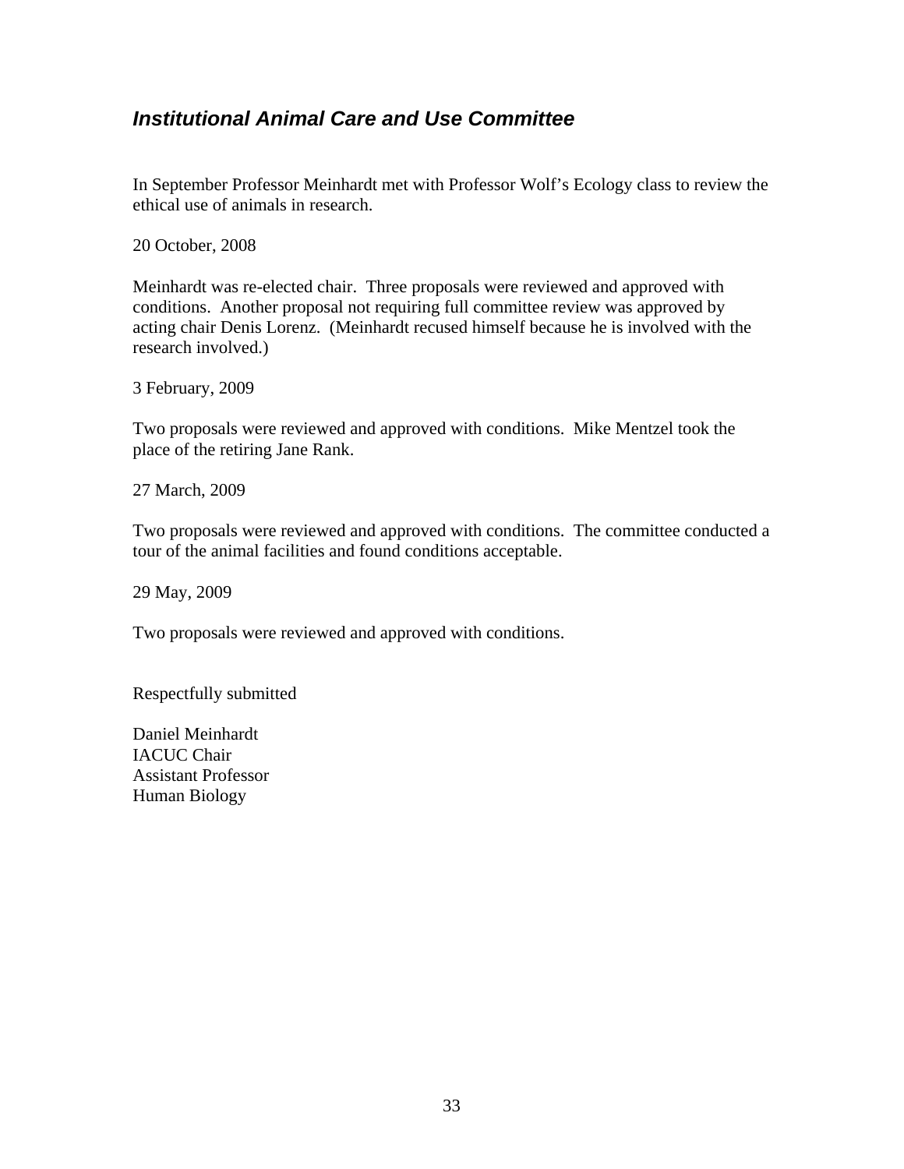## <span id="page-32-0"></span>*Institutional Animal Care and Use Committee*

In September Professor Meinhardt met with Professor Wolf's Ecology class to review the ethical use of animals in research.

20 October, 2008

Meinhardt was re-elected chair. Three proposals were reviewed and approved with conditions. Another proposal not requiring full committee review was approved by acting chair Denis Lorenz. (Meinhardt recused himself because he is involved with the research involved.)

3 February, 2009

Two proposals were reviewed and approved with conditions. Mike Mentzel took the place of the retiring Jane Rank.

27 March, 2009

Two proposals were reviewed and approved with conditions. The committee conducted a tour of the animal facilities and found conditions acceptable.

29 May, 2009

Two proposals were reviewed and approved with conditions.

Respectfully submitted

Daniel Meinhardt IACUC Chair Assistant Professor Human Biology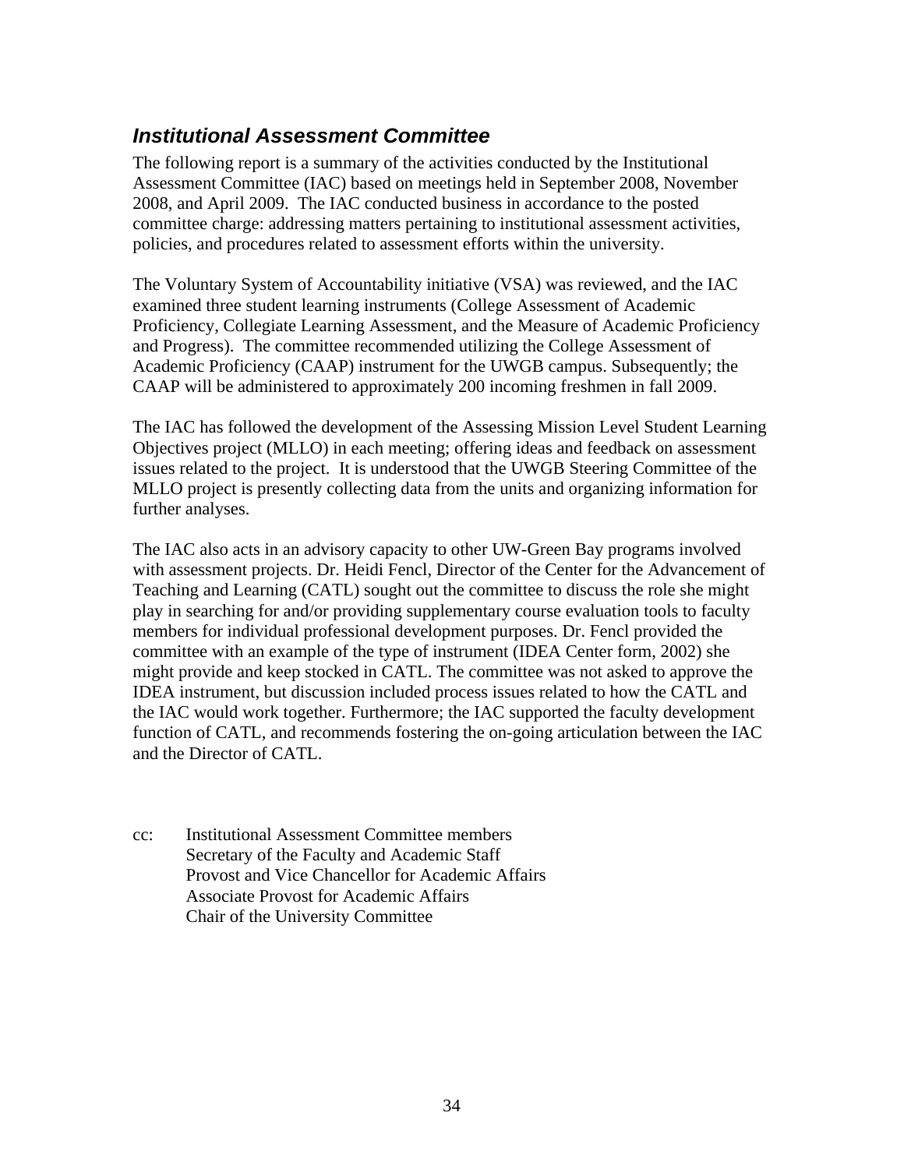## <span id="page-33-0"></span>*Institutional Assessment Committee*

The following report is a summary of the activities conducted by the Institutional Assessment Committee (IAC) based on meetings held in September 2008, November 2008, and April 2009. The IAC conducted business in accordance to the posted committee charge: addressing matters pertaining to institutional assessment activities, policies, and procedures related to assessment efforts within the university.

The Voluntary System of Accountability initiative (VSA) was reviewed, and the IAC examined three student learning instruments (College Assessment of Academic Proficiency, Collegiate Learning Assessment, and the Measure of Academic Proficiency and Progress). The committee recommended utilizing the College Assessment of Academic Proficiency (CAAP) instrument for the UWGB campus. Subsequently; the CAAP will be administered to approximately 200 incoming freshmen in fall 2009.

The IAC has followed the development of the Assessing Mission Level Student Learning Objectives project (MLLO) in each meeting; offering ideas and feedback on assessment issues related to the project. It is understood that the UWGB Steering Committee of the MLLO project is presently collecting data from the units and organizing information for further analyses.

The IAC also acts in an advisory capacity to other UW-Green Bay programs involved with assessment projects. Dr. Heidi Fencl, Director of the Center for the Advancement of Teaching and Learning (CATL) sought out the committee to discuss the role she might play in searching for and/or providing supplementary course evaluation tools to faculty members for individual professional development purposes. Dr. Fencl provided the committee with an example of the type of instrument (IDEA Center form, 2002) she might provide and keep stocked in CATL. The committee was not asked to approve the IDEA instrument, but discussion included process issues related to how the CATL and the IAC would work together. Furthermore; the IAC supported the faculty development function of CATL, and recommends fostering the on-going articulation between the IAC and the Director of CATL.

cc: Institutional Assessment Committee members Secretary of the Faculty and Academic Staff Provost and Vice Chancellor for Academic Affairs Associate Provost for Academic Affairs Chair of the University Committee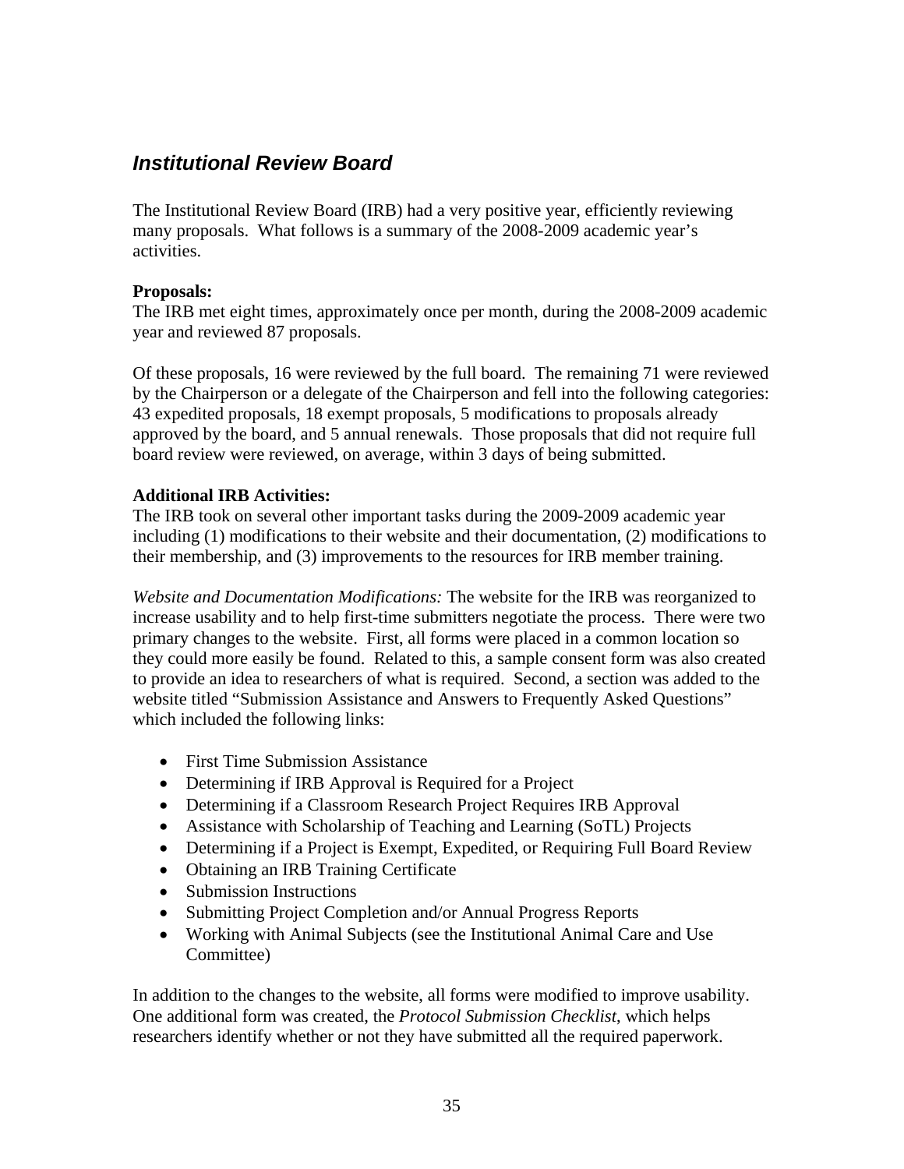## <span id="page-34-0"></span>*Institutional Review Board*

The Institutional Review Board (IRB) had a very positive year, efficiently reviewing many proposals. What follows is a summary of the 2008-2009 academic year's activities.

### **Proposals:**

The IRB met eight times, approximately once per month, during the 2008-2009 academic year and reviewed 87 proposals.

Of these proposals, 16 were reviewed by the full board. The remaining 71 were reviewed by the Chairperson or a delegate of the Chairperson and fell into the following categories: 43 expedited proposals, 18 exempt proposals, 5 modifications to proposals already approved by the board, and 5 annual renewals. Those proposals that did not require full board review were reviewed, on average, within 3 days of being submitted.

### **Additional IRB Activities:**

The IRB took on several other important tasks during the 2009-2009 academic year including (1) modifications to their website and their documentation, (2) modifications to their membership, and (3) improvements to the resources for IRB member training.

*Website and Documentation Modifications:* The website for the IRB was reorganized to increase usability and to help first-time submitters negotiate the process. There were two primary changes to the website. First, all forms were placed in a common location so they could more easily be found. Related to this, a sample consent form was also created to provide an idea to researchers of what is required. Second, a section was added to the website titled "Submission Assistance and Answers to Frequently Asked Questions" which included the following links:

- First Time Submission Assistance
- Determining if IRB Approval is Required for a Project
- Determining if a Classroom Research Project Requires IRB Approval
- Assistance with Scholarship of Teaching and Learning (SoTL) Projects
- Determining if a Project is Exempt, Expedited, or Requiring Full Board Review
- Obtaining an IRB Training Certificate
- Submission Instructions
- Submitting Project Completion and/or Annual Progress Reports
- Working with Animal Subjects (see the Institutional Animal Care and Use Committee)

In addition to the changes to the website, all forms were modified to improve usability. One additional form was created, the *Protocol Submission Checklist*, which helps researchers identify whether or not they have submitted all the required paperwork.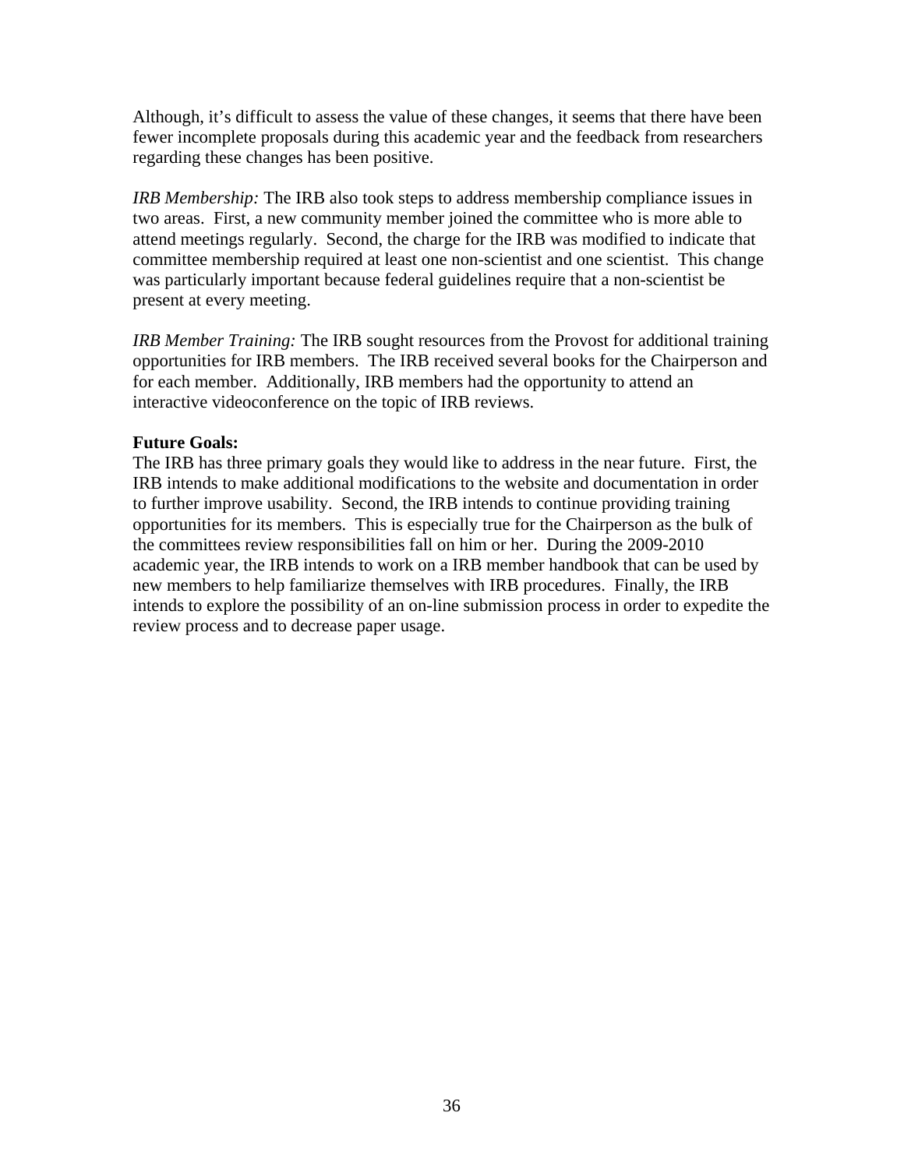Although, it's difficult to assess the value of these changes, it seems that there have been fewer incomplete proposals during this academic year and the feedback from researchers regarding these changes has been positive.

*IRB Membership:* The IRB also took steps to address membership compliance issues in two areas. First, a new community member joined the committee who is more able to attend meetings regularly. Second, the charge for the IRB was modified to indicate that committee membership required at least one non-scientist and one scientist. This change was particularly important because federal guidelines require that a non-scientist be present at every meeting.

*IRB Member Training:* The IRB sought resources from the Provost for additional training opportunities for IRB members. The IRB received several books for the Chairperson and for each member. Additionally, IRB members had the opportunity to attend an interactive videoconference on the topic of IRB reviews.

### **Future Goals:**

The IRB has three primary goals they would like to address in the near future. First, the IRB intends to make additional modifications to the website and documentation in order to further improve usability. Second, the IRB intends to continue providing training opportunities for its members. This is especially true for the Chairperson as the bulk of the committees review responsibilities fall on him or her. During the 2009-2010 academic year, the IRB intends to work on a IRB member handbook that can be used by new members to help familiarize themselves with IRB procedures. Finally, the IRB intends to explore the possibility of an on-line submission process in order to expedite the review process and to decrease paper usage.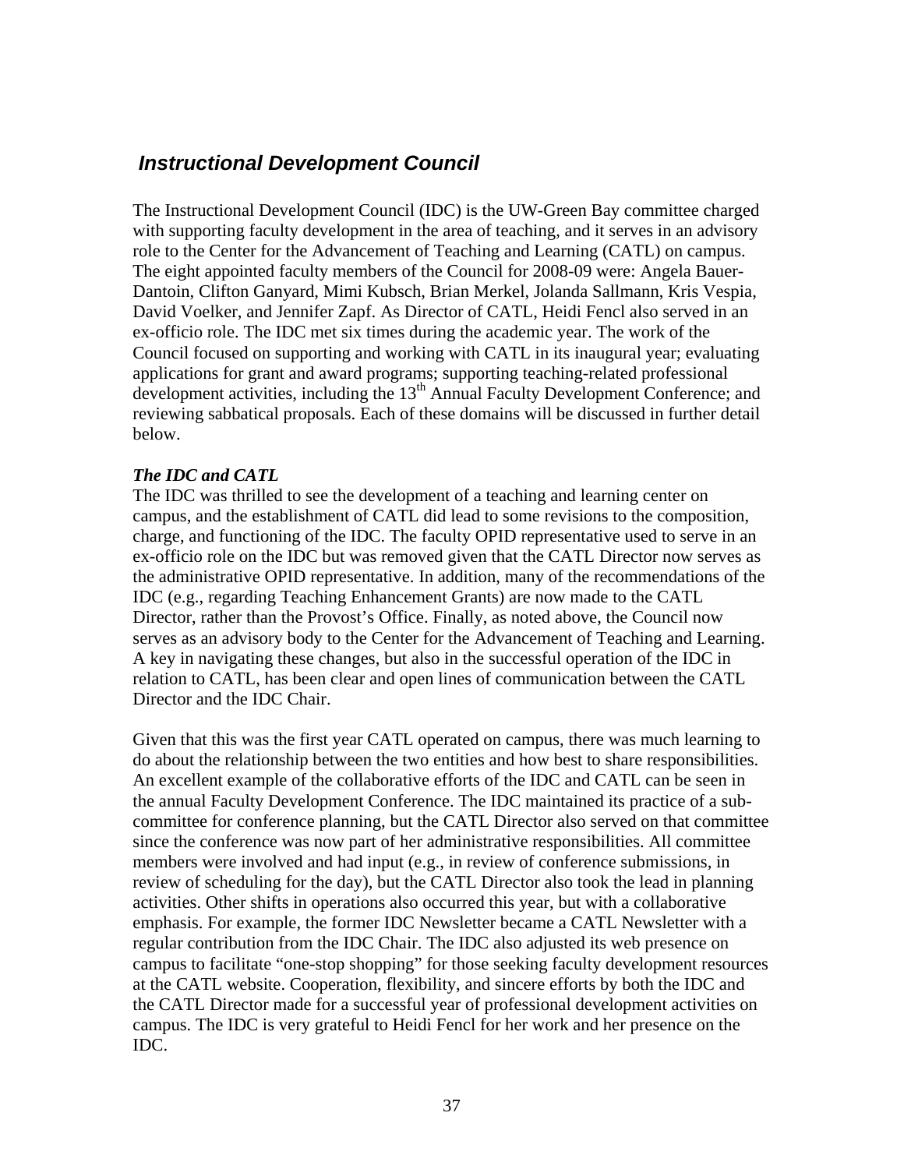## <span id="page-36-0"></span> *Instructional Development Council*

The Instructional Development Council (IDC) is the UW-Green Bay committee charged with supporting faculty development in the area of teaching, and it serves in an advisory role to the Center for the Advancement of Teaching and Learning (CATL) on campus. The eight appointed faculty members of the Council for 2008-09 were: Angela Bauer-Dantoin, Clifton Ganyard, Mimi Kubsch, Brian Merkel, Jolanda Sallmann, Kris Vespia, David Voelker, and Jennifer Zapf. As Director of CATL, Heidi Fencl also served in an ex-officio role. The IDC met six times during the academic year. The work of the Council focused on supporting and working with CATL in its inaugural year; evaluating applications for grant and award programs; supporting teaching-related professional development activities, including the 13<sup>th</sup> Annual Faculty Development Conference; and reviewing sabbatical proposals. Each of these domains will be discussed in further detail below.

### *The IDC and CATL*

The IDC was thrilled to see the development of a teaching and learning center on campus, and the establishment of CATL did lead to some revisions to the composition, charge, and functioning of the IDC. The faculty OPID representative used to serve in an ex-officio role on the IDC but was removed given that the CATL Director now serves as the administrative OPID representative. In addition, many of the recommendations of the IDC (e.g., regarding Teaching Enhancement Grants) are now made to the CATL Director, rather than the Provost's Office. Finally, as noted above, the Council now serves as an advisory body to the Center for the Advancement of Teaching and Learning. A key in navigating these changes, but also in the successful operation of the IDC in relation to CATL, has been clear and open lines of communication between the CATL Director and the IDC Chair.

Given that this was the first year CATL operated on campus, there was much learning to do about the relationship between the two entities and how best to share responsibilities. An excellent example of the collaborative efforts of the IDC and CATL can be seen in the annual Faculty Development Conference. The IDC maintained its practice of a subcommittee for conference planning, but the CATL Director also served on that committee since the conference was now part of her administrative responsibilities. All committee members were involved and had input (e.g., in review of conference submissions, in review of scheduling for the day), but the CATL Director also took the lead in planning activities. Other shifts in operations also occurred this year, but with a collaborative emphasis. For example, the former IDC Newsletter became a CATL Newsletter with a regular contribution from the IDC Chair. The IDC also adjusted its web presence on campus to facilitate "one-stop shopping" for those seeking faculty development resources at the CATL website. Cooperation, flexibility, and sincere efforts by both the IDC and the CATL Director made for a successful year of professional development activities on campus. The IDC is very grateful to Heidi Fencl for her work and her presence on the IDC.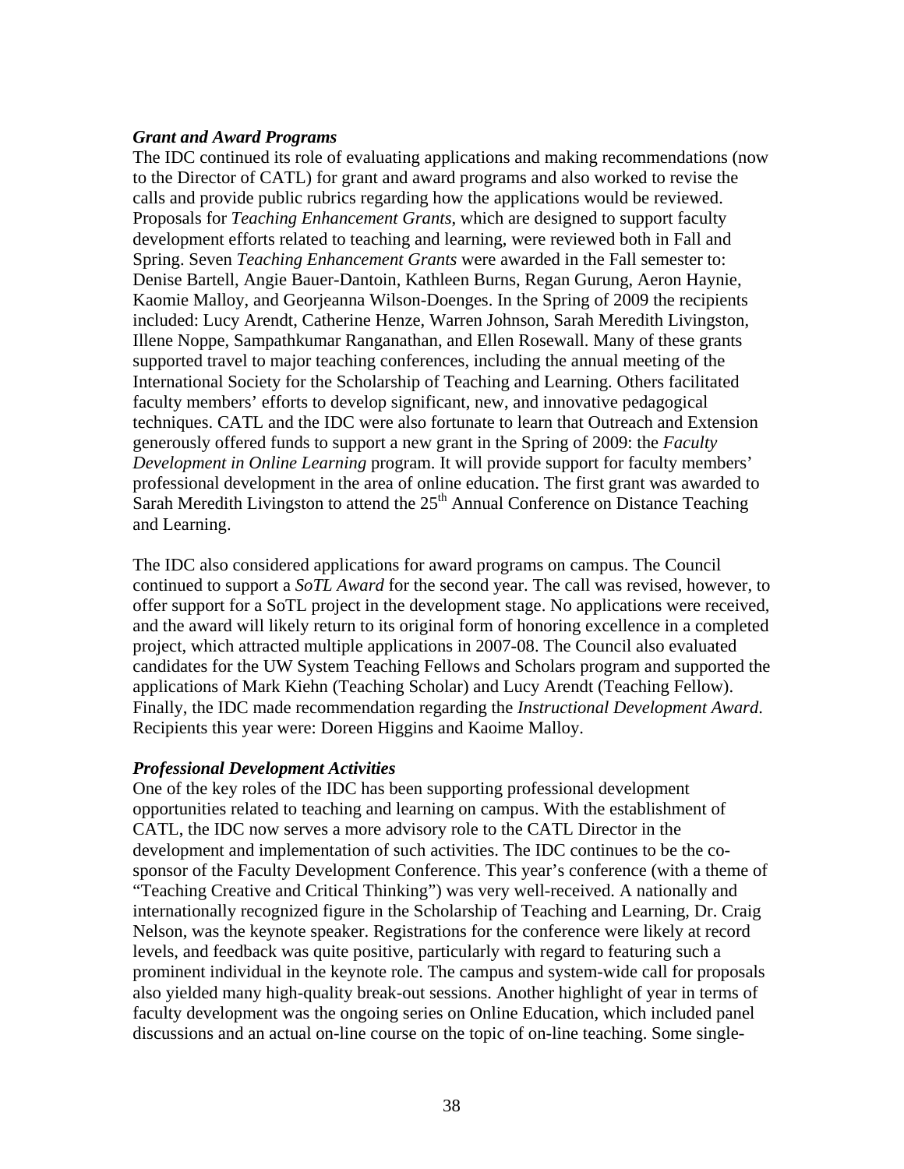### *Grant and Award Programs*

The IDC continued its role of evaluating applications and making recommendations (now to the Director of CATL) for grant and award programs and also worked to revise the calls and provide public rubrics regarding how the applications would be reviewed. Proposals for *Teaching Enhancement Grants*, which are designed to support faculty development efforts related to teaching and learning, were reviewed both in Fall and Spring. Seven *Teaching Enhancement Grants* were awarded in the Fall semester to: Denise Bartell, Angie Bauer-Dantoin, Kathleen Burns, Regan Gurung, Aeron Haynie, Kaomie Malloy, and Georjeanna Wilson-Doenges. In the Spring of 2009 the recipients included: Lucy Arendt, Catherine Henze, Warren Johnson, Sarah Meredith Livingston, Illene Noppe, Sampathkumar Ranganathan, and Ellen Rosewall. Many of these grants supported travel to major teaching conferences, including the annual meeting of the International Society for the Scholarship of Teaching and Learning. Others facilitated faculty members' efforts to develop significant, new, and innovative pedagogical techniques. CATL and the IDC were also fortunate to learn that Outreach and Extension generously offered funds to support a new grant in the Spring of 2009: the *Faculty Development in Online Learning* program. It will provide support for faculty members' professional development in the area of online education. The first grant was awarded to Sarah Meredith Livingston to attend the  $25<sup>th</sup>$  Annual Conference on Distance Teaching and Learning.

The IDC also considered applications for award programs on campus. The Council continued to support a *SoTL Award* for the second year. The call was revised, however, to offer support for a SoTL project in the development stage. No applications were received, and the award will likely return to its original form of honoring excellence in a completed project, which attracted multiple applications in 2007-08. The Council also evaluated candidates for the UW System Teaching Fellows and Scholars program and supported the applications of Mark Kiehn (Teaching Scholar) and Lucy Arendt (Teaching Fellow). Finally, the IDC made recommendation regarding the *Instructional Development Award*. Recipients this year were: Doreen Higgins and Kaoime Malloy.

### *Professional Development Activities*

One of the key roles of the IDC has been supporting professional development opportunities related to teaching and learning on campus. With the establishment of CATL, the IDC now serves a more advisory role to the CATL Director in the development and implementation of such activities. The IDC continues to be the cosponsor of the Faculty Development Conference. This year's conference (with a theme of "Teaching Creative and Critical Thinking") was very well-received. A nationally and internationally recognized figure in the Scholarship of Teaching and Learning, Dr. Craig Nelson, was the keynote speaker. Registrations for the conference were likely at record levels, and feedback was quite positive, particularly with regard to featuring such a prominent individual in the keynote role. The campus and system-wide call for proposals also yielded many high-quality break-out sessions. Another highlight of year in terms of faculty development was the ongoing series on Online Education, which included panel discussions and an actual on-line course on the topic of on-line teaching. Some single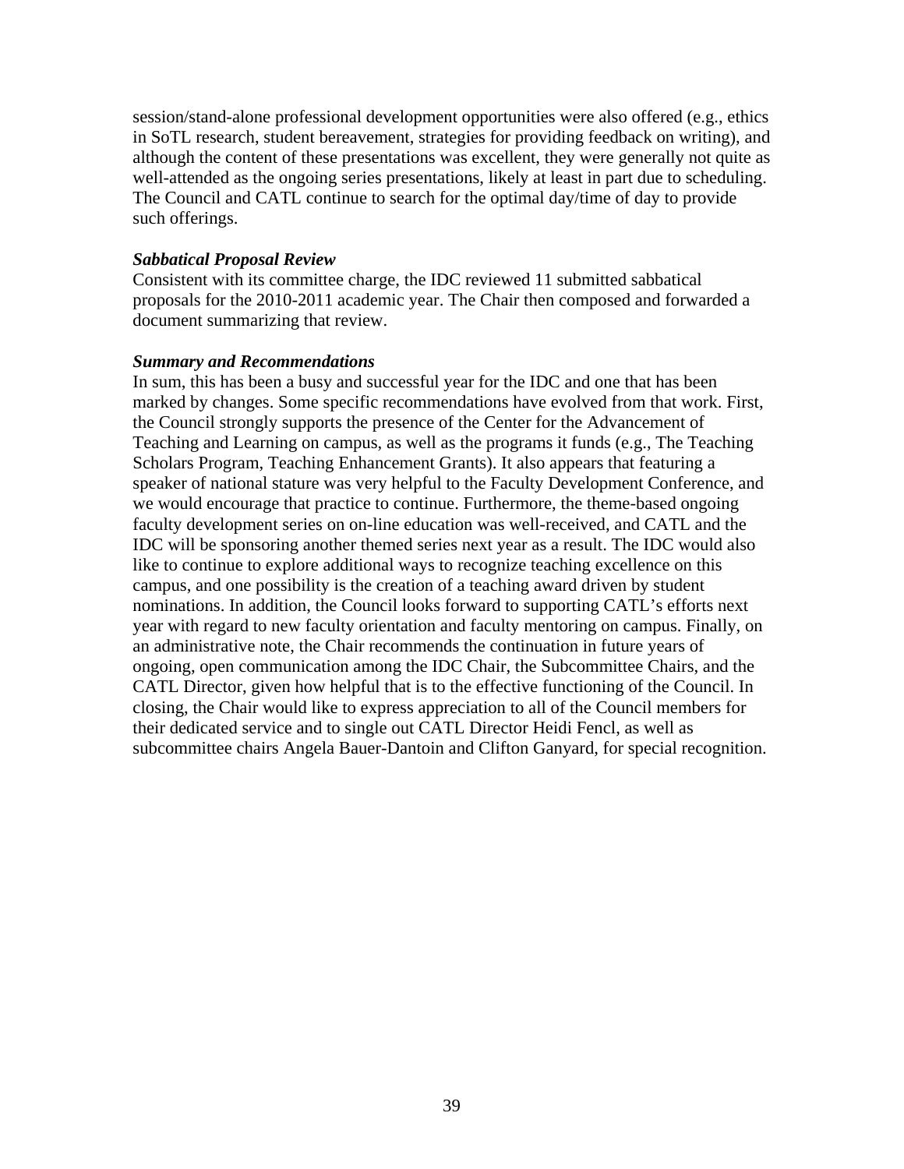session/stand-alone professional development opportunities were also offered (e.g., ethics in SoTL research, student bereavement, strategies for providing feedback on writing), and although the content of these presentations was excellent, they were generally not quite as well-attended as the ongoing series presentations, likely at least in part due to scheduling. The Council and CATL continue to search for the optimal day/time of day to provide such offerings.

### *Sabbatical Proposal Review*

Consistent with its committee charge, the IDC reviewed 11 submitted sabbatical proposals for the 2010-2011 academic year. The Chair then composed and forwarded a document summarizing that review.

### *Summary and Recommendations*

In sum, this has been a busy and successful year for the IDC and one that has been marked by changes. Some specific recommendations have evolved from that work. First, the Council strongly supports the presence of the Center for the Advancement of Teaching and Learning on campus, as well as the programs it funds (e.g., The Teaching Scholars Program, Teaching Enhancement Grants). It also appears that featuring a speaker of national stature was very helpful to the Faculty Development Conference, and we would encourage that practice to continue. Furthermore, the theme-based ongoing faculty development series on on-line education was well-received, and CATL and the IDC will be sponsoring another themed series next year as a result. The IDC would also like to continue to explore additional ways to recognize teaching excellence on this campus, and one possibility is the creation of a teaching award driven by student nominations. In addition, the Council looks forward to supporting CATL's efforts next year with regard to new faculty orientation and faculty mentoring on campus. Finally, on an administrative note, the Chair recommends the continuation in future years of ongoing, open communication among the IDC Chair, the Subcommittee Chairs, and the CATL Director, given how helpful that is to the effective functioning of the Council. In closing, the Chair would like to express appreciation to all of the Council members for their dedicated service and to single out CATL Director Heidi Fencl, as well as subcommittee chairs Angela Bauer-Dantoin and Clifton Ganyard, for special recognition.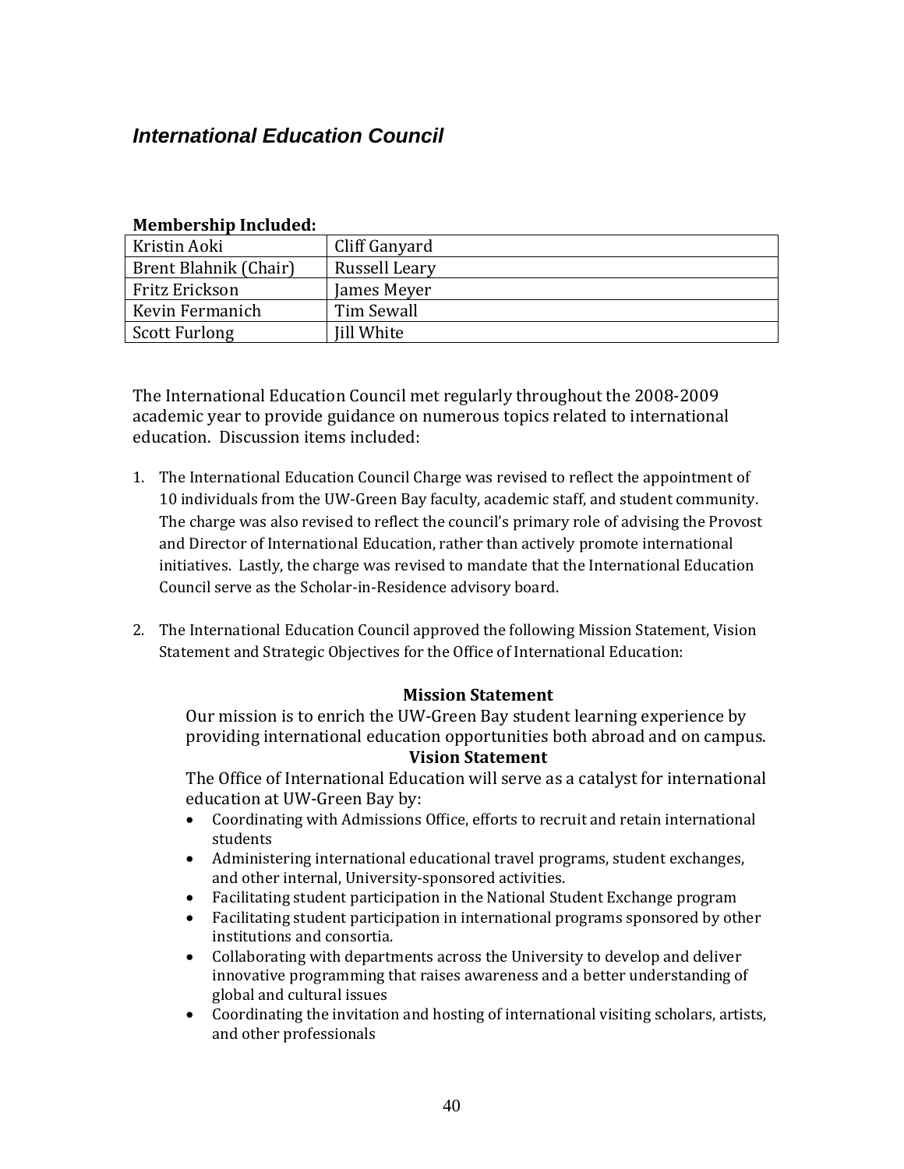## <span id="page-39-0"></span>*International Education Council*

| Mennet sing menadeu.  |                   |  |
|-----------------------|-------------------|--|
| Kristin Aoki          | Cliff Ganyard     |  |
| Brent Blahnik (Chair) | Russell Leary     |  |
| Fritz Erickson        | James Meyer       |  |
| Kevin Fermanich       | Tim Sewall        |  |
| Scott Furlong         | <b>Iill White</b> |  |

### **Membership Included:**

The International Education Council met regularly throughout the 2008‐2009 academic year to provide guidance on numerous topics related to international education. Discussion items included:

- 1. The International Education Council Charge was revised to reflect the appointment of 10 individuals from the UW‐Green Bay faculty, academic staff, and student community. The charge was also revised to reflect the council's primary role of advising the Provost and Director of International Education, rather than actively promote international initiatives. Lastly, the charge was revised to mandate that the International Education Council serve as the Scholar‐in‐Residence advisory board.
- . The International Education Council approved the following Mission Statement, Vision 2 Statement and Strategic Objectives for the Office of International Education:

### **Mission Statement**

Our mission is to enrich the UW‐Green Bay student learning experience by providing international education opportunities both abroad and on campus.

### **Vision Statement**

The Office of International Education will serve as a catalyst for international edu cation at UW‐Green Bay by:

- Coordinating with Admissions Office, efforts to recruit and retain international students
- Administering international educational travel programs, student exchanges, and other internal, University‐sponsored activities.
- Facilitating student participation in the National Student Exchange program
- Facilitating student participation in international programs sponsored by other institutions and consortia.
- Collaborating with departments across the University to develop and deliver innovative programming that raises awareness and a better understanding of global and cultural issues
- Coordinating the invitation and hosting of international visiting scholars, artists, and other professionals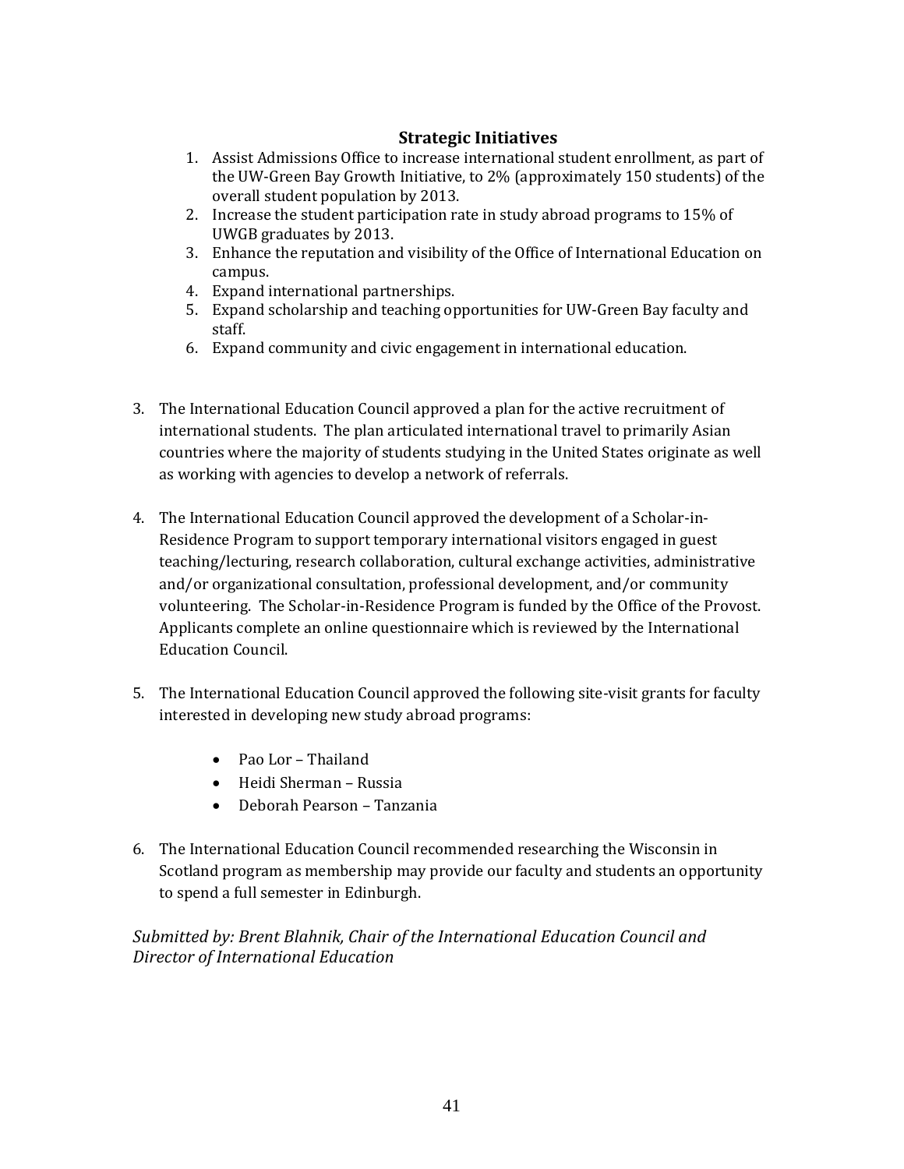### **Strategic Initiatives**

- 1. Assist Admissions Office to increase international student enrollment, as part of the UW‐Green Bay Growth Initiative, to 2% (approximately 150 students) of the overall student population by 2013.
- 2. Increase the student participation rate in study abroad programs to 15% of UWGB graduates by 2013.
- 3. Enhance the reputation and visibility of the Office of International Education on campus.
- 4. Expand international partnerships.
- 5. Expand scholarship and teaching opportunities for UW‐Green Bay faculty and staff.
- 6. Expand community and civic engagement in international education.
- 3. The International Education Council approved a plan for the active recruitment of international students. The plan articulated international travel to primarily Asian countries where the majority of students studying in the United States originate as well as working with agencies to develop a network of referrals.
- 4. The International Education Council approved the development of a Scholar‐in‐ Residence Program to support temporary international visitors engaged in guest teaching/lecturing, research collaboration, cultural exchange activities, administrative and/or organizational consultation, professional development, and/or community volunteering. The Scholar-in-Residence Program is funded by the Office of the Provost. Applicants complete an online questionnaire which is reviewed by the International Education Council.
- 5. The International Education Council approved the following site-visit grants for faculty interested in developing new study abroad programs:
	- Pao Lor Thailand
	- Heidi Sherman Russia
	- Deborah Pearson Tanzania
- 6. The International Education Council recommended researching the Wisconsin in Scotland program as membership may provide our faculty and students an opportunity to spend a full semester in Edinburgh.

*Submitted by: Brent Blahnik, Chair of the International Education Council and Director of International Education*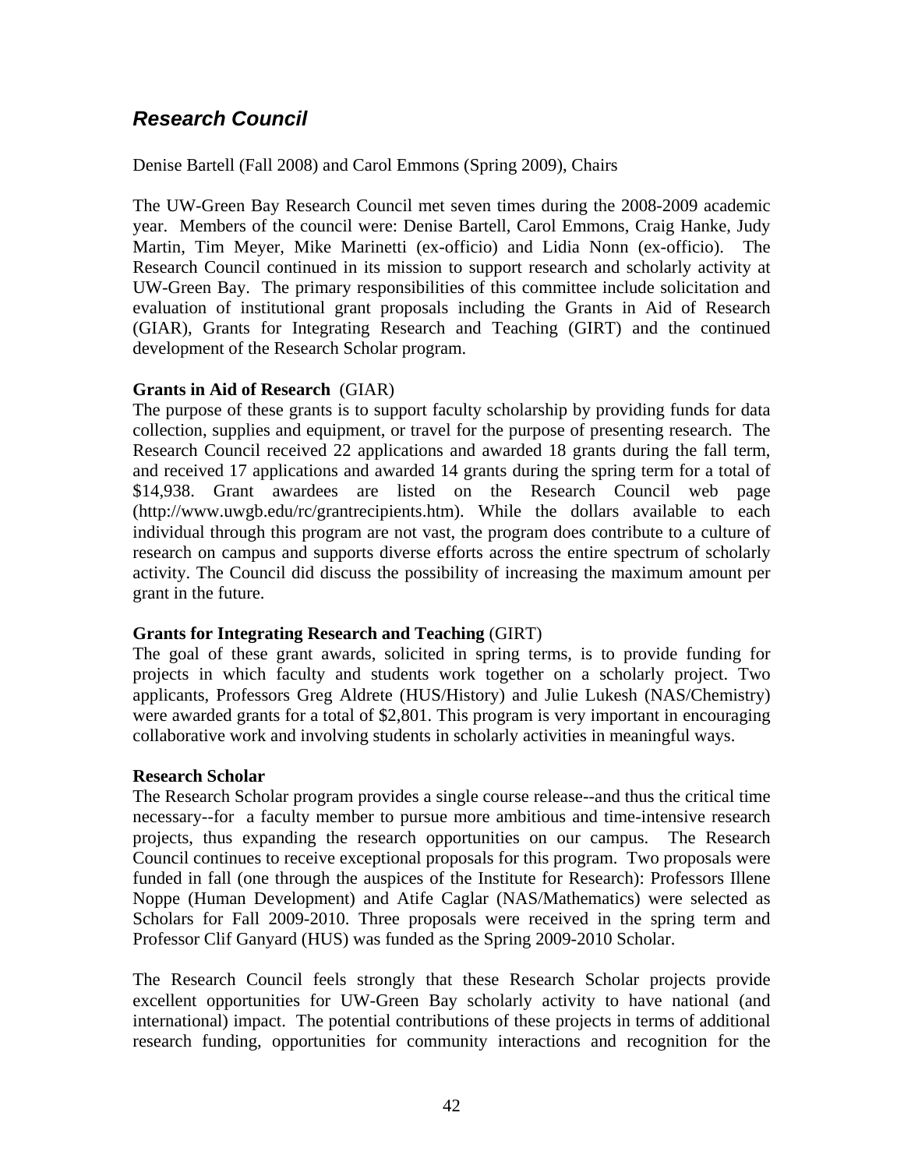## <span id="page-41-0"></span>*Research Council*

Denise Bartell (Fall 2008) and Carol Emmons (Spring 2009), Chairs

The UW-Green Bay Research Council met seven times during the 2008-2009 academic year. Members of the council were: Denise Bartell, Carol Emmons, Craig Hanke, Judy Martin, Tim Meyer, Mike Marinetti (ex-officio) and Lidia Nonn (ex-officio). The Research Council continued in its mission to support research and scholarly activity at UW-Green Bay. The primary responsibilities of this committee include solicitation and evaluation of institutional grant proposals including the Grants in Aid of Research (GIAR), Grants for Integrating Research and Teaching (GIRT) and the continued development of the Research Scholar program.

### **Grants in Aid of Research** (GIAR)

The purpose of these grants is to support faculty scholarship by providing funds for data collection, supplies and equipment, or travel for the purpose of presenting research. The Research Council received 22 applications and awarded 18 grants during the fall term, and received 17 applications and awarded 14 grants during the spring term for a total of \$14,938. Grant awardees are listed on the Research Council web page (http://www.uwgb.edu/rc/grantrecipients.htm). While the dollars available to each individual through this program are not vast, the program does contribute to a culture of research on campus and supports diverse efforts across the entire spectrum of scholarly activity. The Council did discuss the possibility of increasing the maximum amount per grant in the future.

### **Grants for Integrating Research and Teaching** (GIRT)

The goal of these grant awards, solicited in spring terms, is to provide funding for projects in which faculty and students work together on a scholarly project. Two applicants, Professors Greg Aldrete (HUS/History) and Julie Lukesh (NAS/Chemistry) were awarded grants for a total of \$2,801. This program is very important in encouraging collaborative work and involving students in scholarly activities in meaningful ways.

### **Research Scholar**

The Research Scholar program provides a single course release--and thus the critical time necessary--for a faculty member to pursue more ambitious and time-intensive research projects, thus expanding the research opportunities on our campus. The Research Council continues to receive exceptional proposals for this program. Two proposals were funded in fall (one through the auspices of the Institute for Research): Professors Illene Noppe (Human Development) and Atife Caglar (NAS/Mathematics) were selected as Scholars for Fall 2009-2010. Three proposals were received in the spring term and Professor Clif Ganyard (HUS) was funded as the Spring 2009-2010 Scholar.

The Research Council feels strongly that these Research Scholar projects provide excellent opportunities for UW-Green Bay scholarly activity to have national (and international) impact. The potential contributions of these projects in terms of additional research funding, opportunities for community interactions and recognition for the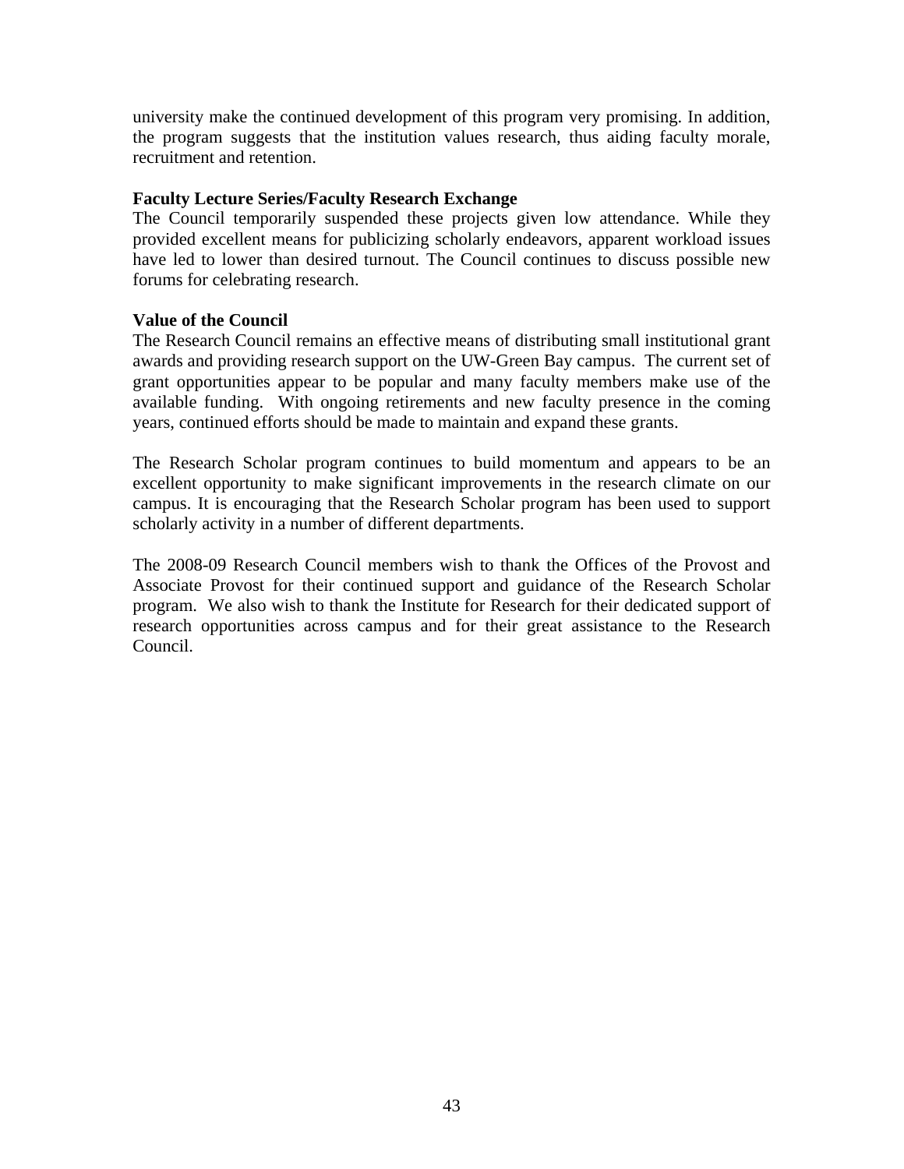university make the continued development of this program very promising. In addition, the program suggests that the institution values research, thus aiding faculty morale, recruitment and retention.

### **Faculty Lecture Series/Faculty Research Exchange**

The Council temporarily suspended these projects given low attendance. While they provided excellent means for publicizing scholarly endeavors, apparent workload issues have led to lower than desired turnout. The Council continues to discuss possible new forums for celebrating research.

### **Value of the Council**

The Research Council remains an effective means of distributing small institutional grant awards and providing research support on the UW-Green Bay campus. The current set of grant opportunities appear to be popular and many faculty members make use of the available funding. With ongoing retirements and new faculty presence in the coming years, continued efforts should be made to maintain and expand these grants.

The Research Scholar program continues to build momentum and appears to be an excellent opportunity to make significant improvements in the research climate on our campus. It is encouraging that the Research Scholar program has been used to support scholarly activity in a number of different departments.

The 2008-09 Research Council members wish to thank the Offices of the Provost and Associate Provost for their continued support and guidance of the Research Scholar program. We also wish to thank the Institute for Research for their dedicated support of research opportunities across campus and for their great assistance to the Research Council.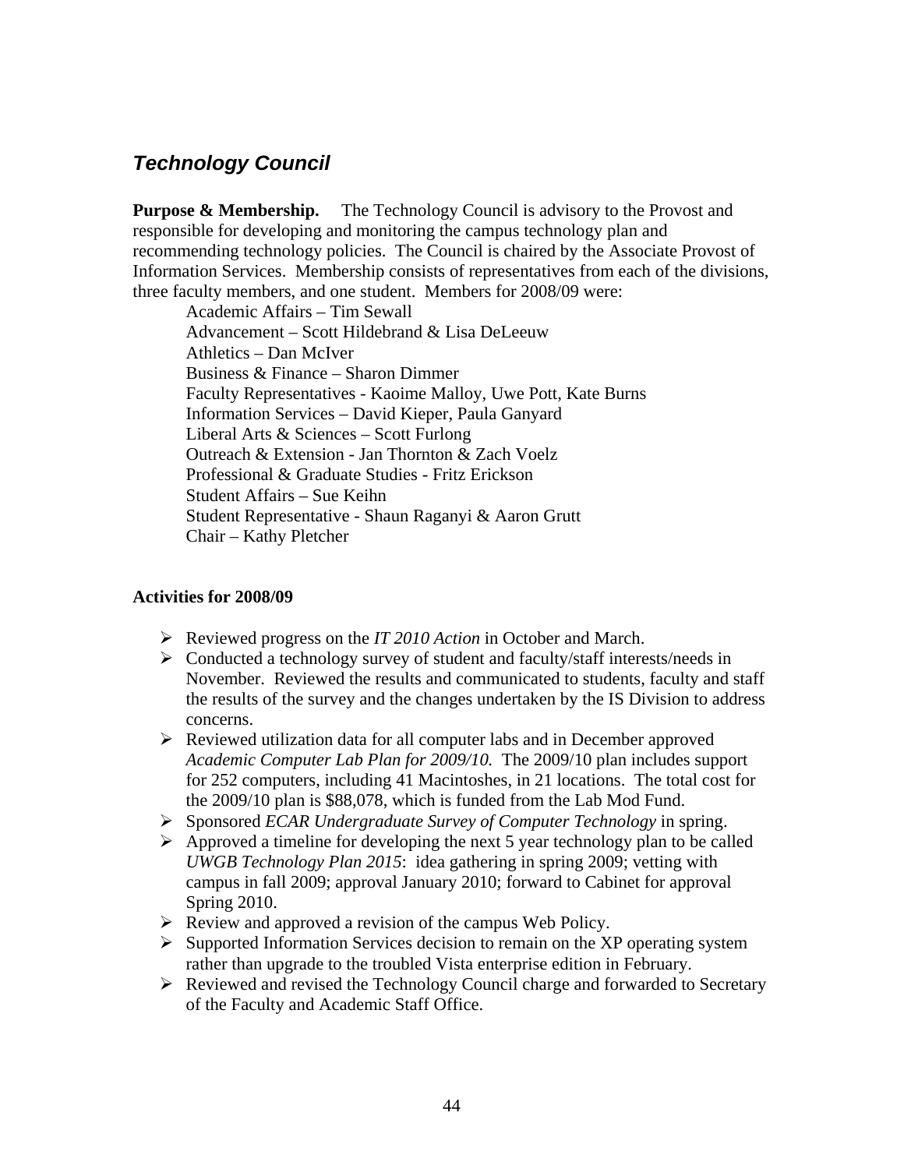## <span id="page-43-0"></span>*Technology Council*

**Purpose & Membership.** The Technology Council is advisory to the Provost and responsible for developing and monitoring the campus technology plan and recommending technology policies. The Council is chaired by the Associate Provost of Information Services. Membership consists of representatives from each of the divisions, three faculty members, and one student. Members for 2008/09 were:

Academic Affairs – Tim Sewall Advancement – Scott Hildebrand & Lisa DeLeeuw Athletics – Dan McIver Business & Finance – Sharon Dimmer Faculty Representatives - Kaoime Malloy, Uwe Pott, Kate Burns Information Services – David Kieper, Paula Ganyard Liberal Arts & Sciences – Scott Furlong Outreach & Extension - Jan Thornton & Zach Voelz Professional & Graduate Studies - Fritz Erickson Student Affairs – Sue Keihn Student Representative - Shaun Raganyi & Aaron Grutt Chair – Kathy Pletcher

### **Activities for 2008/09**

- ¾ Reviewed progress on the *IT 2010 Action* in October and March.
- $\triangleright$  Conducted a technology survey of student and faculty/staff interests/needs in November. Reviewed the results and communicated to students, faculty and staff the results of the survey and the changes undertaken by the IS Division to address concerns.
- ¾ Reviewed utilization data for all computer labs and in December approved *Academic Computer Lab Plan for 2009/10.* The 2009/10 plan includes support for 252 computers, including 41 Macintoshes, in 21 locations. The total cost for the 2009/10 plan is \$88,078, which is funded from the Lab Mod Fund.
- ¾ Sponsored *ECAR Undergraduate Survey of Computer Technology* in spring.
- $\triangleright$  Approved a timeline for developing the next 5 year technology plan to be called *UWGB Technology Plan 2015*: idea gathering in spring 2009; vetting with campus in fall 2009; approval January 2010; forward to Cabinet for approval Spring 2010.
- $\triangleright$  Review and approved a revision of the campus Web Policy.
- $\triangleright$  Supported Information Services decision to remain on the XP operating system rather than upgrade to the troubled Vista enterprise edition in February.
- $\triangleright$  Reviewed and revised the Technology Council charge and forwarded to Secretary of the Faculty and Academic Staff Office.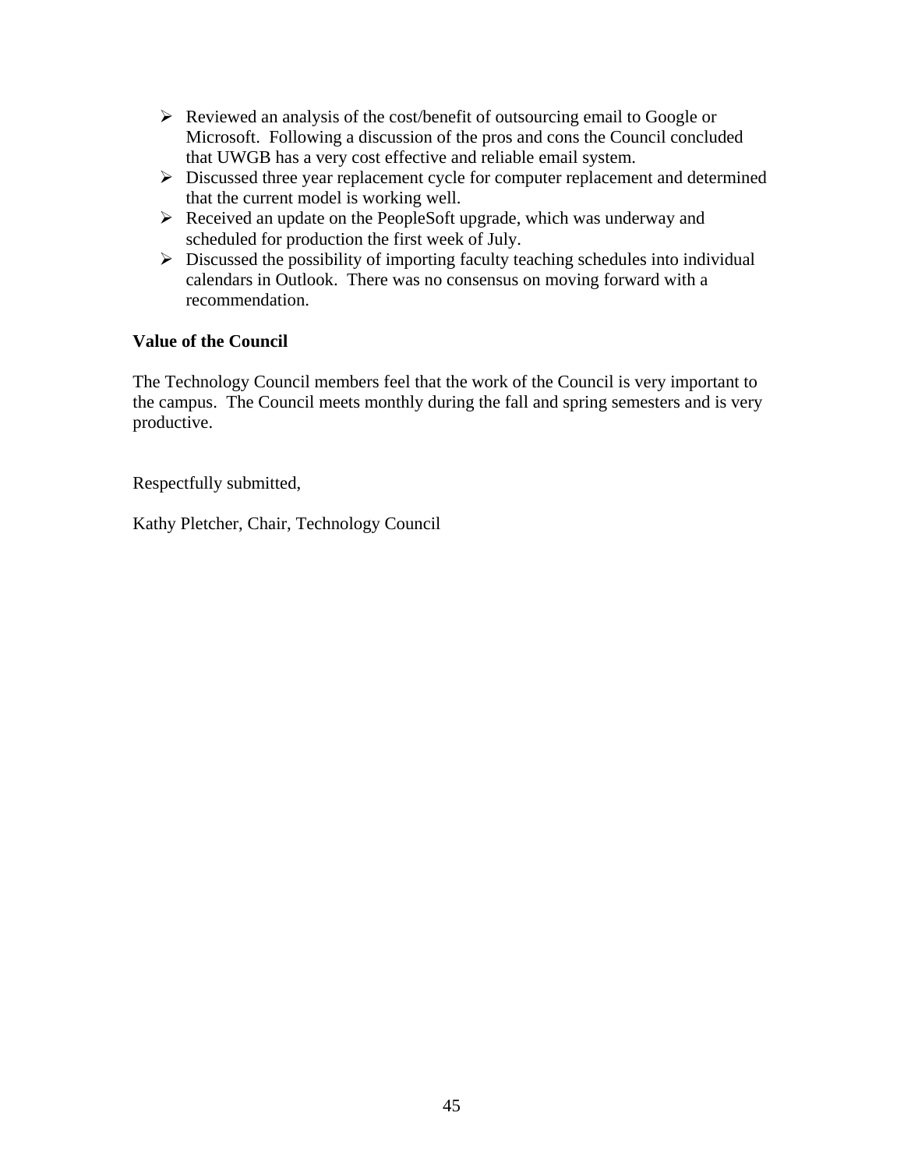- $\triangleright$  Reviewed an analysis of the cost/benefit of outsourcing email to Google or Microsoft. Following a discussion of the pros and cons the Council concluded that UWGB has a very cost effective and reliable email system.
- $\triangleright$  Discussed three year replacement cycle for computer replacement and determined that the current model is working well.
- $\triangleright$  Received an update on the PeopleSoft upgrade, which was underway and scheduled for production the first week of July.
- $\triangleright$  Discussed the possibility of importing faculty teaching schedules into individual calendars in Outlook. There was no consensus on moving forward with a recommendation.

### **Value of the Council**

The Technology Council members feel that the work of the Council is very important to the campus. The Council meets monthly during the fall and spring semesters and is very productive.

Respectfully submitted,

Kathy Pletcher, Chair, Technology Council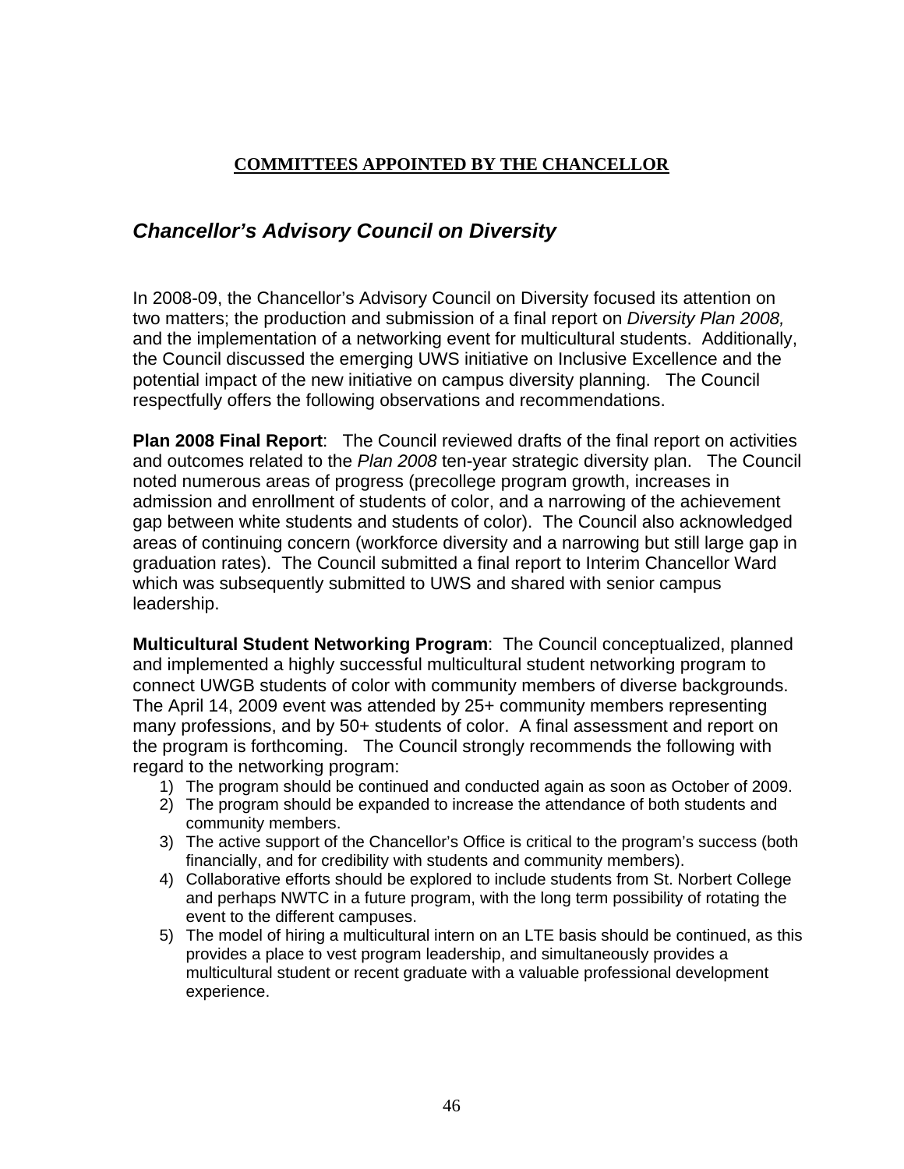### **COMMITTEES APPOINTED BY THE CHANCELLOR**

## <span id="page-45-0"></span>*Chancellor's Advisory Council on Diversity*

In 2008-09, the Chancellor's Advisory Council on Diversity focused its attention on two matters; the production and submission of a final report on *Diversity Plan 2008,* and the implementation of a networking event for multicultural students. Additionally, the Council discussed the emerging UWS initiative on Inclusive Excellence and the potential impact of the new initiative on campus diversity planning. The Council respectfully offers the following observations and recommendations.

**Plan 2008 Final Report**: The Council reviewed drafts of the final report on activities and outcomes related to the *Plan 2008* ten-year strategic diversity plan. The Council noted numerous areas of progress (precollege program growth, increases in admission and enrollment of students of color, and a narrowing of the achievement gap between white students and students of color). The Council also acknowledged areas of continuing concern (workforce diversity and a narrowing but still large gap in graduation rates). The Council submitted a final report to Interim Chancellor Ward which was subsequently submitted to UWS and shared with senior campus leadership.

**Multicultural Student Networking Program**: The Council conceptualized, planned and implemented a highly successful multicultural student networking program to connect UWGB students of color with community members of diverse backgrounds. The April 14, 2009 event was attended by 25+ community members representing many professions, and by 50+ students of color. A final assessment and report on the program is forthcoming. The Council strongly recommends the following with regard to the networking program:

- 1) The program should be continued and conducted again as soon as October of 2009.
- 2) The program should be expanded to increase the attendance of both students and community members.
- 3) The active support of the Chancellor's Office is critical to the program's success (both financially, and for credibility with students and community members).
- 4) Collaborative efforts should be explored to include students from St. Norbert College and perhaps NWTC in a future program, with the long term possibility of rotating the event to the different campuses.
- 5) The model of hiring a multicultural intern on an LTE basis should be continued, as this provides a place to vest program leadership, and simultaneously provides a multicultural student or recent graduate with a valuable professional development experience.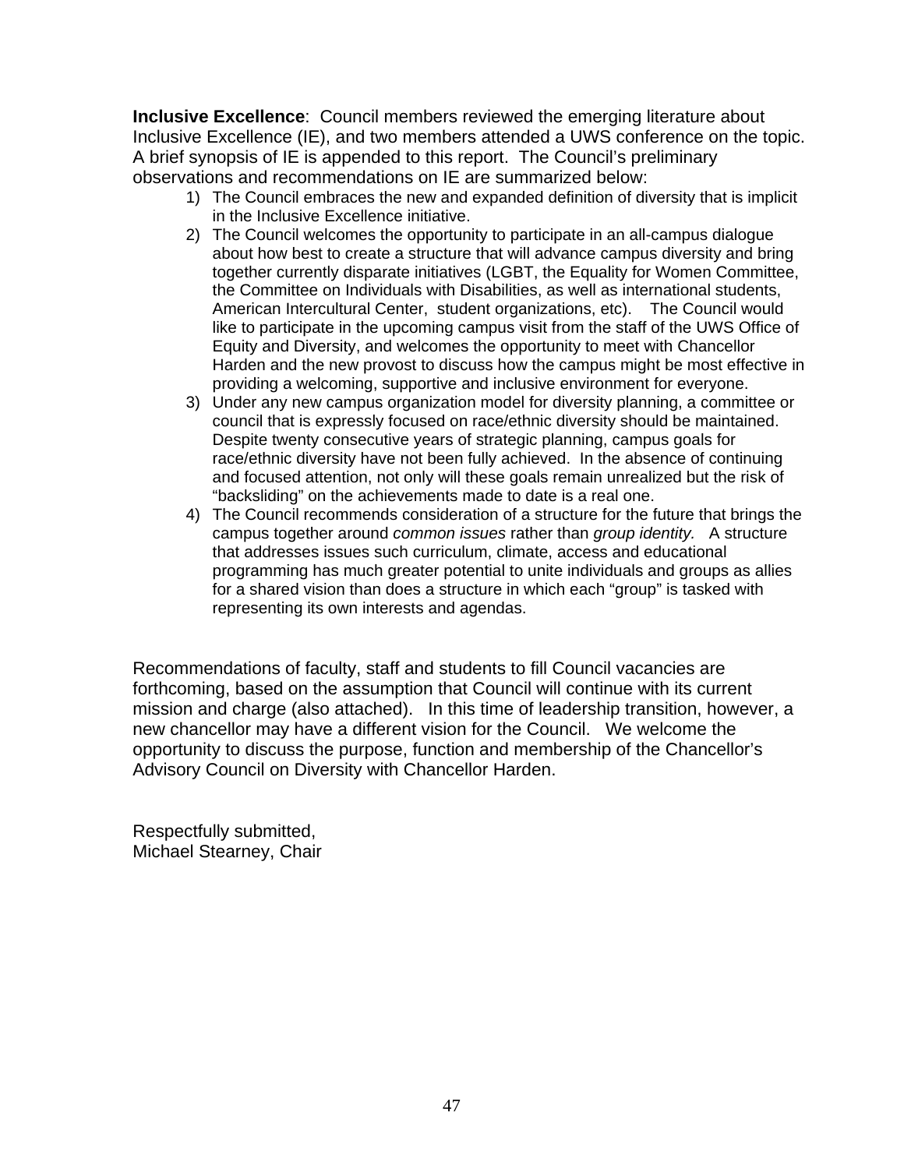**Inclusive Excellence**: Council members reviewed the emerging literature about Inclusive Excellence (IE), and two members attended a UWS conference on the topic. A brief synopsis of IE is appended to this report. The Council's preliminary observations and recommendations on IE are summarized below:

- 1) The Council embraces the new and expanded definition of diversity that is implicit in the Inclusive Excellence initiative.
- 2) The Council welcomes the opportunity to participate in an all-campus dialogue about how best to create a structure that will advance campus diversity and bring together currently disparate initiatives (LGBT, the Equality for Women Committee, the Committee on Individuals with Disabilities, as well as international students, American Intercultural Center, student organizations, etc). The Council would like to participate in the upcoming campus visit from the staff of the UWS Office of Equity and Diversity, and welcomes the opportunity to meet with Chancellor Harden and the new provost to discuss how the campus might be most effective in providing a welcoming, supportive and inclusive environment for everyone.
- 3) Under any new campus organization model for diversity planning, a committee or council that is expressly focused on race/ethnic diversity should be maintained. Despite twenty consecutive years of strategic planning, campus goals for race/ethnic diversity have not been fully achieved. In the absence of continuing and focused attention, not only will these goals remain unrealized but the risk of "backsliding" on the achievements made to date is a real one.
- 4) The Council recommends consideration of a structure for the future that brings the campus together around *common issues* rather than *group identity.* A structure that addresses issues such curriculum, climate, access and educational programming has much greater potential to unite individuals and groups as allies for a shared vision than does a structure in which each "group" is tasked with representing its own interests and agendas.

Recommendations of faculty, staff and students to fill Council vacancies are forthcoming, based on the assumption that Council will continue with its current mission and charge (also attached). In this time of leadership transition, however, a new chancellor may have a different vision for the Council. We welcome the opportunity to discuss the purpose, function and membership of the Chancellor's Advisory Council on Diversity with Chancellor Harden.

Respectfully submitted, Michael Stearney, Chair